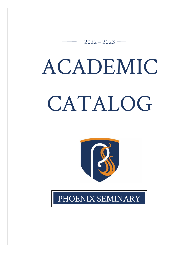$2022 - 2023$  –

# ACADEMIC CATALOG



PHOENIX SEMINARY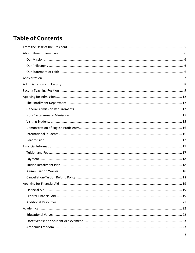# **Table of Contents**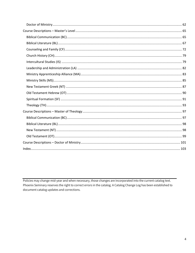Policies may change mid-year and when necessary, those changes are incorporated into the current catalog text. Phoenix Seminary reserves the right to correct errors in the catalog. A Catalog Change Log has been established to document catalog updates and corrections.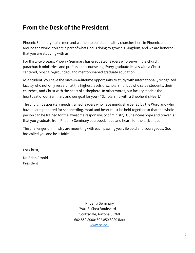## <span id="page-4-0"></span>**From the Desk of the President**

Phoenix Seminary trains men and women to build up healthy churches here in Phoenix and around the world. You are a part of what God is doing to grow his Kingdom, and we are honored that you are studying with us.

For thirty-two years, Phoenix Seminary has graduated leaders who serve in the church, parachurch ministries, and professional counseling. Every graduate leaves with a Christcentered, biblically-grounded, and mentor-shaped graduate education.

As a student, you have the once-in-a-lifetime opportunity to study with internationallyrecognized faculty who not only research at the highest levels of scholarship, but who serve students, their churches, and Christ with the heart of a shepherd. In other words, our faculty models the heartbeat of our Seminary and our goal for you – "Scholarship with a Shepherd's Heart."

The church desperately needs trained leaders who have minds sharpened by the Word and who have hearts prepared for shepherding. Head and heart must be held together so that the whole person can be trained for the awesome responsibility of ministry. Our sincere hope and prayer is that you graduate from Phoenix Seminary equipped, head and heart, for the task ahead.

The challenges of ministry are mounting with each passing year. Be bold and courageous. God has called you and he is faithful.

For Christ,

Dr. Brian Arnold President

> Phoenix Seminary 7901 E. Shea Boulevard Scottsdale, Arizona 85260 602.850.8000; 602.850.8080 (fax) [www.ps.edu](http://www.ps.edu/)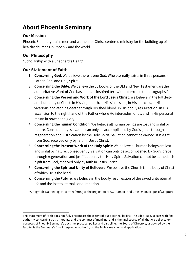# <span id="page-5-0"></span>**About Phoenix Seminary**

## <span id="page-5-1"></span>**Our Mission**

Phoenix Seminary trains men and women for Christ-centered ministry for the building up of healthy churches in Phoenix and the world.

## <span id="page-5-2"></span>**Our Philosophy**

"Scholarship with a Shepherd's Heart"

## <span id="page-5-3"></span>**Our Statement of Faith**

- 1. **Concerning God**: We believe there is one God, Who eternally exists in three persons Father, Son, and Holy Spirit.
- 2. **Concerning the Bible**: We believe the 66 books of the Old and New Testament arethe authoritative Word of God based on an inspired text without error in the autographs.<sup>\*</sup>
- 3. **Concerning the Person and Work of the Lord Jesus Christ**: We believe in the full deity and humanity of Christ, in His virgin birth, in His sinless life, in His miracles, in His vicarious and atoning death through His shed blood, in His bodily resurrection, in His ascension to the right hand of the Father where He intercedes for us, and in His personal return in power and glory.
- 4. **Concerning the human Condition**: We believe all human beings are lost and sinful by nature. Consequently, salvation can only be accomplished by God's grace through regeneration and justification by the Holy Spirit. Salvation cannot be earned. It is agift from God, received only by faith in Jesus Christ.
- 5. **Concerning the Present Work of the Holy Spirit**: We believe all human beings are lost and sinful by nature. Consequently, salvation can only be accomplished by God's grace through regeneration and justification by the Holy Spirit. Salvation cannot be earned. Itis a gift from God, received only by faith in Jesus Christ.
- 6. **Concerning the Spiritual Unity of Believers**: We believe the Church is the body of Christ of which He is the head.
- 7. **Concerning the Future**: We believe in the bodily resurrection of the saved unto eternal life and the lost to eternal condemnation.

\*Autograph is a theological term referring to the original Hebrew, Aramaic, and Greek manuscripts of Scripture.

This Statement of Faith does not fully encompass the extent of our doctrinal beliefs. The Bible itself, speaks with final authority concerning truth, moralit,y and the conduct of mankind, and is the final source of all that we believe. For purposes of Phoenix Seminary's doctrine, practice, poli,cy and discipline, the Board of Directors, as advised by the faculty, is the Seminary's final interpretive authority on the Bible's meaning and application.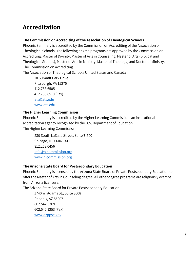# <span id="page-6-0"></span>**Accreditation**

## **The Commission on Accrediting of the Association of Theological Schools**

Phoenix Seminary is accredited by the Commission on Accrediting of the Association of Theological Schools. The following degree programs are approved by the Commission on Accrediting: Master of Divinity, Master of Arts in Counseling, Master of Arts (Biblical and Theological Studies), Master of Arts in Ministry, Master of Theology, and Doctor of Ministry. The Commission on Accrediting

The Association of Theological Schools United States and Canada

10 Summit Park Drive Pittsburgh, PA 15275 412.788.6505 412.788.6510 (Fax) [ats@ats.edu](mailto:ats@ats.edu) [www.ats.edu](http://www.ats.edu/)

## **The Higher Learning Commission**

Phoenix Seminary is accredited by the Higher Learning Commission, an institutional accreditation agency recognized by the U.S. Department of Education. The Higher Learning Commission

230 South LaSalle Street, Suite 7-500 Chicago, IL 60604-1411 312.263.0456 [info@hlcommission.org](mailto:info@hlcommission.org) [www.hlcommission.org](http://www.hlcommission.org/)

## **The Arizona State Board for Postsecondary Education**

Phoenix Seminary is licensed by the Arizona State Board of Private Postsecondary Education to offer the Master of Arts in Counseling degree. All other degree programs are religiously exempt from Arizona licensure.

The Arizona State Board for Private Postsecondary Education

1740 W. Adams St., Suite 3008 Phoenix, AZ 85007 602.542.5709 602.542.1253 (Fax) [www.azppse.gov](http://www.azppse.gov/)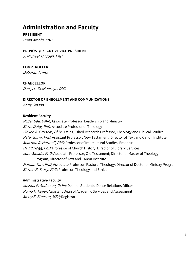# <span id="page-7-0"></span>**Administration and Faculty**

**PRESIDENT** Brian Arnold, PhD

#### **PROVOST/EXECUTIVE VICE PRESIDENT**

J. Michael Thigpen, PhD

## **COMPTROLLER**

Deborah Arnitz

**CHANCELLOR** Darryl L. DelHousaye, DMin

#### **DIRECTOR OF ENROLLMENT AND COMMUNICATIONS**

Kody Gibson

#### **Resident Faculty**

Roger Ball, DMin; Associate Professor, Leadership and Ministry Steve Duby, PhD; Associate Professor of Theology Wayne A. Grudem, PhD; Distinguished Research Professor, Theology and Biblical Studies Peter Gurry, PhD; Assistant Professor, New Testament; Director of Text and Canon Institute Malcolm R. Hartnell, PhD; Professor of Intercultural Studies, Emeritus David Hogg, PhD; Professor of Church History, Director of Library Services John Meade, PhD; Associate Professor, Old Testament; Director of Master of Theology Program, Director of Text and Canon Institute Nathan Tarr, PhD; Associate Professor, Pastoral Theology; Director of Doctor of Ministry Program Steven R. Tracy, PhD; Professor, Theology and Ethics

#### **Administrative Faculty**

Joshua P. Anderson, DMin; Dean of Students; Donor Relations Officer Roma R. Royer; Assistant Dean of Academic Services and Assessment Merry E. Stenson, MEd; Registrar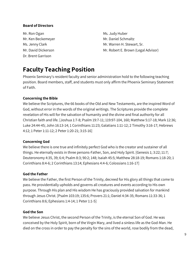## **Board of Directors**

Mr. Ron Ogan Mr. Books and Mr. Judy Huber Mr. Ken Beckemeyer Mr. Daniel Schmaltz Dr. Brent Garrison

Ms. Jenny Clark Mr. Warren H. Stewart, Sr. Mr. David Dickerson Mr. Robert E. Brown (Legal Advisor)

# <span id="page-8-0"></span>**Faculty Teaching Position**

Phoenix Seminary's resident faculty and senior administration hold to the following teaching position. Board members, staff, and students must only affirm the Phoenix Seminary Statement of Faith.

## **Concerning the Bible**

We believe the Scriptures, the 66 books of the Old and New Testaments, are the inspired Word of God, without error in the words of the original writings. The Scriptures provide the complete revelation of His will for the salvation of humanity and the divine and final authority for all Christian faith and life. [Joshua 1:7-8; Psalm 19:7-11; 119:97-104, 160; Matthew 5:17-18; Mark 12:36; Luke 24:44-45; John 16:13-14; 1 Corinthians 11:23; Galatians 1:11-12; 2 Timothy 3:16-17; Hebrews 4:12; 1 Peter 1:11-12; 2 Peter 1:20-21; 3:15-16]

#### **Concerning God**

We believe there is one true and infinitely perfect God who is the creator and sustainer of all things. He eternally exists in three persons-Father, Son, and Holy Spirit. [Genesis 1; 3:22; 11:7; Deuteronomy 4:35, 39; 6:4; Psalm 8:3; 90:2; 148; Isaiah 45:5; Matthew 28:18-19; Romans 1:18-20; 1 Corinthians 8:4-6; 2 Corinthians 13:14; Ephesians 4:4-6; Colossians 1:16-17]

#### **God the Father**

We believe the Father, the first Person of the Trinity, decreed for His glory all things that come to pass. He providentially upholds and governs all creatures and events according to His own purpose. Through His plan and His wisdom He has graciously provided salvation for mankind through Jesus Christ. [Psalm 103:19; 135:6; Provers 21:1; Daniel 4:34-35; Romans 11:33-36; 1 Corinthians 8:6; Ephesians 1:4-14; 1 Peter 1:1-5]

#### **God the Son**

We believe Jesus Christ, the second Person of the Trinity, is the eternal Son of God. He was conceived by the Holy Spirit, born of the Virgin Mary, and lived a sinless life as the God-Man. He died on the cross in order to pay the penalty for the sins of the world, rose bodily from the dead,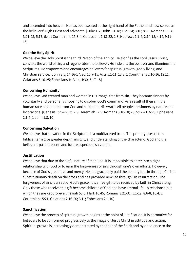and ascended into heaven. He has been seated at the right hand of the Father and now serves as the believers' High Priest and Advocate. [Luke 1-2; John 1:1-18; 1:29-34; 3:16; 8:58; Romans 1:3-4; 3:21-25; 5:17; 6:4; 1 Corinthians 15:3-4; Colossians 1:13-22; 2:3; Hebrews 1:1-4; 2:14-18; 4:14; 9:11- 15]

## **God the Holy Spirit**

We believe the Holy Spirit is the third Person of the Trinity. He glorifies the Lord Jesus Christ, convicts the world of sin, and regenerates the believer. He indwells the believer and illumines the Scriptures. He empowers and encourages believers for spiritual growth, godly living, and Christian service. [John 3:5; 14:16-17, 26; 16:7-15; Acts 5:1-11; 13:2; 1 Corinthians 2:10-16; 12:11; Galatians 5:16-25; Ephesians 1:13-14; 4:30; 5:17-18]

#### **Concerning Humanity**

We believe God created man and woman in His image, free from sin. They became sinners by voluntarily and personally choosing to disobey God's command. As a result of their sin, the human race is alienated from God and subject to His wrath. All people are sinners by nature and by practice. [Genesis 1:26-27; 3:1-19; Jeremiah 17:9; Romans 3:10-18; 23; 5:12-21; 6:23; Ephesians 2:1-5; 1 John 1:8, 10]

#### **Concerning Salvation**

We believe that salvation in the Scriptures is a multifaceted truth. The primary uses of this biblical term give greater depth, insight, and understanding of the character of God and the believer's past, present, and future aspects of salvation.

## **Justification**

We believe that due to the sinful nature of mankind, it is impossible to enter into a right relationship with God or to earn the forgiveness of sins through one's own efforts. However, because of God's great love and mercy, He has graciously paid the penalty for sin through Christ's substitutionary death on the cross and has provided new life through His resurrection. The forgiveness of sins is an act of God's grace. It is a free gift to be received by faith in Christ along. Only those who receive this gift become children of God and have eternal life – a relationship in which they are kept forever. [Isaiah 53:6; Mark 10:45; Romans 3:21-31; 5:1-19; 8:6-8; 10:4; 2 Corinthians 5:21; Galatians 2:16-20; 3:11; Ephesians 2:4-10]

## **Sanctification**

We believe the process of spiritual growth begins at the point of justification. It is normative for believers to be conformed progressively to the image of Jesus Christ in attitude and action. Spiritual growth is increasingly demonstrated by the fruit of the Spirit and by obedience to the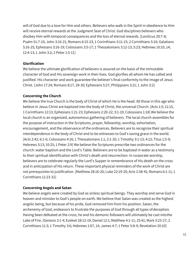will of God due to a love for Him and others. Believers who walk in the Spirit in obedience to Him will receive eternal rewards at the Judgment Seat of Christ. God disciplines believers who disobey Him with temporal consequences and the loss of eternal rewards. [Leviticus 20:7-8; Psalm 51:7-10; John 3:16-21; Romans 6:15-23; 1 Corinthians 3:11-15; 2 Corinthians 5:10; Galatians 5:16-25; Ephesians 3:16-19; Colossians 3:5-17; 1 Thessalonians 3:12-13; 5:23; Hebrews 10:10, 14; 12:4-13; 1 John 3:2; 2 Peter 1:5-11]

#### **Glorification**

We believe the ultimate glorification of believers is assured on the basis of the immutable character of God and His sovereign work in their lives. God glorifies all whom He has called and justified. His character and work guarantee the believer's final conformity to the image of Jesus Christ. [John 17:24; Romans 8:17, 28-30; Ephesians 5:27; Philippians 3:21; 1 John 3:2]

## **Concerning the Church**

We believe the true Church is the body of Christ of which He is the head. All those in this age who believe in Jesus Christ are baptized into the body of Christ, the universal Church. [Acts 1:5; 11:15, 1 Corinthians 12:13; Ephesians 1:21-23; Ephesians 2:20-22; 3:1-10; Colossians 1:18] We believe the local church is an organized, autonomous gathering of believers. The local church assembles for the purpose of instruction in the Scriptures, prayer, fellowship, worship, exhortation, encouragement, and the observance of the ordinances. Believers are to recognize their spiritual interdependence in the body of Christ and to be witnesses to God's saving grace in the world. [Acts 2:42; 6:1-6; Colossians 4:16; 1 Thessalonians 1:1; 2:1-20; 1 Timothy 3:1-13; 4:13; Titus 1:5-9; Hebrews 3:13; 10:25; 1 Peter 2:9] We believe the Scriptures prescribe two ordinances for the church: water baptism and the Lord's Table. Believers are to be baptized in water as a testimony to their spiritual identification with Christ's death and resurrection. In corporate worship, believers are to celebrate regularly the Lord's Supper in remembrance of His death on the cross and in anticipation of His return. These important physical reminders of the work of Christ are not prerequisites to justification. [Matthew 28:16-20; Luke 22:19-20; Acts 2:38-41; Romans 6:1-11; 1 Corinthians 11:23-32]

## **Concerning Angels and Satan**

We believe angels were created by God as sinless spiritual beings. They worship and serve God in heaven and minister to God's people on earth. We believe that Satan was created as the highest angelic being, but because of his pride, God removed him from his position. Satan, the archenemy of God, endeavors to frustrate the purposes of God through all types ofdeception. Having been defeated at the cross, he and his demonic followers will ultimately be cast intothe Lake of Fire. [Genesis 3:1-4; Ezekiel 28:12-19; Daniel 12:1; Matthew 4:1-11; 25:41; Mark 3:23-27; 2 Corinthians 11:3; 1 Timothy 3:6; Hebrews 1:67, 14; James 4:7; 1 Peter 5:8-9; Revelation 20:10]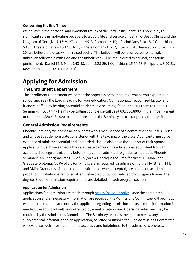## **Concerning the End Times**

We believe in the personal and imminent return of the Lord Jesus Christ. This hope plays a significant role in motivating believers to a godly life and service on behalf of Jesus Christ and the kingdom of God. [Mark 13:24-27; John 14:2-3; Romans 14:10; 1 Corinthians 3:10-15; 2 Corinthians 5:10; 1 Thessalonians 4:13-17; 5:1-11; 2 Thessalonians 1:5-12; Titus 2:11-13; Revelation 20:1-6; 22:7, 20] We believe the dead will be raised bodily. The believer will be resurrected to eternal, unbroken fellowship with God and the unbeliever will be resurrected to eternal, conscious punishment. [Daniel 12:2; Mark 9:43-48; John 5:28-29; 1 Corinthians 15:50-53; Philippians 3:20-21; Revelation 4:1-11; 20:11-15; 21:1-4]

# <span id="page-11-0"></span>**Applying for Admission**

## <span id="page-11-1"></span>**The Enrollment Department**

The Enrollment Department welcomes the opportunity to encourage you as you explore our school and seek the Lord's leading for your education. Our nationally-recognized faculty and friendly staff enjoy helping potential students in discerning if God is calling them to Phoenix Seminary. If you think He may be calling you, please call us at 602.850.8000 (in the Phoenix area) or toll-free at 888.443.1020 to learn more about the Seminary or to arrange a campus visit.

## <span id="page-11-2"></span>**General Admission Requirements**

Phoenix Seminary welcomes all applicants who give evidence of a commitment to Jesus Christ and whose lives demonstrate consistency with the teaching of the Bible. Applicants must give evidence of ministry potential and, if married, should also have the support of their spouse. Applicants must have earned a baccalaureate degree or its educational equivalent from an accredited college or university before they can be admitted to graduate studies at Phoenix Seminary. An undergraduate GPA of 2.5 (on a 4.0 scale) is required for the MDiv, MAM, and Graduate Diploma. A GPA of 3.0 (on a 4.0 scale) is required for admission to the MA (BTS), ThM, and DMin. Graduates of unaccredited institutions, when accepted, are placed on academic probation. Probation is removed after twelve credit hours of satisfactory progress toward the degree. Specific admission requirements are detailed in each program section.

## **Application for Admission**

Applications for admission are made through [https://ps.edu/apply/. O](https://ps.edu/apply/)nce the completed application and all necessary information are received, the Admissions Committee will promptly examine the material and notify the applicant regarding admission status. If more information is needed, the applicant will be contracted by email or telephone. A personal interview may be required by the Admissions Committee. The Seminary reserves the right to review any supplemental information to an application, solicited or unsolicited. The Admissions Committee will evaluate such information for its accuracy and helpfulness to the admissions process.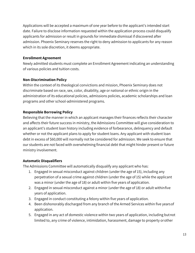Applications will be accepted a maximum of one year before to the applicant's intended start date. Failure to disclose information requested within the application process could disqualify applicants for admission or result in grounds for immediate dismissal if discovered after admission. Phoenix Seminary reserves the right to deny admission to applicants for any reason which in its sole discretion, it deems appropriate.

#### **Enrollment Agreement**

Newly admitted students must complete an Enrollment Agreement indicating an understanding of various policies and tuition costs.

## **Non-Discrimination Policy**

Within the context of its theological convictions and mission, Phoenix Seminary does not discriminate based on race, sex, color, disability, age or national or ethnic origin in the administration of its educational policies, admissions policies, academic scholarships and loan programs and other school-administered programs.

## **Responsible Borrowing Policy**

Believing that the manner in which an applicant manages their finances reflects their character and affects their future success in ministry, the Admissions Committee will give consideration to an applicant's student loan history including evidence of forbearance, delinquency and default whether or not the applicant plans to apply for student loans. Any applicant with student loan debt in excess of \$60,000 will normally not be considered for admission. We seek to ensure that our students are not faced with overwhelming financial debt that might hinder present or future ministry involvement.

## **Automatic Disqualifiers**

The Admissions Committee will automatically disqualify any applicant who has:

- 1. Engaged in sexual misconduct against children (under the age of 15), including any perpetration of a sexual crime against children (under the age of 15) while the applicant was a minor (under the age of 18) or adult within five years of application.
- 2. Engaged in sexual misconduct against a minor (under the age of 18) or adult withinfive years of application.
- 3. Engaged in conduct constituting a felony within five years of application.
- 4. Been dishonorably discharged from any branch of the Armed Services within five yearsof application.
- 5. Engaged in any act of domestic violence within two years of application, including butnot limited to, any crime of violence, intimidation, harassment, damage to property orother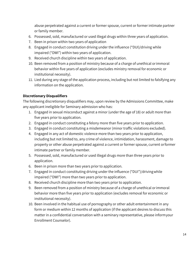abuse perpetrated against a current or former spouse, current or former intimate partner or family member.

- 6. Possessed, sold, manufactured or used illegal drugs within three years of application.
- 7. Been in prison within two years of application
- 8. Engaged in conduct constitution driving under the influence ("DUI)/driving while impaired ("DWI") within two years of application.
- 9. Received church discipline within two years of application.
- 10. Been removed from a position of ministry because of a charge of unethical orimmoral behavior within five years of application (excludes ministry removal for economic or institutional necessity).
- 11. Lied during any stage of the application process, including but not limited to falsifying any information on the application.

## **Discretionary Disqualifiers**

The following discretionary disqualifiers may, upon review by the Admissions Committee, make any applicant ineligible for Seminary admission who has:

- 1. Engaged in sexual misconduct against a minor (under the age of 18) or adult more than five years prior to application.
- 2. Engaged in conduct constituting a felony more than five years prior to application.
- 3. Engaged in conduct constituting a misdemeanor (minor traffic violations excluded).
- 4. Engaged in any act of domestic violence more than two years prior to application, including but not limited to, any crime of violence, intimidation, harassment, damage to property or other abuse perpetrated against a current or former spouse, current orformer intimate partner or family member.
- 5. Possessed, sold, manufactured or used illegal drugs more than three years prior to application.
- 6. Been in prison more than two years prior to application.
- 7. Engaged in conduct constituting driving under the influence ("DUI")/drivingwhile impaired ("DWI") more than two years prior to application.
- 8. Received church discipline more than two years prior to application.
- 9. Been removed from a position of ministry because of a charge of unethical orimmoral behavior more than five years prior to application (excludes removal for economic or institutional necessity).
- 10. Been involved in the habitual use of pornography or other adult entertainment in any form or medium within 12 months of application (if the applicant desires to discuss this matter in a confidential conversation with a seminary representative, please informyour Enrollment Counselor).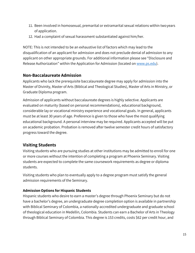- 11. Been involved in homosexual, premarital or extramarital sexual relations within twoyears of application.
- 12. Had a complaint of sexual harassment substantiated against him/her.

NOTE: This is not intended to be an exhaustive list of factors which may lead to the disqualification of an applicant for admission and does not preclude denial of admission to any applicant on other appropriate grounds. For additional information please see "Disclosure and Release Authorization" within the Application for Admission (located on [www.ps.edu\)](http://www.ps.edu/).

## <span id="page-14-0"></span>**Non-Baccalaureate Admission**

Applicants who lack the prerequisite baccalaureate degree may apply for admission into the Master of Divinity, Master of Arts (Biblical and Theological Studies), Master of Arts in Ministry, or Graduate Diploma program.

Admission of applicants without baccalaureate degrees is highly selective. Applicants are evaluated on maturity (based on personal recommendations), educational background, considerable lay or vocational ministry experience and vocational goals. In general, applicants must be at least 30 years of age. Preference is given to those who have the most qualifying educational background. A personal interview may be required. Applicants accepted will be put on academic probation. Probation is removed after twelve semester credit hours of satisfactory progress toward the degree.

## <span id="page-14-1"></span>**Visiting Students**

Visiting students who are pursuing studies at other institutions may be admitted to enroll for one or more courses without the intention of completing a program at Phoenix Seminary. Visiting students are expected to complete the same coursework requirements as degree or diploma students.

Visiting students who plan to eventually apply to a degree program must satisfy the general admission requirements of the Seminary.

## **Admission Options for Hispanic Students**

Hispanic students who desire to earn a master's degree through Phoenix Seminary but do not have a bachelor's degree, an undergraduate degree completion option is available in partnership with Biblical Seminary of Colombia, a nationally-accredited undergraduate and graduate school of theological education in Medellin, Colombia. Students can earn a Bachelor of Arts in Theology through Biblical Seminary of Colombia. This degree is 153 credits, costs \$62 per credit hour, and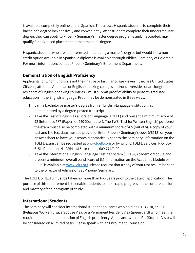is available completely online and in Spanish. This allows Hispanic students to complete their bachelor's degree inexpensively and conveniently. After students complete their undergraduate degree, they can apply to Phoenix Seminary's master degree programs and, if accepted, may qualify for advanced placement in their master's degree.

Hispanic students who are not interested in pursuing a master's degree but would like a noncredit option available in Spanish, a diploma is available through Biblical Seminary of Colombia. For more information, contact Phoenix Seminary's Enrollment Department.

## <span id="page-15-0"></span>**Demonstration of English Proficiency**

Applicants for whom English is not their native or birth language – even if they are United States Citizens, attended American or English-speaking colleges and/or universities or are longtime residents of English-speaking countries – must submit proof of ability to perform graduate education in the English language. Proof may be demonstrated in three ways:

- 1. Earn a bachelor or master's degree from an English-language institution, as demonstrated by a degree-posted transcript.
- 2. Take the Test of English as a Foreign Language (TOEFL) and present a minimum score of 92 (Internet), 587 (Paper) or 240 (Computer). The TWE (Test for Written English) portionof the exam must also be completed with a minimum score of 4.5 (out of 6). A copy of your test and the test date must be provided. Enter Phoenix Seminary's code (#8513) on your answer sheet to have your scores automatically sent to the Seminary. Information on the TOEFL exam can be requested at [www.toefl.com](http://www.toefl.com/) or by writing TOEFL Services, P.O. Box 6151, Princeton, NJ 08541-6151 or calling 609.771.7100.
- 3. Take the International English Language Testing System (IELTS), Academic Module and present a minimum overall band score of 6.5. Information on the Academic Module of IELTS is available at [www.ielts.org. P](http://www.ielts.org/)lease request that a copy of your test results be sent to the Director of Admissions at Phoenix Seminary.

The TOEFL or IELTS must be taken no more than two years prior to the date of application. The purpose of this requirement is to enable students to make rapid progress in the comprehension and mastery of their program of study.

## <span id="page-15-1"></span>**International Students**

The Seminary will consider international student applicants who hold an H1-B Visa, an R-1 (Religious Worker) Visa, a Spouse Visa, or a Permanent Resident Visa (green card) who meet the requirement for a demonstration of English proficiency. Applicants with an F-1 (Student Visa) will be considered on a limited basis. Please speak with an Enrollment Counselor.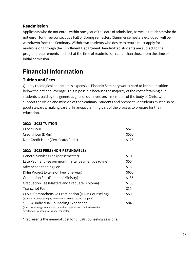## <span id="page-16-0"></span>**Readmission**

Applicants who do not enroll within one year of the date of admission, as well as students who do not enroll for three consecutive Fall or Spring semesters (Summer semesters excluded) will be withdrawn from the Seminary. Withdrawn students who desire to return must apply for readmission through the Enrollment Department. Readmitted students are subject to the program requirements in effect at the time of readmission rather than those from the time of initial admission.

# <span id="page-16-1"></span>**Financial Information**

## <span id="page-16-2"></span>**Tuition and Fees**

Quality theological education is expensive. Phoenix Seminary works hard to keep our tuition below the national average. This is possible because the majority of the cost of training our students is paid by the generous gifts of our investors – members of the body of Christ who support the vision and mission of the Seminary. Students and prospective students must also be good stewards, making careful financial planning part of the process to prepare for their education.

#### **2022 – 2023 TUITION**

| Credit Hour                         | \$525 |
|-------------------------------------|-------|
| Credit Hour (DMin)                  | S500  |
| Non-Credit Hour (Certificate/Audit) | \$125 |

## **2022 – 2023 FEES (NON-REFUNDABLE)**

| General Services Fee (per semester)                                         | \$100 |
|-----------------------------------------------------------------------------|-------|
| Late Payment Fee per month (after payment deadline)                         | \$50  |
| Advanced Standing Fee                                                       | \$75  |
| DMin Project Extension Fee (one year)                                       | \$600 |
| Graduation Fee (Doctor of Ministry)                                         | \$185 |
| Graduation Fee (Masters and Graduate Diploma)                               | \$160 |
| <b>Transcript Fee</b>                                                       | \$10  |
| CF599 Comprehensive Examination (MA in Counseling)                          | \$50  |
| (Student responsible to pay remainder of \$150 to testing company)          |       |
| *CF528 Individual Counseling Experience                                     | S840  |
| (MA in Counseling – Fees for 12 counseling sessions are paid by the student |       |
| directly to a licensed professional counselor.)                             |       |

\*Represents the minimal cost for CF528 counseling sessions.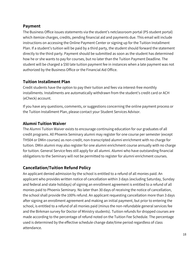## <span id="page-17-0"></span>**Payment**

The Business Office issues statements via the student's netclassroom portal (PS student portal) which itemize charges, credits, pending financial aid and payments due. This email will include instructions on accessing the Online Payment Center or signing up for the Tuition Installment Plan. If a student's tuition will be paid by a third party, the student should forward the statement directly to the third party. Payment should be submitted as soon as the student has determined how he or she wants to pay for courses, but no later than the Tuition Payment Deadline. The student will be charged a \$50 late tuition payment fee in instances when a late payment was not authorized by the Business Office or the Financial Aid Office.

## <span id="page-17-1"></span>**Tuition Installment Plan**

Credit students have the option to pay their tuition and fees via interest-free monthly installments. Installments are automatically withdrawn from the student's credit card or ACH (eCheck) account.

If you have any questions, comments, or suggestions concerning the online payment process or the Tuition Installment Plan, please contact your Student Services Advisor.

## <span id="page-17-2"></span>**Alumni Tuition Waiver**

The Alumni Tuition Waiver exists to encourage continuing education for our graduates of all credit programs. All Phoenix Seminary alumni may register for one course per semester (except TH504 or DMin courses) as non-credit, non-transcripted alumni enrichment with no charge for tuition. DMin alumni may also register for one alumni enrichment course annually with no charge for tuition. General Service fees still apply for all alumni. Alumni who have outstanding financial obligations to the Seminary will not be permitted to register for alumni enrichment courses.

## <span id="page-17-3"></span>**Cancellation/Tuition Refund Policy**

An applicant denied admission by the school is entitled to a refund of all monies paid. An applicant who provides written notice of cancellation within 3 days (excluding Saturday, Sunday and federal and state holidays) of signing an enrollment agreement is entitled to a refund of all monies paid to Phoenix Seminary. No later than 30 days of receiving the notice of cancellation, the school shall provide the 100% refund. An applicant requesting cancellation more than 3 days after signing an enrollment agreement and making an initial payment, but prior to entering the school, is entitled to a refund of all monies paid (minus the non-refundable general services fee and the Birkman survey for Doctor of Ministry students). Tuition refunds for dropped courses are made according to the percentage of refund noted on the Tuition Fee Schedule. The percentage used is determined by the effective schedule change date/time period regardless of class attendance.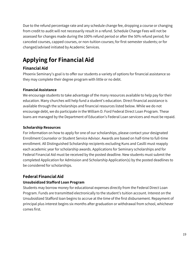Due to the refund percentage rate and any schedule change fee, dropping a course or changing from credit to audit will not necessarily result in a refund. Schedule Change Fees will not be assessed for changes made during the 100% refund period or after the 50% refund period; for canceled courses, capped courses, or non-tuition courses; for first-semester students; or for changed/advised initiated by Academic Services.

# <span id="page-18-0"></span>**Applying for Financial Aid**

## <span id="page-18-1"></span>**Financial Aid**

Phoenix Seminary's goal is to offer our students a variety of options for financial assistance so they may complete their degree program with little or no debt.

## **Financial Assistance**

We encourage students to take advantage of the many resources available to help pay for their education. Many churches will help fund a student's education. Direct financial assistance is available through the scholarships and financial resources listed below. While we do not encourage debt, we do participate in the William D. Ford Federal Direct Loan Program. These loans are managed by the Department of Education's Federal Loan servicers and must be repaid.

## **Scholarship Resources**

For information on how to apply for one of our scholarships, please contact your designated Enrollment Counselor or Student Service Advisor. Awards are based on half-time to full-time enrollment. All Distinguished Scholarship recipients excluding Kuns and Casilli must reapply each academic year for scholarship awards. Applications for Seminary scholarships and for Federal Financial Aid must be received by the posted deadline. New students must submit the completed Application for Admission and Scholarship Application(s) by the posted deadlines to be considered for scholarships.

## <span id="page-18-2"></span>**Federal Financial Aid**

## **Unsubsidized Stafford Loan Program**

Students may borrow money for educational expenses directly from the Federal Direct Loan Program. Funds are transmitted electronically to the student's tuition account. Interest on the Unsubsidized Stafford loan begins to accrue at the time of the first disbursement. Repayment of principal plus interest begins six months after graduation or withdrawal from school, whichever comes first.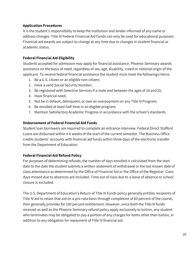## **Application Procedures**

It is the student's responsibility to keep the institution and lender informed of any name or address changes. Title IV Federal Financial Aid Funds can only be used for educational purposes. Financial aid awards are subject to change at any time due to changes in student financial or academic status.

## **Federal Financial Aid Eligibility**

Students accepted for admission may apply for financial assistance. Phoenix Seminary awards assistance on the basis of need, regardless of sex, age, disability, creed or national origin of the applicant. To receive federal financial assistance the student must meet the followingcriteria:

- 1. Be a U.S. citizen or an eligible non-citizen;
- 2. Have a valid Social Security Number;
- 3. Be registered with Selective Services if a male and between the ages of 18 and25;
- 4. Have financial need;
- 5. Not be in default, delinquent, or owe an overpayment on any Title IV Program;
- 6. Be enrolled at least half-time in an eligible program;
- 7. Maintain Satisfactory Academic Progress in accordance with the school's standards.

## **Disbursement of Federal Financial Aid Funds**

Student loan borrowers are required to complete an entrance interview. Federal Direct Stafford Loans are disbursed within 4-6 weeks of the start of the current semester. The Business Office credits students' accounts with financial aid funds within three days of the electronic transfer from the Department of Education.

## **Federal Financial Aid Refund Policy**

For purposes of determining refunds, the number of days enrolled is calculated from the start date to the date the student submits a written statement of withdrawal or the last known date of class attendance as determined by the Office of Financial Aid or the Office of the Registrar. Class days missed due to absences are included. Time out of class due to a leave of absence or school closure is excluded.

The U.S. Department of Education's Return of Title IV Funds policy generally entitles recipients of Title IV aid to retain that aid on a pro-rata basis through completion of 60 percent of the course, then generally provides for 100 percent entitlement. However, since both the Title IV funds received as well as the Phoenix Seminary refund policy apply exclusively to tuition, any student who terminates may be obligated to pay a portion of any charges for items other than tuition, in addition to any obligation for repayment of Title IV financial aid.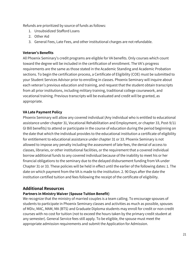Refunds are prioritized by source of funds as follows:

- 1. Unsubsidized Stafford Loans
- 2. Other Aid
- 3. General Fees, Late Fees, and other institutional charges are not refundable.

## **Veteran's Benefits**

All Phoenix Seminary's credit programs are eligible for VA benefits. Only courses which count toward the degree will be included in the certification of enrollment. The VA's progress requirements are the same as those stated in the Academic Standing and Academic Probation sections. To begin the certification process, a Certificate of Eligibility (COE) must be submitted to your Student Services Advisor prior to enrolling in classes. Phoenix Seminary will inquire about each veteran's previous education and training, and request that the student obtain transcripts from all prior institutions, including military training, traditional college coursework, and vocational training. Previous transcripts will be evaluated and credit will be granted, as appropriate.

## **VA Late Payment Policy**

Phoenix Seminary will allow any covered individual (Any individual who is entitled to educational assistance under chapter 31, Vocational Rehabilitation and Employment, or chapter 33, Post-9/11 GI Bill benefits) to attend or participate in the course of education during the period beginning on the date that which the individual provides to the educational institution a certificate of eligibility for entitlement to educational assistance under chapter 31 or 33. Phoenix Seminary is not allowed to impose any penalty including the assessment of late fees, the denial of access to classes, libraries, or other institutional facilities, or the requirement that a covered individual borrow additional funds to any covered individual because of the inability to meet his or her financial obligations to the seminary due to the delayed disbursement funding from VA under Chapter 31 or 33. These policies will be held in effect until the earlier of the following dates: 1. The date on which payment from the VA is made to the institution. 2. 90 Days after the date the institution certified tuition and fees following the receipt of the certificate of eligibility.

## <span id="page-20-0"></span>**Additional Resources**

## **Partners in Ministry Waiver (Spouse Tuition Benefit)**

We recognize that the ministry of married couples is a team calling. To encourage spouses of students to participate in Phoenix Seminary classes and activities as much as possible, spouses of MDiv, MAC, MAM, MA (BTS) and Graduate Diploma students may enroll for credit or non-credit courses with no cost for tuition (not to exceed the hours taken by the primary credit student at any semester). General Service fees still apply. To be eligible, the spouse must meet the appropriate admission requirements and submit the Application for Admission.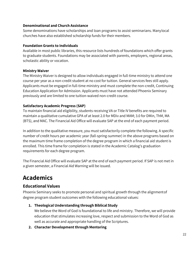## **Denominational and Church Assistance**

Some denominations have scholarships and loan programs to assist seminarians. Manylocal churches have also established scholarship funds for their members.

#### **Foundation Grants to Individuals**

Available in most public libraries, this resource lists hundreds of foundations which offer grants to graduate students. Foundations may be associated with parents, employers, regional areas, scholastic ability or vocation.

## **Ministry Waiver**

The Ministry Waiver is designed to allow individuals engaged in full-time ministry to attend one course per year as a non-credit student at no cost for tuition. General services fees still apply. Applicants must be engaged in full-time ministry and must complete the non-credit, Continuing Education Application for Admission. Applicants must have not attended Phoenix Seminary previously and are limited to one tuition-waived non-credit course.

## **Satisfactory Academic Progress (SAP)**

To maintain financial aid eligibility, students receiving VA or Title IV benefits are required to maintain a qualitative cumulative GPA of at least 2.0 for MDiv and MAM; 3.0 for DMin, ThM, MA (BTS), and MAC. The Financial Aid Office will evaluate SAP at the end of each payment period.

In addition to the qualitative measure, you must satisfactorily complete the following. A specific number of credit hours per academic year (fall-spring-summer) in the above programs based on the maximum time frame completion of the degree program in which a financial aid student is enrolled. This time frame for completion is stated in the Academic Catalog's graduation requirements for each degree program.

The Financial Aid Office will evaluate SAP at the end of each payment period. If SAP is not met in a given semester, a Financial Aid Warning will be issued.

# <span id="page-21-0"></span>**Academics**

## <span id="page-21-1"></span>**Educational Values**

Phoenix Seminary seeks to promote personal and spiritual growth through the alignmentof degree program student outcomes with the following educational values:

**1. Theological Understanding through Biblical Study**

We believe the Word of God is foundational to life and ministry. Therefore, we will provide education that stimulates increasing love, respect and submission to the Word of God as well as accurate and appropriate handling of the Scriptures.

**2. Character Development through Mentoring**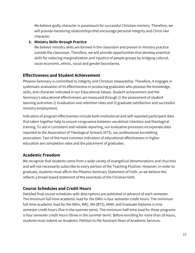We believe godly character is paramount for successful Christian ministry. Therefore, we will provide mentoring relationships that encourage personal integrity and Christ-like character.

## **3. Ministry Skills through Practice**

We believe ministry skills are formed in the classroom and proven in ministry practice outside the classroom. Therefore, we will provide opportunities that develop essential skills for reducing marginalization and injustice of people groups by bridging cultural, socio-economic, ethnic, racial and gender boundaries.

## <span id="page-22-0"></span>**Effectiveness and Student Achievement**

Phoenix Seminary is committed to integrity and Christian stewardship. Therefore, it engages in systematic evaluation of its effectiveness in producing graduates who possess the knowledge, skills, and character indicated in our Educational Values. Student achievement and the Seminary's educational effectiveness are measured through 1) the assessment of student learning outcomes 2) Graduation and retention rates and 3) graduate satisfaction and successful ministry employment.

Indicators of program effectiveness include both institutional and self-reported participant data that taken together help to ensure congruence between vocational intention and theological training. To aid in consistent and reliable reporting, our evaluative processes incorporate data reported to the Association of Theological Schools (ATS), our professional accrediting association. Two of the most common indicators of educational effectiveness in higher education are completion rates and the placement of graduates.

## <span id="page-22-1"></span>**Academic Freedom**

We recognize that students come from a wide variety of evangelical denominations and churches and will not necessarily subscribe to every portion of the Teaching Position. However, in order to graduate, students must affirm the Phoenix Seminary Statement of Faith, as we believe this reflects a broad-based statement of the essentials of the Christian faith.

## <span id="page-22-2"></span>**Course Schedules and Credit Hours**

Detailed final course schedules with descriptions are published in advance of each semester. The minimum full-time academic load for the DMin is four semester credit hours. The minimum full-time academic load for the MDiv, MAC, MA (BTS), MAM, and Graduate Diploma is nine semester credit hours (five in the summer term). The minimum half-time load for these programs is four semester credit hours (three in the summer term). Before enrolling for more than 18 hours, students must submit an Academic Petition to the Assistant Dean of Academic Services.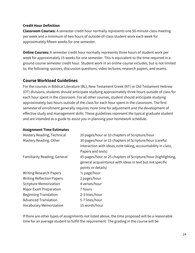#### **Credit Hour Definition**

**Classroom Courses:** A semester credit hour normally represents one 50-minute class meeting per week and a minimum of two hours of outside-of-class student work each week for approximately fifteen weeks for one semester.

**Online Courses:** A semester credit hour normally represents three hours of student work per week for approximately 15 weeks for one semester. This is equivalent to the time required in a ground course semester credit hour. Student work in an online course includes, but is not limited to, the following: quizzes, discussion questions, video lectures, research papers, and exams.

## <span id="page-23-0"></span>**Course Workload Guidelines**

For the courses in Biblical Literature (BL), New Testament Greek (NT) or Old Testament Hebrew (OT) divisions, students should anticipate studying approximately three hours outside of class for each hour spent in the classroom. For all other courses, student should anticipate studying approximately two hours outside of the class for each hour spent in the classroom. The first semester of enrollment generally requires more time for adjustment and the development of effective study and management skills. These guidelines represent the typical graduate student and are intended as a guide to assist you in planning your homework schedule.

#### **Assignment Time Estimates**

| Mastery Reading, Technical          | 20 pages/hour or 10 chapters of Scripture/hour                |
|-------------------------------------|---------------------------------------------------------------|
| Mastery Reading, Other              | 30 pages/hour or 15 chapters of Scripture/hour (careful       |
|                                     | Interaction with ideas, note taking, accountability in class, |
|                                     | Papers and tests)                                             |
| <b>Familiarity Reading, General</b> | 45 pages/hour or 25 chapters of Scripture/hour (highlighting, |
|                                     | general acquaintance with ideas in text but not specific      |
|                                     | points or details)                                            |
| <b>Writing Research Papers</b>      | $\frac{1}{2}$ page/hour                                       |
| <b>Writing Reflection Papers</b>    | 2 pages/hour                                                  |
| <b>Scripture Memorization</b>       | 4 verses/hour                                                 |
| Major Exam Preparation              | 7 hours                                                       |
| Beginning Translation               | 2-3 lines/hour                                                |
| <b>Advanced Translation</b>         | 5-7 lines/hour                                                |
| <b>Vocabulary Memorization</b>      | 15 words/hour                                                 |

If there are other types of assignments not listed above, the time proposed will be a reasonable time for an average student to fulfill the requirement. The grading in the course will be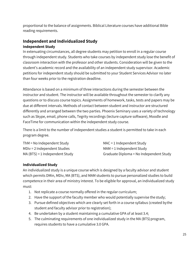proportional to the balance of assignments. Biblical Literature courses have additional Bible reading requirements.

## <span id="page-24-0"></span>**Independent and Individualized Study Independent Study**

In extenuating circumstances, all degree students may petition to enroll in a regular course through independent study. Students who take courses by independent study lose the benefit of classroom interaction with the professor and other students. Consideration will be given to the student's academic record and the availability of an independent study supervisor. Academic petitions for independent study should be submitted to your Student Services Advisor no later than four weeks prior to the registration deadline.

Attendance is based on a minimum of three interactions during the semester between the instructor and student. The instructor will be available throughout the semester to clarify any questions or to discuss course topics. Assignments of homework, tasks, tests and papers may be due at different intervals. Methods of contact between student and instructor are structured differently and arranged between the two parties. Phoenix Seminary uses a variety of technology such as Skype, email, phone calls, Tegrity recordings (lecture capture software), Moodle and FaceTime for communication within the independent study course.

There is a limit to the number of independent studies a student is permitted to take in each program degree.

| $ThM = No$ Independent Study    | $MAC = 1$ Independent Study             |
|---------------------------------|-----------------------------------------|
| $MDiv = 2$ Independent Studies  | $MAM = 1$ Independent Study             |
| $MA(BTS) = 1$ Independent Study | Graduate Diploma = No Independent Study |

## **Individualized Study**

An individualized study is a unique course which is designed by a faculty advisor and student which permits DMin, MDiv, MA (BTS), and MAM students to pursue personalized studies to build competence in their area of ministry interest. To be eligible for approval, an individualized study must:

- 1. Not replicate a course normally offered in the regular curriculum;
- 2. Have the support of the faculty member who would potentially supervise the study;
- 3. Pursue defined objectives which are clearly set forth in a course syllabus (created bythe student and faculty advisor prior to registration);
- 4. Be undertaken by a student maintaining a cumulative GPA of at least 3.4;
- 5. The culminating requirements of one individualized study in the MA (BTS)program, requires students to have a cumulative 3.0 GPA.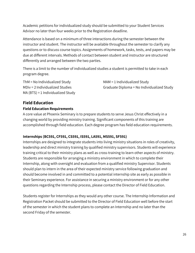Academic petitions for individualized study should be submitted to your Student Services Advisor no later than four weeks prior to the Registration deadline.

Attendance is based on a minimum of three interactions during the semester between the instructor and student. The instructor will be available throughout the semester to clarify any questions or to discuss course topics. Assignments of homework, tasks, tests, and papers may be due at different intervals. Methods of contact between student and instructor are structured differently and arranged between the two parties.

There is a limit to the number of individualized studies a student is permitted to take in each program degree.

 $ThM = No$  Individualized Study MAM = 1 Individualized Study MA (BTS) = 1 Individualized Study

MDiv = 2 Individualized Studies Graduate Diploma = No Individualized Study

## <span id="page-25-0"></span>**Field Education Field Education Requirements**

A core value at Phoenix Seminary is to prepare students to serve Jesus Christ effectively in a changing world by providing ministry training. Significant components of this training are accomplished through field education. Each degree program has field education requirements.

## **Internships (BC591, CF591, CS591, IS591, LA591, MS591, SF591)**

Internships are designed to integrate students into living ministry situations in roles of creativity, leadership and direct ministry training by qualified ministry supervisors. Students will experience training critical to their ministry plans as well as cross-training to learn other aspects of ministry. Students are responsible for arranging a ministry environment in which to complete their Internship, along with oversight and evaluation from a qualified ministry Supervisor. Students should plan to intern in the area of their expected ministry service following graduation and should become involved in and committed to a potential internship site as early as possible in their Seminary experience. For assistance in securing a ministry environment or for any other questions regarding the Internship process, please contact the Director of Field Education.

Students register for Internships as they would any other course. The Internship Information and Registration Packet should be submitted to the Director of Field Education well before the start of the semester in which the student plans to complete an Internship and no later than the second Friday of the semester.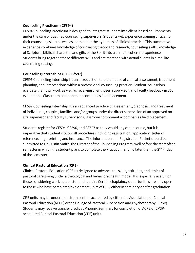## **Counseling Practicum (CF594)**

CF594 Counseling Practicum is designed to integrate students into client-based environments under the care of qualified counseling supervisors. Students will experience training critical to their counseling skills as well as learn about the dynamics of clinical practice. This summative experience combines knowledge of counseling theory and research, counseling skills, knowledge of Scripture, biblical character, and gifts of the Spirit into a unified, coherent experience. Students bring together these different skills and are matched with actual clients in a real life counseling setting.

## **Counseling Internships (CF596/597)**

CF596 Counseling Internship I is an introduction to the practice of clinical assessment, treatment planning, and interventions within a professional counseling practice. Student-counselors evaluate their own work as well as receiving client, peer, supervisor, and faculty feedback in 360 evaluations. Classroom component accompanies field placement.

CF597 Counseling Internship II is an advanced practice of assessment, diagnosis, and treatment of individuals, couples, families, and/or groups under the direct supervision of an approved onsite supervisor and faculty supervisor. Classroom component accompanies field placement.

Students register for CF594, CF596, and CF597 as they would any other course, but it is imperative that students follow all procedures including registration, application, letter of reference, fingerprinting and insurance. The information and Registration Packet should be submitted to Dr. Justin Smith, the Director of the Counseling Program, well before the start ofthe semester in which the student plans to complete the Practicum and no later than the  $2^{nd}$  Friday of the semester.

## **Clinical Pastoral Education (CPE)**

Clinical Pastoral Education (CPE) is designed to advance the skills, attitudes, and ethics of pastoral care giving under a theological and behavioral health model. It is especially useful for those considering work as a pastor or chaplain. Certain chaplaincy opportunities are only open to those who have completed two or more units of CPE, either in seminary or after graduation.

CPE units may be undertaken from centers accredited by either the Association for Clinical Pastoral Education (ACPE) or the College of Pastoral Supervision and Psychotherapy (CPSP). Students may receive transfer credit at Phoenix Seminary for completion of ACPE or CPSPaccredited Clinical Pastoral Education (CPE) units.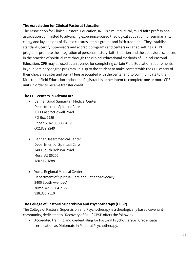## **The Association for Clinical Pastoral Education**

The Association for Clinical Pastoral Education, INC. is a multicultural, multi-faith professional association committed to advancing experience-based theological education for seminarians, clergy and lay persons of diverse cultures, ethnic groups and faith traditions. They establish standards, certify supervisors and accredit programs and centers in varied settings. ACPE programs promote the integration of personal history, faith tradition and the behavioral sciences in the practice of spiritual care through the clinical educational methods of Clinical Pastoral Education. CPE may be used as an avenue for completing certain Field Education requirements in your Seminary degree program. It is up to the student to make contact with the CPE center of their choice, register and pay all fees associated with the center and to communicate to the Director of Field Education and/or the Registrar his or her intent to complete one or more CPE units in order to receive transfer credit.

## **The CPE centers in Arizona are:**

- Banner Good Samaritan MedicalCenter Department of Spiritual Care 1111 East McDowell Road PO Box 2989 Phoenix, AZ 85006-2612 602.839.2249
- Banner Desert Medical Center Department of Spiritual Care 1400 South Dobson Road Mesa, AZ 85202 480.412.4888
- Yuma Regional Medical Center Department of Spiritual Care and PatientAdvocacy 2400 South Avenue A Yuma, AZ 85364-7127 928.336.7510

## **The College of Pastoral Supervision and Psychotherapy (CPSP)**

The College of Pastoral Supervision and Psychotherapy is a theologically based covenant community, dedicated to "Recovery of Sou." CPSP offers the following:

 Accredited training and credentialing for Pastoral Psychotherapy. Credentialis certification as Diplomate in Pastoral Psychotherapy.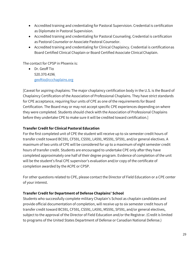- Accredited training and credentialing for Pastoral Supervision. Credential is certification as Diplomate in Pastoral Supervision.
- Accredited training and credentialing for Pastoral Counseling. Credential is certification as Pastoral Counselor or Associate Pastoral Counselor.
- Accredited training and credentialing for Clinical Chaplaincy. Credential is certificationas Board Certified Clinical Chaplain or Board Certified Associate Clinical Chaplain.

The contact for CPSP in Phoenix is:

 Dr. Geoff Tio 520.370.4196 [geoftio@ccchaplains.org](mailto:geoftio@ccchaplains.org)

[Caveat for aspiring chaplains: The major chaplaincy certification body in the U.S. is the Board of Chaplaincy Certification of the Association of Professional Chaplains. They have strict standards for CPE acceptance, requiring four units of CPE as one of the requirements for Board Certification. The Board may or may not accept specific CPE experiences depending on where they were completed. Students should check with the Association of Professional Chaplains before they undertake CPE to make sure it will be credited toward certification.]

## **Transfer Credit for Clinical Pastoral Education**

For the first completed unit of CPE the student will receive up to six semester credit hours of transfer credit toward BC591, CF591, CS591, LA591, MS591, SF591, and/or general electives. A maximum of two units of CPE will be considered for up to a maximum of eight semester credit hours of transfer credit. Students are encouraged to undertake CPE only after they have completed approximately one half of their degree program. Evidence of completion of the unit will be the student's final CPE supervisor's evaluation and/or copy of the certificate of completion awarded by the ACPE or CPSP.

For other questions related to CPE, please contact the Director of Field Education or a CPE center of your interest.

#### **Transfer Credit for Department of Defense Chaplains' School**

Students who successfully complete military Chaplain's School as chaplain candidates and provide official documentation of completion, will receive up to six semester credit hours of transfer credit toward BC591, CF591, CS591, LA591, MS591, SF591, and/or general electives, subject to the approval of the Director of Field Education and/or the Registrar. (Credit is limited to programs of the United States Department of Defense or Canadian National Defense.)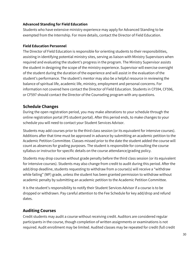## **Advanced Standing for Field Education**

Students who have extensive ministry experience may apply for Advanced Standing to be exempted from the Internship. For more details, contact the Director of Field Education.

#### **Field Education Personnel**

The Director of Field Education is responsible for orienting students to their responsibilities, assisting in identifying potential ministry sites, serving as liaison with Ministry Supervisors when required and evaluating the student's progress in the program. The Ministry Supervisor assists the student in designing the scope of the ministry experience. Supervisor will exercise oversight of the student during the duration of the experience and will assist in the evaluation of the student's performance. The student's mentor may also be a helpful resource in reviewing the balance of spiritual life, academic life, ministry, employment and personal concerns. For information not covered here contact the Director of Field Education. Students in CF594, CF596, or CF597 should contact the Director of the Counseling program with any questions.

## <span id="page-29-0"></span>**Schedule Changes**

During the open registration period, you may make alterations to your schedule through the online registration portal (PS student portal). After this period ends, to make changes to your schedule you will need to contact your Student Services Advisor.

Students may add courses prior to the third class session (or its equivalent for intensive courses). Additions after that time must be approved in advance by submitting an academic petition to the Academic Petition Committee. Classes missed prior to the date the student added the course will count as absences for grading purposes. The student is responsible for consulting the course syllabus or instructor for specific details on the course attendance/grading policy.

Students may drop courses without grade penalty before the third class session (or its equivalent for intensive courses). Students may also change from credit to audit during this period. After the add/drop deadline, students requesting to withdraw from a course(s) will receive a "withdraw while failing" (WF) grade, unless the student has been granted permission to withdraw without academic penalty by submitting an academic petition to the Academic Petition Committee.

It is the student's responsibility to notify their Student Services Advisor if a course is to be dropped or withdrawn. Pay careful attention to the Fee Schedule for key add/drop and refund dates.

## <span id="page-29-1"></span>**Auditing Courses**

Credit students may audit a course without receiving credit. Auditors are considered regular participants in the course, though completion of written assignments or examinations is not required. Audit enrollment may be limited. Audited classes may be repeated for credit (full credit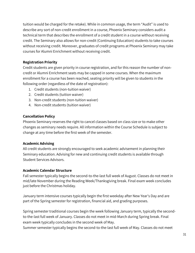tuition would be charged for the retake). While in common usage, the term "Audit" is used to describe any sort of non-credit enrollment in a course, Phoenix Seminary considers audit a technical term that describes the enrollment of a credit student in a course without receiving credit. The Seminary also allows for non-credit (Continuing Education) students to take courses without receiving credit. Moreover, graduates of credit programs at Phoenix Seminary may take courses for Alumni Enrichment without receiving credit.

## **Registration Priority**

Credit students are given priority in course registration, and for this reason the number of noncredit or Alumni Enrichment seats may be capped in some courses. When the maximum enrollment for a course has been reached, seating priority will be given to students in the following order (regardless of the date of registration):

- 1. Credit students (non-tuition waiver)
- 2. Credit students (tuition waiver)
- 3. Non-credit students (non-tuition waiver)
- 4. Non-credit students (tuition waiver)

## **Cancellation Policy**

Phoenix Seminary reserves the right to cancel classes based on class size or to make other changes as seminary needs require. All information within the Course Schedule is subject to change at any time before the first week of the semester.

## **Academic Advising**

All credit students are strongly encouraged to seek academic advisement in planning their Seminary education. Advising for new and continuing credit students is available through Student Services Advisors.

#### **Academic Calendar Structure**

Fall semester typically begins the second-to-the-last full week of August. Classes do not meet in mid/late November during the Reading Week/Thanksgiving break. Final exam week concludes just before the Christmas holiday.

January term intensive courses typically begin the first weekday after New Year's Day and are part of the Spring semester for registration, financial aid, and grading purposes.

Spring semester traditional courses begin the week following January term, typically the secondto-the-last full week of January. Classes do not meet in mid-March during Spring break. Final exam week typically concludes in the second week of May.

Summer semester typically begins the second-to-the-last full week of May. Classes do not meet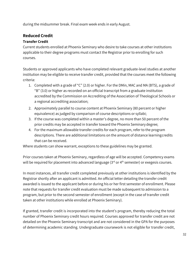during the midsummer break. Final exam week ends in early August.

## <span id="page-31-0"></span>**Reduced Credit**

## <span id="page-31-1"></span>**Transfer Credit**

Current students enrolled at Phoenix Seminary who desire to take courses at other institutions applicable to their degree programs must contact the Registrar prior to enrolling for such courses.

Students or approved applicants who have completed relevant graduate-level studies at another institution may be eligible to receive transfer credit, provided that the courses meet the following criteria:

- 1. Completed with a grade of "C" (2.0) or higher. For the DMin, MAC and MA (BTS), a grade of "B" (3.0) or higher as recorded on an official transcript from a graduate institution accredited by the Commission on Accrediting of the Association of Theological Schools or a regional accrediting association;
- 2. Approximately parallel to course content at Phoenix Seminary (80 percent or higher equivalence) as judged by comparison of course descriptions or syllabi;
- 3. If the course was completed within a master's degree, no more than 50 percent of the prior credits may be accepted in transfer toward the Phoenix Seminary degree;
- 4. For the maximum allowable transfer credits for each program, refer to the program descriptions. There are additional limitations on the amount of distance learningcredits that can be received.

Where students can show warrant, exceptions to these guidelines may be granted.

Prior courses taken at Phoenix Seminary, regardless of age will be accepted. Competency exams will be required for placement into advanced language (3<sup>rd</sup> or 4<sup>th</sup> semester) or exegesis courses.

In most instances, all transfer credit completed previously at other institutions is identified by the Registrar shortly after an applicant is admitted. An official letter detailing the transfer credit awarded is issued to the applicant before or during his or her first semester of enrollment. Please note that requests for transfer credit evaluation must be made subsequent to admission to a program, but prior to the second semester of enrollment (except in the case of transfer credit taken at other institutions while enrolled at Phoenix Seminary).

If granted, transfer credit is incorporated into the student's program, thereby reducing the total number of Phoenix Seminary credit hours required. Courses approved for transfer credit are not detailed on the Phoenix Seminary transcript and are not considered in the GPA for the purposes of determining academic standing. Undergraduate coursework is not eligible for transfer credit,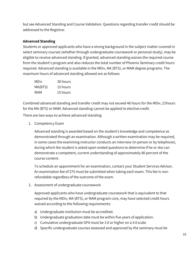but see Advanced Standing and Course Validation. Questions regarding transfer credit should be addressed to the Registrar.

## <span id="page-32-0"></span>**Advanced Standing**

Students or approved applicants who have a strong background in the subject matter covered in select seminary courses (whether through undergraduate coursework or personal study), may be eligible to receive advanced standing. If granted, advanced standing waives the required course from the student's program and also reduces the total number of Phoenix Seminary credit hours required. Advanced standing is available in the MDiv, MA (BTS), or MAM degree programs. The maximum hours of advanced standing allowed are as follows:

| MDiv    | 30 hours |
|---------|----------|
| MA(BTS) | 15 hours |
| MAM     | 15 hours |

Combined advanced standing and transfer credit may not exceed 46 hours for the MDiv, 23hours for the MA (BTS) or MAM. Advanced standing cannot be applied to elective credit.

There are two ways to achieve advanced standing:

1. Competency Exam

Advanced standing is awarded based on the student's knowledge and competence as demonstrated through an examination. Although a written examination may be required, in some cases the examining instructor conducts an interview (in person or by telephone), during which the student is asked open-ended questions to determine if he or she can demonstrate a competent, current understanding of approximately 80 percent of the course content.

To schedule an appointment for an examination, contact your Student Services Advisor. An examination fee of \$75 must be submitted when taking each exam. This fee is nonrefundable regardless of the outcome of the exam.

2. Assessment of undergraduate coursework

Approved applicants who have undergraduate coursework that is equivalent to that required by the MDiv, MA (BTS), or MAM program core, may have selected credit hours waived according to the following requirements:

- a) Undergraduate institution must be accredited.
- b) Undergraduate graduation date must be within five years of application.
- c) Cumulative undergraduate GPA must be 3.0 or higher on a 4.0 scale.
- d) Specific undergraduate courses assessed and approved by the seminary must be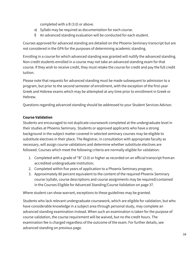completed with a B (3.0) or above.

- e) Syllabi may be required as documentation for each course.
- f) An advanced standing evaluation will be conducted for each student.

Courses approved for advanced standing are detailed on the Phoenix Seminary transcript but are not considered in the GPA for the purposes of determining academic standing.

Enrolling in a course for which advanced standing was granted will nullify the advanced standing. Non-credit students enrolled in a course may not take an advanced standing exam for that course. If they wish to receive credit, they must retake the course for credit and pay the full credit tuition.

Please note that requests for advanced standing must be made subsequent to admission to a program, but prior to the second semester of enrollment, with the exception of the first-year Greek and Hebrew exams which may be attempted at any time prior to enrollment in Greek or Hebrew.

Questions regarding advanced standing should be addressed to your Student Services Advisor.

## <span id="page-33-0"></span>**Course Validation**

Students are encouraged to not duplicate coursework completed at the undergraduate level in their studies at Phoenix Seminary. Students or approved applicants who have a strong background in the subject matter covered in selected seminary courses may be eligible to substitute electives in their place. The Registrar, in consultation with appropriate faculty as necessary, will assign course validations and determine whether substitute electives are followed. Courses which meet the following criteria are normally eligible for validation:

- 1. Completed with a grade of "B" (3.0) or higher as recorded on an official transcript froman accredited undergraduate institution;
- 2. Completed within five years of application to a Phoenix Seminary program;
- 3. Approximately 80 percent equivalent to the content of the required Phoenix Seminary course (syllabi, course descriptions and course assignments may be required)contained in the Courses Eligible for Advanced Standing/Course Validation on page 37.

Where student can show warrant, exceptions to these guidelines may be granted.

Students who lack relevant undergraduate coursework, which are eligible for validation, but who have considerable knowledge in a subject area through personal study, may complete an advanced standing examination instead. When such an examination is taken for the purpose of course validation, the course requirement will be waived, but no the credit hours. The examination fee is charged regardless of the outcome of the exam. For further details, see advanced standing on previous page.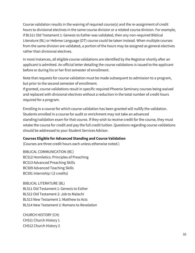Course validation results in the waiving of required course(s) and the re-assignment of credit hours to divisional electives in the same course division or a related course division. For example, if BL511 Old Testament 1: Genesis to Esther was validated, then any non-required Biblical Literature (BL) or Hebrew Language (OT) course could be taken instead. When multiple courses from the same division are validated, a portion of the hours may be assigned as general electives rather than divisional electives.

In most instances, all eligible course validations are identified by the Registrar shortly after an applicant is admitted. An official letter detailing the course validations is issued to the applicant before or during his or her first semester of enrollment.

Note that requests for course validation must be made subsequent to admission to a program, but prior to the second semester of enrollment.

If granted, course validations result in specific required Phoenix Seminary courses being waived and replaced with divisional electives without a reduction in the total number of credit hours required for a program.

Enrolling in a course for which course validation has been granted will nullify the validation. Students enrolled in a course for audit or enrichment may not take an advanced standing/validation exam for that course. If they wish to receive credit for the course, they must retake the course for credit and pay the full credit tuition. Questions regarding course validations should be addressed to your Student Services Advisor.

#### <span id="page-34-0"></span>**Courses Eligible for Advanced Standing and Course Validation**

(Courses are three credit hours each unless otherwise noted.)

BIBLICAL COMMUNICATION (BC) BC512 Homiletics: Principles of Preaching BC513 Advanced Preaching Skills BC509 Advanced Teaching Skills BC591 Internship I (2 credits)

BIBLICAL LITERATURE (BL) BL511 Old Testament 1: Genesis to Esther BL512 Old Testament 2: Job to Malachi BL513 New Testament 1: Matthew to Acts BL514 New Testament 2: Romans to Revelation

CHURCH HISTORY (CH) CH511 Church History 1 CH512 Church History 2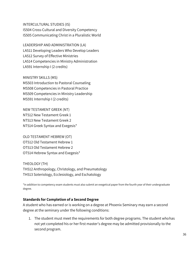INTERCULTURAL STUDIES (IS) IS504 Cross-Cultural and Diversity Competency IS505 Communicating Christ in a Pluralistic World

LEADERSHIP AND ADMINISTRATION (LA) LA511 Developing Leaders Who Develop Leaders LA512 Survey of Effective Ministries LA514 Competencies in Ministry Administration LA591 Internship I (2 credits)

MINISTRY SKILLS (MS) MS503 Introduction to Pastoral Counseling MS508 Competencies in Pastoral Practice MS509 Competencies in Ministry Leadership MS591 Internship I (2 credits)

NEW TESTAMENT GREEK (NT) NT512 New Testament Greek 1 NT513 New Testament Greek 2 NT514 Greek Syntax and Exegesis\*

OLD TESTAMENT HEBREW (OT) OT512 Old Testament Hebrew 1 OT513 Old Testament Hebrew 2 OT514 Hebrew Syntax and Exegesis\*

THEOLOGY (TH) TH512 Anthropology, Christology, and Pneumatology TH513 Soteriology, Ecclesiology, and Eschatology

\*In addition to competency exam students must also submit an exegetical paper from the fourth year of their undergraduate degree.

#### <span id="page-35-0"></span>**Standards for Completion of a Second Degree**

A student who has earned or is working on a degree at Phoenix Seminary may earn a second degree at the seminary under the following conditions:

1. The student must meet the requirements for both degree programs. The student whohas not yet completed his or her first master's degree may be admitted provisionally to the second program.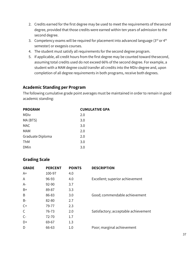- 2. Credits earned for the first degree may be used to meet the requirements of thesecond degree, provided that those credits were earned within ten years of admission to the second degree.
- 3. Competency exams will be required for placement into advanced language ( $3^{rd}$  or  $4^{th}$ semester) or exegesis courses.
- 4. The student must satisfy all requirements for the second degree program.
- 5. If applicable, all credit hours from the first degree may be counted toward thesecond, assuming total credits used do not exceed 66% of the second degree. For example, a student with a MAM degree could transfer all credits into the MDiv degree and, upon completion of all degree requirements in both programs, receive both degrees.

# **Academic Standing per Program**

The following cumulative grade point averages must be maintained in order to remain in good academic standing:

| <b>PROGRAM</b>   | <b>CUMULATIVE GPA</b> |
|------------------|-----------------------|
| MDiv             | 2.0                   |
| MA (BTS)         | 3.0                   |
| <b>MAC</b>       | 3.0                   |
| MAM              | 2.0                   |
| Graduate Diploma | 2.0                   |
| <b>ThM</b>       | 3.0                   |
| <b>DMin</b>      | 3.0                   |
|                  |                       |

# **Grading Scale**

| <b>GRADE</b> | <b>PERCENT</b> | <b>POINTS</b> | <b>DESCRIPTION</b>                   |
|--------------|----------------|---------------|--------------------------------------|
| $A+$         | 100-97         | 4.0           |                                      |
| A            | 96-93          | 4.0           | Excellent; superior achievement      |
| A-           | 92-90          | 3.7           |                                      |
| B+           | 89-87          | 3.3           |                                      |
| B            | 86-83          | 3.0           | Good; commendable achievement        |
| B-           | 82-80          | 2.7           |                                      |
| $C+$         | 79-77          | 2.3           |                                      |
| C            | 76-73          | 2.0           | Satisfactory; acceptable achievement |
| $C-$         | 72-70          | 1.7           |                                      |
| D+           | 69-67          | 1.3           |                                      |
| D            | 66-63          | 1.0           | Poor; marginal achievement           |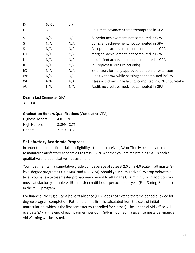| D-        | 62-60  | 0.7 |                                                            |
|-----------|--------|-----|------------------------------------------------------------|
| F         | $59-0$ | 0.0 | Failure to advance /0 credit/computed in GPA               |
| $S+$      | N/A    | N/A | Superior achievement; not computed in GPA                  |
| S         | N/A    | N/A | Sufficient achievement; not computed in GPA                |
| $S-$      | N/A    | N/A | Acceptable achievement; not computed in GPA                |
| $U +$     | N/A    | N/A | Marginal achievement; not computed in GPA                  |
| U         | N/A    | N/A | Insufficient achievement; not computed in GPA              |
| IP        | N/A    | N/A | In Progress (DMin Project only)                            |
| EX        | N/A    | N/A | Extension; formally-approved petition for extension        |
| <b>WP</b> | N/A    | N/A | Class withdraw while passing; not computed in GPA          |
| WF        | N/A    | N/A | Class withdraw while failing; computed in GPA until retake |
| AU        | N/A    | N/A | Audit; no credit earned, not computed in GPA               |

#### **Dean's List** (Semester GPA)

 $3.6 - 4.0$ 

#### **Graduation Honors Qualifications** (Cumulative GPA)

| Highest Honors: | $4.0 - 3.9$    |
|-----------------|----------------|
| High Honors:    | $3.899 - 3.75$ |
| Honors:         | $3.749 - 3.6$  |

# **Satisfactory Academic Progress**

In order to maintain financial aid eligibility, students receiving VA or Title IV benefits are required to maintain Satisfactory Academic Progress (SAP). Whether you are maintaining SAP is both a qualitative and quantitative measurement.

You must maintain a cumulative grade point average of at least 2.0 on a 4.0 scale in all master'slevel degree programs (3.0 in MAC and MA (BTS)). Should your cumulative GPA drop below this level, you have a two-semester probationary period to attain the GPA minimum. In addition, you must satisfactorily complete: 15 semester credit hours per academic year (Fall-Spring-Summer) in the MDiv program.

For financial aid eligibility, a leave of absence (LOA) does not extend the time period allowed for degree program completion. Rather, the time limit is calculated from the date of initial matriculation (which is the first semester you enrolled for classes). The Financial Aid Office will evaluate SAP at the end of each payment period. If SAP is not met in a given semester, a Financial Aid Warning will be issued.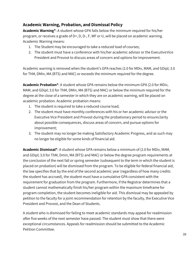# **Academic Warning, Probation, and Dismissal Policy**

**Academic Warning\***: A student whose GPA falls below the minimum required for his/her program, or receives a grade of D+, D, D-, F, WF or U, will be placed on academic warning. Academic Warning means:

- 1. The Student may be encouraged to take a reduced load of courses;
- 2. The student must have a conference with his/her academic advisor or the ExecutiveVice President and Provost to discuss areas of concern and options forimprovement.

Academic warning is removed when the student's GPA reaches (2.0 for MDiv, MAM, and GDipl; 3.0 for ThM, DMin, MA (BTS) and MAC) or exceeds the minimum required for the degree.

**Academic Probation\***: A student whose GPA remains below the minimum GPA (2.0 for MDiv, MAM, and GDipl; 3.0 for ThM, DMin, MA (BTS) and MAC) or below the minimum required for the degree at the close of a semester in which they are on academic warning, will be placed on academic probation. Academic probation means:

- 1. The student is required to take a reduced course load;
- 2. The student must have monthly conferences with his or her academic advisor or the Executive Vice President and Provost during the probationary period to ensureclarity about possible consequences, discuss areas of concern, and pursue options for improvement;
- 3. The student may no longer be making Satisfactory Academic Progress, and as such may no longer be eligible for some kinds of financial aid.

**Academic Dismissal\***: A student whose GPA remains below a minimum of (2.0 for MDiv, MAM, and GDipl; 3.0 for ThM, Dmin, MA (BTS) and MAC) or below the degree program requirements at the conclusion of the next fall or spring semester (subsequent to the term in which the student is placed on probation) will be dismissed from the program. To be eligible for federal financial aid, the law specifies that by the end of the second academic year (regardless of how many credits the student has accrued), the student must have a cumulative GPA consistent with the requirement for graduation from the program. Furthermore, if the Registrar determines that a student cannot mathematically finish his/her program within the maximum timeframe for program completion, the student becomes ineligible for aid. This dismissal may be appealed by petition to the faculty for a joint recommendation for retention by the faculty, the Executive Vice President and Provost, and the Dean of Students.

A student who is dismissed for failing to meet academic standards may appeal for readmission after five weeks of the next semester have passed. The student must show that there were exceptional circumstances. Appeals for readmission should be submitted to the Academic Petition Committee.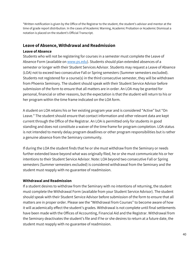\*Written notification is given by the Office of the Registrar to the student, the student's advisor and mentor at the time of grade report distribution. In the cases of Academic Warning, Academic Probation or Academic Dismissal a notation is placed on the student's Official Transcript.

## **Leave of Absence, Withdrawal and Readmission**

#### **Leave of Absence**

Students who will not be registering for courses in a semester must complete the Leave of Absence Form (available on [www.ps.edu\)](http://www.ps.edu/). Students should plan extended absences of a semester or longer with their Student Services Advisor. Students may request a Leave of Absence (LOA) not to exceed two consecutive Fall or Spring semesters (Summer semesters excluded). Students not registered for a course(s) in the third consecutive semester, they will be withdrawn from Phoenix Seminary. The student should speak with their Student Service Advisor before submission of the form to ensure that all matters are in order. An LOA may be granted for personal, financial or other reasons, but the expectation is that the student will return to his or her program within the time frame indicated on the LOA form.

A student on LOA retains his or her existing program year and is considered "Active" but "On Leave." The student should ensure that contact information and other relevant data are kept current through the Office of the Registrar. An LOA is permitted only for students in good standing and does not constitute a waiver of the time frame for program completion. LOA status is not intended to merely delay program deadlines or other program responsibilities but is rather a genuine absence from the Seminary community.

If during the LOA the student finds that he or she must withdraw from the Seminary or needs further extended leave beyond what was originally filed, he or she must communicate his or her intentions to their Student Service Advisor. Note: LOA beyond two consecutive Fall or Spring semesters (Summer semesters excluded) is considered withdrawal from the Seminary and the student must reapply with no guarantee of readmission.

#### **Withdrawal and Readmission**

If a student desires to withdraw from the Seminary with no intentions of returning, the student must complete the Withdrawal Form (available from your Student Service Advisor). The student should speak with their Student Service Advisor before submission of the form to ensure that all matters are in proper order. Please see the "Withdrawal from Courses" to become aware of how it will academically effect the student's grades. Withdrawal is not complete until final settlements have been made with the Offices of Accounting, Financial Aid and the Registrar. Withdrawal from the Seminary deactivates the student's file and if he or she desires to return at a future date, the student must reapply with no guarantee of readmission.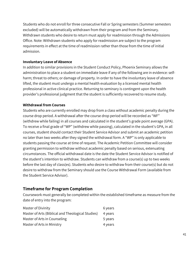Students who do not enroll for three consecutive Fall or Spring semesters (Summer semesters excluded) will be automatically withdrawn from their program and from the Seminary. Withdrawn students who desire to return must apply for readmission through the Admissions Office. Note: Withdrawn students who apply for readmission are subject to the program requirements in effect at the time of readmission rather than those from the time of initial admission.

#### **Involuntary Leave of Absence**

In addition to similar provisions in the Student Conduct Policy, Phoenix Seminary allows the administration to place a student on immediate leave if any of the following are in evidence: selfharm; threat to others; or damage of property. In order to have the involuntary leave of absence lifted, the student must undergo a mental health evaluation by a licensed mental health professional in active clinical practice. Returning to seminary is contingent upon the health provider's professional judgment that the student is sufficiently recovered to resume study.

#### **Withdrawal from Courses**

Students who are currently enrolled may drop from a class without academic penalty during the course drop period. A withdrawal after the course drop period will be recorded as "WF" (withdrew while failing) in all courses and calculated in the student's grade point average (GPA). To receive a final grade of "WP" (withdrew while passing), calculated in the student's GPA, in all courses, student should contact their Student Service Advisor and submit an academic petition no later than two weeks after they signed the withdrawal form. A "WP" is only applicable to students passing the course at time of request. The Academic Petition Committee will consider granting permission to withdraw without academic penalty based on serious, extenuating circumstances. The official withdrawal date is the date the Student Service Advisor is notified of the student's intention to withdraw. Students can withdraw from a course(s) up to two weeks before the last day of class(es). Students who desire to withdraw from their course(s) but do not desire to withdraw from the Seminary should use the Course Withdrawal Form (available from the Student Service Advisor).

## **Timeframe for Program Completion**

Coursework must generally be completed within the established timeframe as measure from the date of entry into the program:

| Master of Divinity                                | 6 years |
|---------------------------------------------------|---------|
| Master of Arts (Biblical and Theological Studies) | 4 years |
| Master of Arts in Counseling                      | 5 years |
| Master of Arts in Ministry                        | 4 years |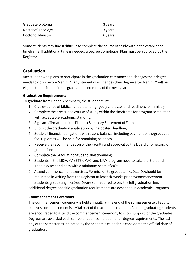| Graduate Diploma   | 3 years |
|--------------------|---------|
| Master of Theology | 3 years |
| Doctor of Ministry | 6 years |

Some students may find it difficult to complete the course of study within the established timeframe. If additional time is needed, a Degree Completion Plan must be approved by the Registrar.

# **Graduation**

Any student who plans to participate in the graduation ceremony and changes their degree, needs to do so before March 1<sup>st</sup>. Any student who changes their degree after March 1<sup>st</sup> will be eligible to participate in the graduation ceremony of the next year.

#### **Graduation Requirements**

To graduate from Phoenix Seminary, the student must:

- 1. Give evidence of biblical understanding, godly character and readiness for ministry;
- 2. Complete the prescribed course of study within the timeframe for programcompletion with acceptable academic standing;
- 3. Sign an affirmation of the Phoenix Seminary Statement of Faith;
- 4. Submit the graduation application by the posted deadline;
- 5. Settle all financial obligations with a zero balance, including payment of thegraduation fee. Diplomas will be held for remaining balances;
- 6. Receive the recommendation of the Faculty and approval by the Board of Directorsfor graduation;
- 7. Complete the Graduating Student Questionnaire;
- 8. Students in the MDiv, MA (BTS), MAC, and MAM program need to take the Bibleand Theology test and pass with a minimum score of 80%.
- 9. Attend commencement exercises. Permission to graduate *in absentia* should be requested in writing from the Registrar at least six weeks prior tocommencement. Students graduating *in absentia* are still required to pay the full graduation fee.

Additional degree-specific graduation requirements are described in Academic Programs.

## **Commencement Ceremony**

The commencement ceremony is held annually at the end of the spring semester. Faculty believes commencement is a vital part of the academic calendar. All non-graduating students are encouraged to attend the commencement ceremony to show support for the graduates. Degrees are awarded each semester upon completion of all degree requirements. The last day of the semester as indicated by the academic calendar is considered the official date of graduation.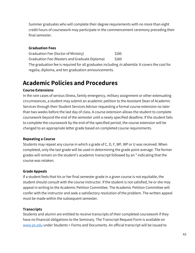Summer graduates who will complete their degree requirements with no more than eight credit hours of coursework may participate in the commencement ceremony preceding their final semester.

#### **Graduation Fees**

Graduation Fee (Doctor of Ministry) \$185 Graduation Fee (Masters and Graduate Diploma) \$160 The graduation fee is required for all graduates including *in absentia.* It covers the cost for regalia, diploma, and ten graduation announcements.

# **Academic Policies and Procedures**

#### **Course Extensions**

In the rare cases of serious illness, family emergency, military assignment or other extenuating circumstances, a student may submit an academic petition to the Assistant Dean of Academic Services through their Student Services Advisor requesting a formal course extension no later than two weeks before the last day of class. A course extension allows the student to complete coursework beyond the end of the semester until a newly specified deadline. If the student fails to complete the coursework by the end of the specified period, the course extension will be changed to an appropriate letter grade based on completed course requirements.

#### **Repeating a Course**

Students may repeat any course in which a grade of C, D, F, WF, WP or U was received. When completed, only the last grade will be used in determining the grade point average. The former grades will remain on the student's academic transcript followed by an \* indicating that the course was retaken.

#### **Grade Appeals**

If a student feels that his or her final semester grade in a given course is not equitable, the student should consult with the course instructor. If the student is not satisfied, he or she may appeal in writing to the Academic Petition Committee. The Academic Petition Committee will confer with the instructor and seek a satisfactory resolution of the problem. The written appeal must be made within the subsequent semester.

#### **Transcripts**

Students and alumni are entitled to receive transcripts of their completed coursework if they have no financial obligations to the Seminary. The Transcript Request Form is available on [www.ps.edu](http://www.ps.edu/) under Students > Forms and Documents. An official transcript will be issued to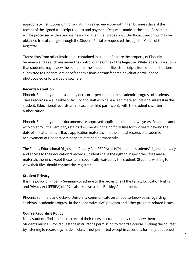appropriate institutions or individuals in a sealed envelope within ten business days of the receipt of the signed transcript request and payment. Requests made at the end of a semester will be processed within ten business days after final grades post. Unofficial transcripts may be obtained free of charge through the Student Portal or requested through the Office of the Registrar.

Transcripts from other institutions contained in student files are the property of Phoenix Seminary and as such are under the control of the Office of the Registrar. While federal law allows that students may review the content of their academic files, transcripts from other institutions submitted to Phoenix Seminary for admissions or transfer credit evaluation will not be photocopied or forwarded elsewhere.

#### **Records Retention**

Phoenix Seminary retains a variety of records pertinent to the academic progress of students. These records are available to faculty and staff who have a legitimate educational interest in the student. Educational records are released to third parties only with the student's written authorization.

Phoenix Seminary retains documents for approved applicants for up to two years. For applicants who do enroll, the Seminary retains documents in their official files for two years beyond the date of last attendance. Basic application materials and the official records of academic achievement at Phoenix Seminary are retained permanently.

The Family Educational Rights and Privacy Act (FERPA) of 1974 governs students' rights of privacy and access to their educational records. Students have the right to inspect their files and all materials therein, except those items specifically waived by the student. Students wishing to view their files should contact the Registrar.

#### **Student Privacy**

It is the policy of Phoenix Seminary to adhere to the provisions of the Family Education Rights and Privacy Act (FERPA) of 1974, also known as the Buckley Amendment.

Phoenix Seminary and Ottawa University communicate on a need-to-know basis regarding students' academic progress in the cooperative MAC program and other program-related issues.

#### **Course Recording Policy**

Many students find it helpful to record their course lectures so they can review them again. Students must always request the instructor's permission to record a course. "Taking the course" by listening to recordings made in class is not permitted except in cases of a formally-petitioned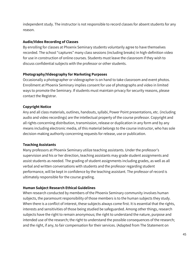independent study. The instructor is not responsible to record classes for absent students for any reason.

#### **Audio/Video Recording of Classes**

By enrolling for classes at Phoenix Seminary students voluntarily agree to have themselves recorded. The school "captures" many class sessions (including breaks) in high-definition video for use in construction of online courses. Students must leave the classroom if they wish to discuss confidential subjects with the professor or other students.

#### **Photography/Videography for Marketing Purposes**

Occasionally a photographer or videographer is on hand to take classroom and event photos. Enrollment at Phoenix Seminary implies consent for use of photographs and video in limited ways to promote the Seminary. If students must maintain privacy for security reasons, please contact the Registrar.

#### **Copyright Notice**

Any and all class materials, outlines, handouts, syllabi, Power Point presentations, etc. (including audio and video recordings) are the intellectual property of the course professor. Copyright and all rights concerning distribution, transmission, release or duplication in any form and by any means including electronic media, of this material belongs to the course instructor, who has sole decision-making authority concerning requests for release, use or publication.

## **Teaching Assistants**

Many professors at Phoenix Seminary utilize teaching assistants. Under the professor's supervision and his or her direction, teaching assistants may grade student assignments and assist students as needed. The grading of student assignments including grades, as well as all verbal and written conversations with students and the professor regarding student performance, will be kept in confidence by the teaching assistant. The professor of record is ultimately responsible for the course grading.

## **Human Subject Research Ethical Guidelines**

When research conducted by members of the Phoenix Seminary community involves human subjects, the paramount responsibility of those members is to the human subjects they study. When there is a conflict of interest, these subjects always come first. It is essential that the rights, interests and sensitivities of those being studied be safeguarded. Among other things, research subjects have the right to remain anonymous; the right to understand the nature, purpose and intended use of the research; the right to understand the possible consequences of the research; and the right, if any, to fair compensation for their services. (Adapted from The Statement on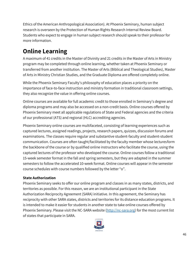Ethics of the American Anthropological Association). At Phoenix Seminary, human subject research is overseen by the Protection of Human Rights Research Internal Review Board. Students who expect to engage in human subject research should speak to their professor for more information.

# **Online Learning**

A maximum of 41 credits in the Master of Divinity and 21 credits in the Master of Arts in Ministry program may be completed through online learning, whether taken at Phoenix Seminary or transferred from another institution. The Master of Arts (Biblical and Theological Studies), Master of Arts in Ministry Christian Studies, and the Graduate Diploma are offered completely online.

While the Phoenix Seminary Faculty's philosophy of education places a priority on the importance of face-to-face instruction and ministry formation in traditional classroom settings, they also recognize the value in offering online courses.

Online courses are available for full academic credit to those enrolled in Seminary's degree and diploma programs and may also be accessed on a non-credit basis. Online courses offered by Phoenix Seminary meet all applicable regulations of State and Federal agencies and the criteria of our professional (ATS) and regional (HLC) accrediting agencies.

Phoenix Seminary online courses are multifaceted, consisting of learning experiences such as captured lectures, assigned readings, projects, research papers, quizzes, discussion forums and examinations. The classes require regular and substantive student-faculty and student-student communication. Courses are often taught/facilitated by the faculty member whose lecturesform the backbone of the course or by qualified online instructors who facilitate the course, using the captured lectures of the professor who developed the course. Online courses follow a traditional 15-week semester format in the fall and spring semesters, but they are adapted in the summer semesters to follow the accelerated 10-week format. Online courses will appear in the semester course schedules with course numbers followed by the letter "o".

## **State Authorization**

Phoenix Seminary seeks to offer our online program and classes in as many states, districts, and territories as possible. For this reason, we are an institutional participant in the State Authorization Reciprocity Agreement (SARA) initiative. In this agreement, the Seminary has reciprocity with other SARA states, districts and territories for its distance education programs. It is intended to make it easier for students in another state to take online courses offered by Phoenix Seminary. Please visit the NC-SARA website [\(http://nc-sara.org\)](http://nc-sara.org/) for the most current list of states that participate in SARA.

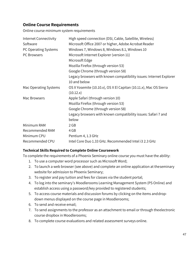# **Online Course Requirements**

Online course minimum system requirements

| Internet Connectivity | High speed connection (DSI, Cable, Satellite, Wireless)            |
|-----------------------|--------------------------------------------------------------------|
| Software              | Microsoft Office 2007 or higher, Adobe Acrobat Reader              |
| PC Operating Systems  | Windows 7, Windows 8, Windows 8.1, Windows 10                      |
| PC Browsers           | Microsoft Internet Explorer (version 11)                           |
|                       | Microsoft Edge                                                     |
|                       | Mozilla Firefox (through version 53)                               |
|                       | Google Chrome (through version 58)                                 |
|                       | Legacy browsers with known compatibility issues: Internet Explorer |
|                       | 10 and below                                                       |
| Mac Operating Systems | OS X Yosemite (10.10.x), OS X El Capitan (10.11.x), Mac OS Sierra  |
|                       | (10.12.x)                                                          |
| Mac Browsers          | Apple Safari (through version 10)                                  |
|                       | Mozilla Firefox (through version 53)                               |
|                       | Google Chrome (through version 58)                                 |
|                       | Legacy browsers with known compatibility issues: Safari 7 and      |
|                       | below                                                              |
| Minimum RAM           | 2 <sub>GB</sub>                                                    |
| Recommended RAM       | 4 GB                                                               |
| Minimum CPU           | Pentium 4, 1.3 GHz                                                 |
| Recommended CPU       | Intel Core Duo 1.33 GHz. Recommended Intel i3 2.3 GHz              |

#### **Technical Skills Required to Complete Online Coursework**

To complete the requirements of a Phoenix Seminary online course you must have the ability:

- 1. To use a computer word processor such as Microsoft Word;
- 2. To launch a web browser (see above) and complete an online application at theseminary website for admission to Phoenix Seminary;
- 3. To register and pay tuition and fees for classes via the student portal;
- 4. To log into the seminary's Moodlerooms Learning Management System (PS Online) and establish access using a password/key provided to registered students;
- 5. To access course materials and discussion forums by clicking on the items anddropdown menus displayed on the course page in Moodlerooms;
- 6. To send and receive email;
- 7. To send assignments to the professor as an attachment to email or through theelectronic course dropbox in Moodlerooms;
- 8. To complete course evaluations and related assessment surveys online.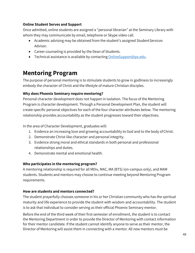## **Online Student Serves and Support**

Once admitted, online students are assigned a "personal librarian" at the Seminary Library with whom they may communicate by email, telephone or Skype video call.

- Academic advising may be obtained from the student's assigned Student Services Advisor.
- Career counseling is provided by the Dean of Students.
- Technical assistance is available by contacting [OnlineSupport@ps.edu.](mailto:OnlineSupport@ps.edu)

# **Mentoring Program**

The purpose of personal mentoring is to stimulate students to grow in godliness to increasingly embody the character of Christ and the lifestyle of mature Christian disciples.

#### **Why does Phoenix Seminary require mentoring?**

Personal character development does not happen in isolation. The focus of the Mentoring Program is character development. Through a Personal Development Plan, the student will create specific personal objectives for each of the four character attributes below. The mentoring relationship provides accountability as the student progresses toward their objectives.

In the area of Character Development, graduates will:

- 1. Evidence an increasing love and growing accountability to God and to the body ofChrist.
- 2. Demonstrate Christ-like character and personal integrity.
- 3. Evidence strong moral and ethical standards in both personal and professional relationships and duties.
- 4. Demonstrate mental and emotional health.

#### **Who participates in the mentoring program?**

A mentoring relationship is required for all MDiv, MAC, MA (BTS) (on-campus only), and MAM students. Students and mentors may choose to continue meeting beyond Mentoring Program requirements.

#### **How are students and mentors connected?**

The student prayerfully chooses someone in his or her Christian community who has the spiritual maturity and life experience to provide the student with wisdom and accountability. The student is to ask that individual to consider serving as their official Phoenix Seminary mentor.

Before the end of the third week of their first semester of enrollment, the student is to contact the Mentoring Department in order to provide the Director of Mentoring with contact information for their mentor candidate. If the student cannot identify anyone to serve as their mentor, the Director of Mentoring will assist them in connecting with a mentor. All new mentors must be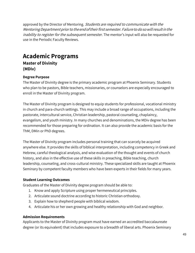approved by the Director of Mentoring. Students are required to communicate with the Mentoring Department prior to the end of their first semester. Failure to do so will result in the *inability to register for the subsequent semester.* The mentor's input will also be requested for use in the Periodic Faculty Reviews.

# **Academic Programs**

**Master of Divinity (MDiv)**

#### **Degree Purpose**

The Master of Divinity degree is the primary academic program at Phoenix Seminary. Students who plan to be pastors, Bible teachers, missionaries, or counselors are especially encouraged to enroll in the Master of Divinity program.

The Master of Divinity program is designed to equip students for professional, vocational ministry in church and para-church settings. This may include a broad range of occupations, including the pastorate, intercultural service, Christian leadership, pastoral counseling, chaplaincy, evangelism, and youth ministry. In many churches and denominations, the MDiv degree has been recommended for those preparing for ordination. It can also provide the academic basis for the ThM, DMin or PhD degrees.

The Master of Divinity program includes personal training that can scarcely be acquired anywhere else. It provides the skills of biblical interpretation, including competency in Greek and Hebrew, careful theological analysis, and wise evaluation of the thought and events of church history, and also in the effective use of these skills in preaching, Bible teaching, church leadership, counseling, and cross-cultural ministry. These specialized skills are taught at Phoenix Seminary by competent faculty members who have been experts in their fields for many years.

#### **Student Learning Outcomes**

Graduates of the Master of Divinity degree program should be able to:

- 1. Know and apply Scripture using proper hermeneutical principles.
- 2. Articulate sound doctrine according to historic Christian orthodoxy.
- 3. Explain how to shepherd people with biblical wisdom.
- 4. Articulate his or her own growing and healthy relationship with God and neighbor.

#### **Admission Requirements**

Applicants to the Master of Divinity program must have earned an accredited baccalaureate degree (or its equivalent) that includes exposure to a breadth of liberal arts. Phoenix Seminary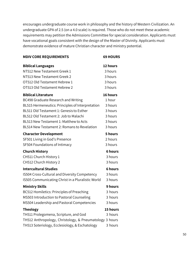encourages undergraduate course work in philosophy and the history of Western Civilization. An undergraduate GPA of 2.5 (on a 4.0 scale) is required. Those who do not meet these academic requirements may petition the Admissions Committee for special consideration. Applicants must have vocational goals consistent with the design of the Master of Divinity. Applicants must demonstrate evidence of mature Christian character and ministry potential.

| <b>MDIV CORE REQUIREMENTS</b>                           | <b>69 HOURS</b> |
|---------------------------------------------------------|-----------------|
| <b>Biblical Languages</b>                               | 12 hours        |
| NT512 New Testament Greek 1                             | 3 hours         |
| NT513 New Testament Greek 2                             | 3 hours         |
| OT512 Old Testament Hebrew 1                            | 3 hours         |
| OT513 Old Testament Hebrew 2                            | 3 hours         |
| <b>Biblical Literature</b>                              | 16 hours        |
| BC498 Graduate Research and Writing                     | 1 hour          |
| BL515 Hermeneutics: Principles of Interpretation        | 3 hours         |
| BL511 Old Testament 1: Genesis to Esther                | 3 hours         |
| BL512 Old Testament 2: Job to Malachi                   | 3 hours         |
| BL513 New Testament 1: Matthew to Acts                  | 3 hours         |
| BL514 New Testament 2: Romans to Revelation             | 3 hours         |
| <b>Character Development</b>                            | 5 hours         |
| SF501 Living in God's Presence                          | 2 hours         |
| SF504 Foundations of Intimacy                           | 3 hours         |
| <b>Church History</b>                                   | <b>6 hours</b>  |
| CH511 Church History 1                                  | 3 hours         |
| CH512 Church History 2                                  | 3 hours         |
| <b>Intercultural Studies</b>                            | <b>6 hours</b>  |
| IS504 Cross-Cultural and Diversity Competency           | 3 hours         |
| IS505 Communicating Christ in a Pluralistic World       | 3 hours         |
| <b>Ministry Skills</b>                                  | 9 hours         |
| BC512 Homiletics: Principles of Preaching               | 3 hours         |
| MS503 Introduction to Pastoral Counseling               | 3 hours         |
| MS504 Leadership and Pastoral Competencies              | 3 hours         |
| <b>Theology</b>                                         | 15 hours        |
| TH511 Prolegomena, Scripture, and God                   | 3 hours         |
| TH512 Anthropology, Christology, & Pneumatology 3 hours |                 |
| TH513 Soteriology, Ecclesiology, & Eschatology          | 3 hours         |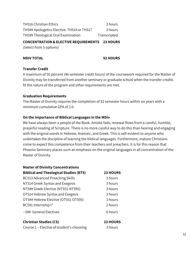| <b>TH516 Christian Ethics</b>              | 3 hours      |
|--------------------------------------------|--------------|
| TH5## Apologetics Elective: TH514 or TH517 | 3 hours      |
| TH599 Theological Oral Examination         | Transcripted |

#### **CONCENTRATION & ELECTIVE REQUIREMENTS 23 HOURS**

(Select from 5 options)

#### **MDIV TOTAL 92 HOURS**

#### **Transfer Credit**

A maximum of 50 percent (46 semester credit hours) of the coursework required for the Master of Divinity may be transferred from another seminary or graduate school when the transfer credits fit the nature of the program and other requirements are met.

#### **Graduation Requirements**

The Master of Divinity requires the completion of 92 semester hours within six years with a minimum cumulative GPA of 2.0.

#### **On the Importance of Biblical Languages in the MDiv**

We have always been a people of the Book. Amidst fads, renewal flows from a careful, humble, prayerful reading of Scripture. There is no more careful way to do this than hearing and engaging with the original words in Hebrew, Aramaic, and Greek. This is self-evident to anyone who undertakes the discipline of learning the biblical languages. Furthermore, mature Christians come to expect this competence from their teachers and preachers. It is for this reason that Phoenix Seminary places such an emphasis on the original languages in all concentration of the Master of Divinity.

| <b>Master of Divinity Concentrations</b>      |                 |
|-----------------------------------------------|-----------------|
| <b>Biblical and Theological Studies (BTS)</b> | <b>23 HOURS</b> |
| <b>BC513 Advanced Preaching Skills</b>        | 3 hours         |
| NT514 Greek Syntax and Exegesis               | 3 hours         |
| NT5## Greek Elective (NT551-NT595)            | 3 hours         |
| OT514 Hebrew Syntax and Exegesis              | 3 hours         |
| OT5## Hebrew Elective (OT551-OT595)           | 3 hours         |
| BC591 Internship I*                           | 2 hours         |
| --5## General Electives                       | 6 hours         |
| <b>Christian Studies (CS)</b>                 | <b>23 HOURS</b> |

Course 1 – Elective of student's choosing 3 hours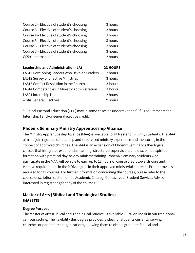| Course 2 - Elective of student's choosing | 3 hours |
|-------------------------------------------|---------|
| Course 3 - Elective of student's choosing | 3 hours |
| Course 4 - Elective of student's choosing | 3 hours |
| Course 5 - Elective of student's choosing | 3 hours |
| Course 6 - Elective of student's choosing | 3 hours |
| Course 7 - Elective of student's choosing | 3 hours |
| CS591 Internship I*                       | 2 hours |
|                                           |         |

| <b>Leadership and Administration (LA)</b>     | 23 HOURS |
|-----------------------------------------------|----------|
| LA511 Developing Leaders Who Develop Leaders  | 3 hours  |
| LA512 Survey of Effective Ministries          | 3 hours  |
| LA513 Conflict Resolution in the Church       | 3 hours  |
| LA514 Competencies in Ministry Administration | 3 hours  |
| LA591 Internship I*                           | 2 hours  |
| --5## General Electives                       | 9 hours  |

\*Clinical Pastoral Education (CPE) may in some cases be undertaken to fulfill requirements for Internship I and/or general elective credit.

# **Phoenix Seminary Ministry Apprenticeship Alliance**

The Ministry Apprenticeship Alliance (MAA) is available to all Master of Divinity students. The MAA aims to join rigorous scholarship and supervised ministry experience and mentoring in the context of approved churches. The MAA is an expansion of Phoenix Seminary's theological classes that integrates experiential learning, structured supervision, and disciplined spiritual formation with practical day-to-day ministry training. Phoenix Seminary students who participate in the MAA will be able to earn up to 18 hours of course credit towards core and elective requirements in the MDiv degree in their approved ministerial contexts. Pre-approval is required for all courses. For further information concerning the courses, please refer to the course description section of the Academic Catalog. Contact your Student Services Advisor if interested in registering for any of the courses.

# **Master of Arts (Biblical and Theological Studies)**

**[MA (BTS)]**

## **Degree Purpose**

The Master of Arts (Biblical and Theological Studies) is available 100% online or in our traditional campus setting. The flexibility this degree provides is ideal for students currently serving in churches or para-church organizations, allowing them to obtain graduate Biblical and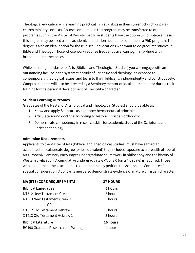Theological education while learning practical ministry skills in their current church or parachurch ministry contexts. Course completed in this program may be transferred to other programs such as the Master of Divinity. Because students have the option to complete a thesis, this degree may be used as the academic foundation needed to continue in a PhD program. This degree is also an ideal option for those in secular vocations who want to do graduate studies in Bible and Theology. Those whose work requires frequent travel can login anywhere with broadband internet access.

While pursuing the Master of Arts (Biblical and Theological Studies) you will engage with an outstanding faculty in the systematic study of Scripture and theology, be exposed to contemporary theological issues, and learn to think biblically, independently and constructively. Campus students will also be directed by a Seminary mentor or local church mentor during their training for the personal development of Christ-like character.

#### **Student Learning Outcomes**

Graduates of the Master of Arts (Biblical and Theological Studies) should be able to:

- 1. Know and apply Scripture using proper hermeneutical principles.
- 2. Articulate sound doctrine according to historic Christian orthodoxy.
- 3. Demonstrate competency in research skills for academic study of the Scripturesand Christian theology.

#### **Admission Requirements**

Applicants to the Master of Arts (Biblical and Theological Studies) must have earned an accredited baccalaureate degree (or its equivalent) that includes exposure to a breadth of liberal arts. Phoenix Seminary encourages undergraduate coursework in philosophy and the history of Western civilization. A cumulative undergraduate GPA of 3.0 (on a 4.0 scale) is required. Those who do not meet these academic requirements may petition the Admissions Committee for special consideration. Applicants must also demonstrate evidence of mature Christian character.

| <b>MA (BTS) CORE REQUIREMENTS</b>   | <b>37 HOURS</b> |  |
|-------------------------------------|-----------------|--|
| <b>Biblical Languages</b>           | <b>6 hours</b>  |  |
| NT512 New Testament Greek 1         | 3 hours         |  |
| NT513 New Testament Greek 2         | 3 hours         |  |
| $-OR-$                              |                 |  |
| OT512 Old Testament Hebrew 1        | 3 hours         |  |
| OT513 Old Testament Hebrew 2        | 3 hours         |  |
| <b>Biblical Literature</b>          | 16 hours        |  |
| BC498 Graduate Research and Writing | 1 hour          |  |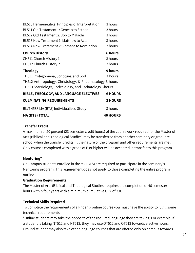| BL515 Hermeneutics: Principles of Interpretation         | 3 hours        |
|----------------------------------------------------------|----------------|
| BL511 Old Testament 1: Genesis to Esther                 | 3 hours        |
| BL512 Old Testament 2: Job to Malachi                    | 3 hours        |
| BL513 New Testament 1: Matthew to Acts                   | 3 hours        |
| BL514 New Testament 2: Romans to Revelation              | 3 hours        |
| <b>Church History</b>                                    | <b>6 hours</b> |
| CH511 Church History 1                                   | 3 hours        |
| CH512 Church History 2                                   | 3 hours        |
|                                                          |                |
| <b>Theology</b>                                          | 9 hours        |
| TH511 Prolegomena, Scripture, and God                    | 3 hours        |
| TH512 Anthropology, Christology, & Pneumatology 3 hours  |                |
| TH513 Soteriology, Ecclesiology, and Eschatology 3 hours |                |
| BIBLE, THEOLOGY, AND LANGUAGE ELECTIVES                  | <b>6 HOURS</b> |
| <b>CULMINATING REQUIREMENTS</b>                          | <b>3 HOURS</b> |
| BL/TH588 MA (BTS) Individualized Study                   | 3 hours        |

#### **MA (BTS) TOTAL 46 HOURS**

#### **Transfer Credit**

A maximum of 50 percent (23 semester credit hours) of the coursework required for the Master of Arts (Biblical and Theological Studies) may be transferred from another seminary or graduate school when the transfer credits fit the nature of the program and other requirements are met. Only courses completed with a grade of B or higher will be accepted in transfer to this program.

#### **Mentoring\***

On-Campus students enrolled in the MA (BTS) are required to participate in the seminary's Mentoring program. This requirement does not apply to those completing the entire program outline.

#### **Graduation Requirements**

The Master of Arts (Biblical and Theological Studies) requires the completion of 46 semester hours within four years with a minimum cumulative GPA of 3.0.

#### **Technical Skills Required**

To complete the requirements of a Phoenix online course you must have the ability to fulfill some technical requirements.

\*Online students may take the opposite of the required language they are taking. For example, if a student is taking NT512 and NT513, they may use OT512 and OT513 towards elective hours. Ground student may also take other language courses that are offered only on campus towards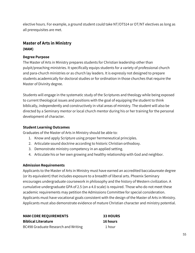elective hours. For example, a ground student could take NT/OT514 or OT/NT electives as long as all prerequisites are met.

# **Master of Arts in Ministry (MAM)**

#### **Degree Purpose**

The Master of Arts in Ministry prepares students for Christian leadership other than pulpit/preaching ministries. It specifically equips students for a variety of professional church and para-church ministries or as church lay leaders. It is expressly not designed to prepare students academically for doctoral studies or for ordination in those churches that require the Master of Divinity degree.

Students will engage in the systematic study of the Scriptures and theology while being exposed to current theological issues and positions with the goal of equipping the student to think biblically, independently and constructively in vital areas of ministry. The student will also be directed by a Seminary mentor or local church mentor during his or her training for the personal development of character.

#### **Student Learning Outcomes**

Graduates of the Master of Arts in Ministry should be able to:

- 1. Know and apply Scripture using proper hermeneutical principles.
- 2. Articulate sound doctrine according to historic Christian orthodoxy.
- 3. Demonstrate ministry competency in an applied setting.
- 4. Articulate his or her own growing and healthy relationship with God and neighbor.

#### **Admission Requirements**

Applicants to the Master of Arts in Ministry must have earned an accredited baccalaureate degree (or its equivalent) that includes exposure to a breadth of liberal arts. Phoenix Seminary encourages undergraduate coursework in philosophy and the history of Western civilization. A cumulative undergraduate GPA of 2.5 (on a 4.0 scale) is required. Those who do not meet these academic requirements may petition the Admissions Committee for special consideration. Applicants must have vocational goals consistent with the design of the Master of Arts in Ministry. Applicants must also demonstrate evidence of mature Christian character and ministry potential.

**MAM CORE REQUIREMENTS 33 HOURS Biblical Literature 16 hours** BC498 Graduate Research and Writing 1 hour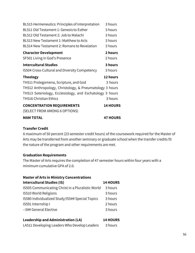| BL515 Hermeneutics: Principles of Interpretation         | 3 hours         |
|----------------------------------------------------------|-----------------|
| BL511 Old Testament 1: Genesis to Esther                 | 3 hours         |
| BL512 Old Testament 2: Job to Malachi                    | 3 hours         |
| BL513 New Testament 1: Matthew to Acts                   | 3 hours         |
| BL514 New Testament 2: Romans to Revelation              | 3 hours         |
| <b>Character Development</b>                             | 2 hours         |
| SF501 Living in God's Presence                           | 2 hours         |
| <b>Intercultural Studies</b>                             | 3 hours         |
| IS504 Cross-Cultural and Diversity Competency            | 3 hours         |
| <b>Theology</b>                                          | 12 hours        |
| TH511 Prolegomena, Scripture, and God                    | 3 hours         |
| TH512 Anthropology, Christology, & Pneumatology 3 hours  |                 |
| TH513 Soteriology, Ecclesiology, and Eschatology 3 hours |                 |
| TH516 Christian Ethics                                   | 3 hours         |
| <b>CONCENTRATION REQUIREMENTS</b>                        | <b>14 HOURS</b> |
| (SELECT FROM AMONG 6 OPTIONS)                            |                 |
| <b>MAM TOTAL</b>                                         | <b>47 HOURS</b> |

#### **Transfer Credit**

A maximum of 50 percent (23 semester credit hours) of the coursework required for the Master of Arts may be transferred from another seminary or graduate school when the transfer credits fit the nature of the program and other requirements are met.

## **Graduation Requirements**

The Master of Arts requires the completion of 47 semester hours within four years with a minimum cumulative GPA of 2.0.

| <b>Master of Arts in Ministry Concentrations</b>  |                 |  |
|---------------------------------------------------|-----------------|--|
| <b>Intercultural Studies (IS)</b>                 | <b>14 HOURS</b> |  |
| IS505 Communicating Christ in a Pluralistic World | 3 hours         |  |
| IS510 World Religions                             | 3 hours         |  |
| IS580 Individualized Study/IS5## Special Topics   | 3 hours         |  |
| IS591 Internship I                                | 2 hours         |  |
| --5## General Elective                            | 3 hours         |  |

| <b>Leadership and Administration (LA)</b> | <b>14 HOURS</b> |
|-------------------------------------------|-----------------|
|-------------------------------------------|-----------------|

LA511 Developing Leaders Who Develop Leaders 3 hours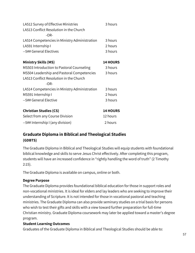| LA512 Survey of Effective Ministries<br>LA513 Conflict Resolution in the Church<br>$-OR-$ | 3 hours         |
|-------------------------------------------------------------------------------------------|-----------------|
| LA514 Competencies in Ministry Administration                                             | 3 hours         |
| LA591 Internship I                                                                        | 2 hours         |
| --5## General Electives                                                                   | 3 hours         |
| <b>Ministry Skills (MS)</b>                                                               | <b>14 HOURS</b> |
| MS503 Introduction to Pastoral Counseling                                                 | 3 hours         |
| MS504 Leadership and Pastoral Competencies                                                | 3 hours         |
| LA513 Conflict Resolution in the Church                                                   |                 |
| $-OR-$                                                                                    |                 |
| LA514 Competencies in Ministry Administration                                             | 3 hours         |
| MS591 Internship I                                                                        | 2 hours         |
| --5## General Elective                                                                    | 3 hours         |
| <b>Christian Studies (CS)</b>                                                             | <b>14 HOURS</b> |
| Select from any Course Division                                                           | 12 hours        |
| --5## Internship I (any division)                                                         | 2 hours         |

# **Graduate Diploma in Biblical and Theological Studies (GDBTS)**

The Graduate Diploma in Biblical and Theological Studies will equip students with foundational biblical knowledge and skills to serve Jesus Christ effectively. After completing this program, students will have an increased confidence in "rightly handling the word of truth" (2 Timothy 2:15).

The Graduate Diploma is available on campus, online or both.

#### **Degree Purpose**

The Graduate Diploma provides foundational biblical education for those in support roles and non-vocational ministries. It is ideal for elders and lay leaders who are seeking to improve their understanding of Scripture. It is not intended for those in vocational pastoral and teaching ministries. The Graduate Diploma can also provide seminary studies on a trial basis for persons who wish to test their gifts and skills with a view toward further preparation for full-time Christian ministry. Graduate Diploma coursework may later be applied toward a master's degree program.

## **Student Learning Outcomes**

Graduates of the Graduate Diploma in Biblical and Theological Studies should be able to: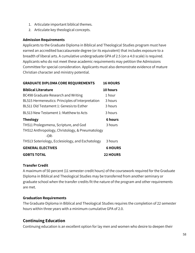- 1. Articulate important biblical themes.
- 2. Articulate key theological concepts.

#### **Admission Requirements**

Applicants to the Graduate Diploma in Biblical and Theological Studies program must have earned an accredited baccalaureate degree (or its equivalent) that includes exposure to a breadth of liberal arts. A cumulative undergraduate GPA of 2.5 (on a 4.0 scale) is required. Applicants who do not meet these academic requirements may petition the Admissions Committee for special consideration. Applicants must also demonstrate evidence of mature Christian character and ministry potential.

| <b>GRADUATE DIPLOMA CORE REQUIREMENTS</b>        | <b>16 HOURS</b> |
|--------------------------------------------------|-----------------|
| <b>Biblical Literature</b>                       | 10 hours        |
| BC498 Graduate Research and Writing              | 1 hour          |
| BL515 Hermeneutics: Principles of Interpretation | 3 hours         |
| BL511 Old Testament 1: Genesis to Esther         | 3 hours         |
| BL513 New Testament 1: Matthew to Acts           | 3 hours         |
| <b>Theology</b>                                  | <b>6 hours</b>  |
| TH511 Prolegomena, Scripture, and God            | 3 hours         |
| TH512 Anthropology, Christology, & Pneumatology  |                 |
| $-OR-$                                           |                 |
| TH513 Soteriology, Ecclesiology, and Eschatology | 3 hours         |
| <b>GENERAL ELECTIVES</b>                         | <b>6 HOURS</b>  |
| <b>GDBTS TOTAL</b>                               | <b>22 HOURS</b> |

#### **Transfer Credit**

A maximum of 50 percent (11 semester credit hours) of the coursework required for the Graduate Diploma in Biblical and Theological Studies may be transferred from another seminary or graduate school when the transfer credits fit the nature of the program and other requirements are met.

#### **Graduation Requirements**

The Graduate Diploma in Biblical and Theological Studies requires the completion of 22 semester hours within three years with a minimum cumulative GPA of 2.0.

# **Continuing Education**

Continuing education is an excellent option for lay men and women who desire to deepen their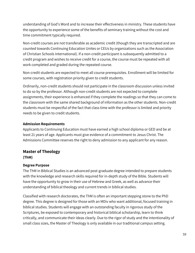understanding of God's Word and to increase their effectiveness in ministry. These students have the opportunity to experience some of the benefits of seminary training without the cost and time commitment typically required.

Non-credit courses are not transferable as academic credit (though they are transcripted and are counted towards Continuing Education Unites or CEUs by organizations such as the Association of Christian Schools International). If a non-credit participant is subsequently admitted to a credit program and wishes to receive credit for a course, the course must be repeated with all work completed and graded during the repeated course.

Non-credit students are expected to meet all course prerequisites. Enrollment will be limited for some courses, with registration priority given to credit students.

Ordinarily, non-credit students should not participate in the classroom discussion unless invited to do so by the professor. Although non-credit students are not expected to complete assignments, their experience is enhanced if they complete the readings so that they can come to the classroom with the same shared background of information as the other students. Non-credit students must be respectful of the fact that class time with the professor is limited and priority needs to be given to credit students.

#### **Admission Requirements**

Applicants to Continuing Education must have earned a high school diploma or GED and be at least 21 years of age. Applicants must give evidence of a commitment to Jesus Christ. The Admissions Committee reserves the right to deny admission to any applicant for any reason.

## **Master of Theology (ThM)**

#### **Degree Purpose**

The ThM in Biblical Studies is an advanced post-graduate degree intended to prepare students with the knowledge and research skills required for in-depth study of the Bible. Students will have the opportunity to grow in their use of Hebrew and Greek, as well as advance their understanding of biblical theology and current trends in biblical studies.

Classified with research doctorates, the ThM is often an important stepping stone to the PhD degree. This degree is designed for those with an MDiv who want additional, focused training in biblical studies. Students will engage with an outstanding faculty in rigorous study of the Scriptures, be exposed to contemporary and historical biblical scholarship, learn to think critically, and communicate their ideas clearly. Due to the rigor of study and the intentionality of small class sizes, the Master of Theology is only available in our traditional campus setting.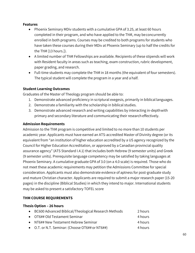#### **Features**

- Phoenix Seminary MDiv students with a cumulative GPA of 3.25, at least 60 hours completed in their program, and who have applied to the ThM, may beconcurrently enrolled in both programs. Courses may be credited to both programs for students who have taken these courses during their MDiv at Phoenix Seminary (up to half the credits for the ThM [13 hours.]).
- A limited number of ThM Fellowships are available. Recipients of these stipends will work with Resident faculty in areas such as teaching, exam construction, rubric development, paper grading, and research.
- Full-time students may complete the ThM in 18 months (the equivalent of four semesters). The typical student will complete the program in a year and a half.

#### **Student Learning Outcomes**

Graduates of the Master of Theology program should be able to:

- 1. Demonstrate advanced proficiency in scriptural exegesis, primarily in biblical languages.
- 2. Demonstrate a familiarity with the scholarship in biblical studies.
- 3. Demonstrate advanced research and writing capabilities by interacting in-depthwith primary and secondary literature and communicating their research effectively.

#### **Admission Requirements**

Admission to the ThM program is competitive and limited to no more than 10 students per academic year. Applicants must have earned an ATS-accredited Master of Divinity degree (or its equivalent from "an institution of higher education accredited by a US agency recognized by the Council for Higher Education Accreditation, or approved by a Canadian provincial quality assurance agency" (ATS Standard I.4.1) that includes both Hebrew (9 semester units) and Greek (9 semester units). Prerequisite language competency may be satisfied by taking languages at Phoenix Seminary. A cumulative graduate GPA of 3.0 (on a 4.0 scale) is required. Those who do not meet these academic requirements may petition the Admissions Committee for special consideration. Applicants must also demonstrate evidence of aptness for post-graduate study and mature Christian character. Applicants are required to submit a major research paper (15-20 pages) in the discipline (Biblical Studies) in which they intend to major. International students may be asked to present a satisfactory TOFEL score

#### **THM COURSE REQUIREMENTS**

#### **Thesis Option – 26 hours**

| • BC600 Advanced Biblical/Theological Research Methods | 2 hours |
|--------------------------------------------------------|---------|
| • OT6## Old Testament Seminar                          | 4 hours |
| • NT6## New Testament Hebrew Seminar                   | 4 hours |

O.T. or N.T. Seminar: (Choose OT6## or NT6##) 4 hours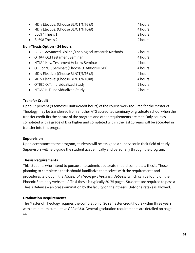|           | MDiv Elective: (Choose BL/OT/NT6##)                  | 4 hours |
|-----------|------------------------------------------------------|---------|
|           | MDiv Elective: (Choose BL/OT/NT6##)                  | 4 hours |
|           | BL697 Thesis 1                                       | 2 hours |
|           | BL698 Thesis 2                                       | 2 hours |
|           | <b>Non-Thesis Option – 26 hours</b>                  |         |
| $\bullet$ | BC600 Advanced Biblical/Theological Research Methods | 2 hours |
|           | OT6## Old Testament Seminar                          | 4 hours |
| $\bullet$ | NT6## New Testament Hebrew Seminar                   | 4 hours |
| $\bullet$ | O.T. or N.T. Seminar: (Choose OT6## or NT6##)        | 4 hours |
|           | MDiv Elective: (Choose BL/OT/NT6##)                  | 4 hours |
|           | MDiv Elective: (Choose BL/OT/NT6##)                  | 4 hours |
|           | OT680 O.T. Individualized Study                      | 2 hours |
|           | NT680 N.T. Individualized Study                      | 2 hours |
|           |                                                      |         |

#### **Transfer Credit**

Up to 37 percent (9 semester units/credit hours) of the course work required for the Master of Theology may be transferred from another ATS accredited seminary or graduate school when the transfer credit fits the nature of the program and other requirements are met. Only courses completed with a grade of B or higher and completed within the last 10 years will be accepted in transfer into this program.

#### **Supervision**

Upon acceptance to the program, students will be assigned a supervisor in their field of study. Supervisors will help guide the student academically and personally through the program.

#### **Thesis Requirements**

ThM students who intend to pursue an academic doctorate should complete a thesis. Those planning to complete a thesis should familiarize themselves with the requirements and procedures laid out in the Master of Theology Thesis Guidebook (which can be found on the Phoenix Seminary website). A ThM thesis is typically 50-75 pages. Students are required to pass a Thesis Defense – an oral examination by the faculty on their thesis. Only one retake is allowed.

#### **Graduation Requirements**

The Master of Theology requires the completion of 26 semester credit hours within three years with a minimum cumulative GPA of 3.0. General graduation requirements are detailed on page 44.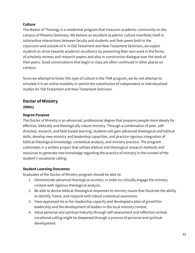#### **Culture**

The Master of Theology is a residential program that treasures academic community on the campus of Phoenix Seminary. We believe an excellent academic culture manifests itself in substantive interactions between faculty and students and their peers both in the classroom and outside of it. In Old Testament and New Testament Seminars, we expect students to strive towards academic excellence by presenting their own work in the forms of scholarly reviews and research papers and also in constructive dialogue over the work of their peers. Good conversations that begin in class are often continued in other places on campus.

Since we attempt to foster this type of culture in the ThM program, we do not attempt to simulate it in an online modality or permit the substitution of independent or individualized studies for Old Testament and New Testament Seminars.

# **Doctor of Ministry**

#### **(DMin)**

#### **Degree Purpose**

The Doctor of Ministry is an advanced, professional degree that prepares people more deeply for effective, biblically and theologically robust ministry. Through a combination of peer, selfdirected, research, and field-based learning, students will gain advanced theological and biblical skills, develop new ministry and leadership capacities, and practice rigorous integration of biblical-theological knowledge, contextual analysis, and ministry practice. The program culminates in a written project that utilizes biblical and theological research methods and resources to generate new knowledge regarding the practice of ministry in the context of the student's vocational calling.

#### **Student Learning Outcomes**

Graduates of the Doctor of Ministry program should be able to:

- 1. Demonstrate advanced theological acumen, in order to critically engage the ministry context with rigorous theological analysis.
- 2. Be able to devise biblical-theological responses to ministry issues that illustrate the ability to identify, frame, and respond with robust contextual awareness.
- 3. Have appraised his or her leadership capacity and developed a plan of growthfor leadership and the development of leaders in the local ministry context.
- 4. Value personal and spiritual maturity through self-assessment and reflection onhow vocational calling might be deepened through a process of personal and spiritual development.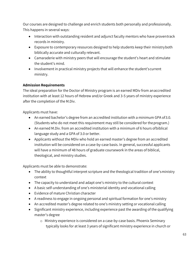Our courses are designed to challenge and enrich students both personally and professionally. This happens in several ways:

- Interaction with outstanding resident and adjunct faculty mentors who have proventrack records in ministry.
- Exposure to contemporary resources designed to help students keep their ministryboth biblically accurate and culturally relevant.
- Camaraderie with ministry peers that will encourage the student's heart and stimulate the student's mind.
- Involvement in practical ministry projects that will enhance the student's current ministry.

## **Admission Requirements**

The ideal preparation for the Doctor of Ministry program is an earned MDiv from anaccredited institution with at least 12 hours of Hebrew and/or Greek and 3-5 years of ministry experience after the completion of the M.Div.

Applicants must have:

- An earned bachelor's degree from an accredited institution with a minimum GPA of3.0. (Students who do not meet this requirement may still be considered for theprogram.)
- An earned M.Div. from an accredited institution with a minimum of 6 hours ofbiblical language study and a GPA of 3.0 or better.
- Applicants without the MDiv who hold an earned master's degree from an accredited institution will be considered on a case-by-case basis. In general, successful applicants will have a minimum of 48 hours of graduate coursework in the areas of biblical, theological, and ministry studies.

Applicants must be able to demonstrate:

- The ability to thoughtful interpret scripture and the theological tradition of one's ministry context
- The capacity to understand and adapt one's ministry to the cultural context
- A basic self-understanding of one's ministerial identity and vocational calling
- Evidence of mature Christian character
- A readiness to engage in ongoing personal and spiritual formation for one's ministry
- An accredited master's degree related to one's ministry setting or vocational calling
- Significant ministry experience, including experience past the awarding of the qualifying master's degree
	- o Ministry experience is considered on a case-by-case basis. Phoenix Seminary typically looks for at least 3 years of significant ministry experience in church or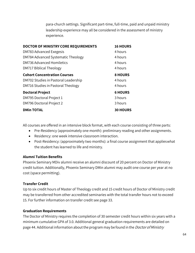para-church settings. Significant part-time, full-time, paid and unpaid ministry leadership experience may all be considered in the assessment of ministry experience.

| <b>16 HOURS</b> |
|-----------------|
| 4 hours         |
| 4 hours         |
| 4 hours         |
| 4 hours         |
| <b>8 HOURS</b>  |
| 4 hours         |
| 4 hours         |
| <b>6 HOURS</b>  |
| 3 hours         |
| 3 hours         |
| <b>30 HOURS</b> |
|                 |

All courses are offered in an intensive block format, with each course consisting of three parts:

- Pre-Residency (approximately one month): preliminary reading and other assignments.
- Residency: one week intensive classroom interaction.
- Post-Residency: (approximately two months): a final course assignment that applieswhat the student has learned to life and ministry.

#### **Alumni Tuition Benefits**

Phoenix Seminary MDiv alumni receive an alumni discount of 20 percent on Doctor of Ministry credit tuition. Additionally, Phoenix Seminary DMin alumni may audit one course per year at no cost (space permitting).

#### **Transfer Credit**

Up to six credit hours of Master of Theology credit and 15 credit hours of Doctor of Ministry credit may be transferred from other accredited seminaries with the total transfer hours not to exceed 15. For further information on transfer credit see page 33.

#### **Graduation Requirements**

The Doctor of Ministry requires the completion of 30 semester credit hours within six years with a minimum cumulative GPA of 3.0. Additional general graduation requirements are detailed on page 44. Additional information about the program may be found in the *Doctor of Ministry*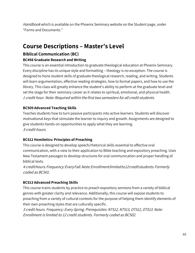Handbook which is available on the Phoenix Seminary website on the Student page, under "Forms and Documents."

# **Course Descriptions – Master's Level**

# **Biblical Communication (BC)**

## **BC498 Graduate Research and Writing**

This course is an essential introduction to graduate theological education at Phoenix Seminary. Every discipline has its unique style and formatting – theology is no exception. The course is designed to hone student skills of graduate theological research, reading, and writing. Students will learn argumentation, effective reading strategies, how to format papers, and how to use the library. This class will greatly enhance the student's ability to perform at the graduate level and set the stage for their seminary career as it relates to spiritual, emotional, and physical health. <sup>1</sup> credit hour. Note: Required within the first two semesters for all credit students.

## **BC509 Advanced Teaching Skills**

Teaches students how to turn passive participants into active learners. Students will discover motivational keys that stimulate the learner to inquiry and growth. Assignments are designed to give students hands-on opportunities to apply what they are learning. 3 credit hours.

## **BC512 Homiletics: Principles of Preaching**

This course is designed to develop speech/rhetorical skills essential to effective oral communication, with a view to their application to Bible teaching and expository preaching. Uses New Testament passages to develop structures for oral communication and proper handling of biblical texts.

<sup>4</sup> credithours.Frequency:EveryFall.Note:Enrollmentlimitedto12creditstudents.Formerly coded as BC501.

## **BC513 Advanced Preaching Skills**

This course trains students by practice to preach expository sermons from a variety of biblical genres with greater clarity and relevance. Additionally, this course will expose students to preaching from a variety of cultural contexts for the purpose of helping them identify elements of their own preaching styles that are culturally specific.

3 credit hours. Frequency: Every Spring. Prerequisites: NT512, NT513, OT512, OT513. Note: Enrollment is limited to 12 credit students. Formerly coded as BC502.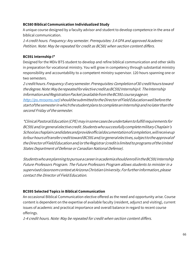#### **BC580 Biblical Communication Individualized Study**

A unique course designed by a faculty advisor and student to develop competence in the area of biblical communication.

1-4 credit hours. Frequency: Any semester. Prerequisites: 3.4 GPA and approved Academic Petition. Note: May be repeated for credit as BC581 when section content differs.

#### **BC591 Internship I\***

Designed for the MDiv BTS student to develop and refine biblical communication and other skills in preparation for vocational ministry. You will grow in competency through substantial ministry responsibility and accountability to a competent ministry supervisor. 120 hours spanning one or two semesters.

<sup>2</sup> credithours.Frequency:Everysemester.Prerequisites:Completionof30 credithourstoward thedegree.Note:MayberepeatedforelectivecreditasBC592InternshipII. TheInternship I[n](http://ps.mrooms.net/)formation and Registration Packet (available from the BC591 course page on

[http://ps.mrooms.net\)](http://ps.mrooms.net/) shouldbesubmittedtotheDirectorofFieldEducationwellbeforethe start of the semester in which the student plans to complete an Internship and no later than the second Friday of the semester.

\*ClinicalPastoralEducation(CPE)mayinsomecasesbeundertakentofulfillrequirements for BC591and/orgeneralelectivecredit.StudentswhosuccessfullycompletemilitaryChaplain's Schoolaschaplaincandidatesandprovideofficialdocumentationofcompletion,willreceiveup tofourhoursoftransfercredittowardBC591and/orgeneralelectives,subjecttotheapprovalof the Director of Field Education and/or the Registrar (credit is limited to programs of the United States Department of Defense or Canadian National Defense).

Students who are planning to pursue a career in academia should enroll in the BC591 Internship Future Professors Program. The Future Professors Program allows students to minister in a supervisedclassroomcontextatArizonaChristianUniversity.Forfurtherinformation,please contact the Director of Field Education.

## **BC595 Selected Topics in Biblical Communication**

An occasional Biblical Communication elective offered as the need and opportunity arise. Course content is dependent on the expertise of available faculty (resident, adjunct and visiting), current issues of academic and practical importance and overall balance in regard to recent course offerings.

1-4 credit hours. Note: May be repeated for credit when section content differs.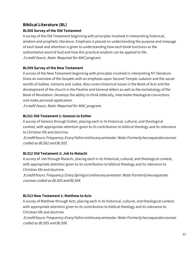# **Biblical Literature (BL) BL508 Survey of the Old Testament**

A survey of the Old Testament beginning with principles involved in interpreting historical, wisdom and prophetic literature. Emphasis is placed on understanding the purpose and message of each book and attention is given to understanding how each book functions as the authoritative word of God and how this practical wisdom can be applied to life. <sup>3</sup> credit hours. Note: Required for MACprogram.

## **BL509 Survey of the New Testament**

A survey of the New Testament beginning with principles involved in interpreting NT literature. Gives an overview of the Gospels with an emphasis upon Second Temple Judaism and the social worlds of Galilee, Samaria and Judea. Also covers historical issues in the Book of Acts and the development of the church in the Pauline and General letters as well as the eschatology of the Book of Revelation. Develops the ability to think biblically, interrelate theological convictions and make personal application.

3 credit hours. Note: Required for MAC program.

# **BL511 Old Testament 1: Genesis to Esther**

A survey of Genesis through Esther, placing each in its historical, cultural, and theological context, with appropriate attention given to its contribution to biblical theology and its relevance to Christian life and doctrine.

3credithours.Frequency:EveryFalloronlineanysemester.Note:Formerlytwoseparatecourses coded as BL502 and BL503.

# **BL512 Old Testament 2: Job to Malachi**

A survey of Job through Malachi, placing each in its historical, cultural, and theological context, with appropriate attention given to its contribution to biblical theology and its relevance to Christian life and doctrine.

3credithours.Frequency:EverySpringoronlineanysemester.Note:Formerlytwoseparate courses coded as BL503 andBL504.

# **BL513 New Testament 1: Matthew to Acts**

A survey of Matthew through Acts, placing each in its historical, cultural, and theological context, with appropriate attention given to its contribution to biblical theology and its relevance to Christian life and doctrine.

3credithours.Frequency:EveryFalloronlineanysemester.Note:Formerlytwoseparatecourses coded as BL505 and BL506.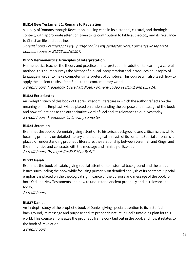#### **BL514 New Testament 2: Romans to Revelation**

A survey of Romans through Revelation, placing each in its historical, cultural, and theological context, with appropriate attention given to its contribution to biblical theology and its relevance to Christian life and doctrine.

3credithours.Frequency:EverySpringoronlineanysemester.Note:Formerlytwoseparate courses coded as BL506 and BL507.

#### **BL515 Hermeneutics: Principles of Interpretation**

Hermeneutics teaches the theory and practice of interpretation. In addition to learning a careful method, this course surveys the history of biblical interpretation and introduces philosophy of language in order to make competent interpreters of Scripture. This course will also teach how to apply the ancient truths of the Bible to the contemporary world.

3 credit hours. Frequency: Every Fall. Note: Formerly coded as BL501 and BL501A.

#### **BL523 Ecclesiastes**

An in-depth study of this book of Hebrew wisdom literature in which the author reflects on the meaning of life. Emphasis will be placed on understanding the purpose and message of the book and how it functions as the authoritative word of God and its relevance to our lives today. 2 credit hours. Frequency: Online any semester

#### **BL524 Jeremiah**

Examines the book of Jeremiah giving attention to historical background and critical issues while focusing primarily on detailed literary and theological analysis of its content. Special emphasis is placed on understanding prophetic literature, the relationship between Jeremiah and Kings, and the similarities and contrasts with the message and ministry of Ezekiel. 2 credit hours. Prerequisite: BL504 or BL512

#### **BL532 Isaiah**

Examines the book of Isaiah, giving special attention to historical background and the critical issues surrounding the book while focusing primarily on detailed analysis of its contents. Special emphasis is placed on the theological significance of the purpose and message of the book for both Old and New Testaments and how to understand ancient prophecy and its relevance to today.

2 credit hours.

## **BL537 Daniel**

An in-depth study of the prophetic book of Daniel, giving special attention to its historical background, its message and purpose and its prophetic nature in God's unfolding plan for this world. This course emphasizes the prophetic framework laid out in the book and how it relates to the book of Revelation.

2 credit hours.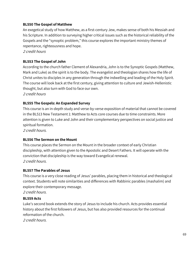#### **BL550 The Gospel of Matthew**

An exegetical study of how Matthew, as a first-century Jew, makes sense of both his Messiah and his Scripture. In addition to surveying higher critical issues such as the historical reliability of the Gospels and the "synoptic problem," this course explores the important ministry themes of repentance, righteousness and hope.

2 credit hours

## **BL553 The Gospel of John**

According to the church father Clement of Alexandria, John is to the Synoptic Gospels (Matthew, Mark and Luke) as the spirit is to the body. The evangelist and theologian shares how the life of Christ unites to disciples in any generation through the indwelling and leading of the Holy Spirit. The course will look back at the first century, giving attention to culture and Jewish-Hellenistic thought, but also turn with God to face our own. 2 credit hours

#### **BL555 The Gospels: An Expanded Survey**

This course is an in-depth study and verse-by-verse exposition of material that cannot be covered in the BL513 New Testament 1: Matthew to Acts core courses due to time constraints. More attention is given to Luke and John and their complementary perspectives on social justice and spiritual formation.

2 credit hours.

#### **BL556 The Sermon on the Mount**

This course places the Sermon on the Mount in the broader context of early Christian discipleship, with attention given to the Apostolic and Desert Fathers. It will operate with the conviction that discipleship is the way toward Evangelical renewal. 2 credit hours.

#### **BL557 The Parables of Jesus**

This course is a very close reading of Jesus' parables, placing them in historical and theological context. Students will note similarities and differences with Rabbinic parables (mashalim) and explore their contemporary message.

2 credit hours.

#### **BL559 Acts**

Luke's second book extends the story of Jesus to include his church. Acts provides essential history about the first followers of Jesus, but has also provided resources for the continual reformation of the church.

2 credit hours.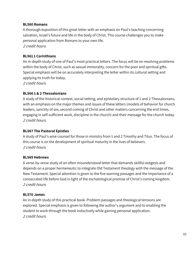#### **BL560 Romans**

A thorough exposition of this great letter with an emphasis on Paul's teaching concerning salvation, Israel's future and life in the body of Christ. This course challenges you to make personal application from Romans to your own life. 2 credit hours.

#### **BL561 1 Corinthians**

An in-depth study of one of Paul's most practical letters. The focus will be on resolving problems within the body of Christ, such as sexual immorality, concern for the poor and spiritual gifts. Special emphasis will be on accurately interpreting the letter within its cultural setting and applying its truth for today.

2 credit hours.

#### **BL566 1 & 2 Thessalonians**

A study of the historical context, social setting, and epistolary structure of 1 and 2 Thessalonians, with an emphasis on the major themes and issues of these letters (models of behavior for church leaders, sanctity of sex, second coming of Christ and other matters concerning the end times, engaging in self-sufficient work, discipline in the church) and their message for the church today. 2 credit hours.

#### **BL567 The Pastoral Epistles**

A study of Paul's wise counsel for those in ministry from 1 and 2 Timothy and Titus. The focus of this course is on the development of spiritual maturity in the lives of believers. 2 credit hours.

#### **BL569 Hebrews**

A verse-by-verse study of an often misunderstood letter that demands skillful exegesis and depends on a proper hermeneutic to integrate Old Testament theology with the message of the New Testament. Special attention is given to the five warning passages and the importance of a consecrated life before God in light of the eschatological promise of Christ's coming kingdom. 2 credit hours.

#### **BL570 James**

An in-depth study of this practical book. Problem passages and theological tensions are explored. Special emphasis is given to following the author's argument and to enabling the student to work through the book inductively while gaining personal application. 2 credit hours.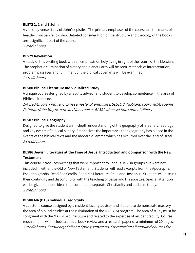#### **BL572 1, 2 and 3 John**

A verse-by-verse study of John's epistles. The primary emphases of the course are the marks of healthy Christian fellowship. Detailed consideration of the structure and theology of the books are a significant part of the course.

2 credit hours.

#### **BL579 Revelation**

A study of this exciting book with an emphasis on holy living in light of the return of the Messiah. The prophetic culmination of history and planet Earth will be seen. Methods of interpretation, problem passages and fulfillment of the biblical covenants will be examined. 2 credit hours.

## **BL580 Biblical Literature Individualized Study**

A unique course designed by a faculty advisor and student to develop competence in the area of Biblical Literature.

1-4credithours.Frequency:Anysemester.Prerequisite:BL515,3.4GPAandapprovedAcademic Petition. Note: May be repeated for credit as BL581 when section content differs.

## **BL582 Biblical Geography**

Designed to give the student an in-depth understanding of the geography of Israel,archaeology and key events of biblical history. Emphasizes the importance that geography has placed in the events of the biblical texts and the modern dilemma which has occurred over the land of Israel. 2 credit hours.

# **BL586 Jewish Literature at the Time of Jesus: Introduction and Comparison with the New Testament**

This course introduces writings that were important to various Jewish groups but were not included in either the Old or New Testament. Students will read excerpts from the Apocrypha, Pseudepigrapha, Dead Sea Scrolls, Rabbinic Literature, Philo and Josephus. Students will discuss their continuity and discontinuity with the teaching of Jesus and His apostles. Special attention will be given to those ideas that continue to separate Christianity and Judaism today. 2 credit hours.

## **BL588 MA (BTS) Individualized Study**

A capstone course designed by a resident faculty advisor and student to demonstrate mastery in the area of biblical studies at the culmination of the MA (BTS) program. The area of study must be congruent with the MA (BTS) curriculum and related to the expertise of resident faculty. Course requirements will include a critical book review and a research paper of a minimum of 20 pages. 3 credit hours. Frequency: Fall and Spring semesters. Prerequisite: All required courses for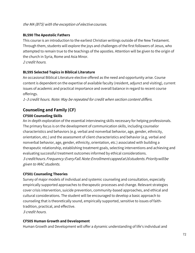## the MA (BTS) with the exception of elective courses.

## **BL590 The Apostolic Fathers**

This course is an introduction to the earliest Christian writings outside of the New Testament. Through them, students will explore the joys and challenges of the first followers of Jesus, who attempted to remain true to the teachings of the apostles. Attention will be given to the origin of the church in Syria, Rome and Asia Minor.

2 credit hours.

## **BL595 Selected Topics in Biblical Literature**

An occasional Biblical Literature elective offered as the need and opportunity arise. Course content is dependent on the expertise of available faculty (resident, adjunct and visiting), current issues of academic and practical importance and overall balance in regard to recent course offerings.

<sup>1</sup>–3 credit hours. Note: May be repeated for credit when section content differs.

# **Counseling and Family (CF)**

#### **CF500 Counseling Skills**

An in-depth exploration of the essential interviewing skills necessary for helping professionals. The primary focus is on the development of communication skills, including counselor characteristics and behaviors (e.g. verbal and nonverbal behavior, age, gender, ethnicity, orientation, etc.) and the assessment of client characteristics and behavior (e.g. verbal and nonverbal behavior, age, gender, ethnicity, orientation, etc.) associated with building a therapeutic relationship, establishing treatment goals, selecting interventions and achieving and evaluating successful treatment outcomes informed by ethical considerations. 3 credithours.Frequency:EveryFall.Note:Enrollmentcappedat16students.Prioritywillbe given to MAC students.

## **CF501 Counseling Theories**

Survey of major models of individual and systemic counseling and consultation, especially empirically supported approaches to therapeutic processes and change. Relevant strategies cover crisis intervention, suicide prevention, community-based approaches, and ethical and cultural considerations. The student will be encouraged to develop a basic approach to counseling that is theoretically sound, empirically supported, sensitive to issues of faithtradition, practical, and effective.

3 credit hours.

#### **CF505 Human Growth and Development**

Human Growth and Development will offer a dynamic understanding of life's individual and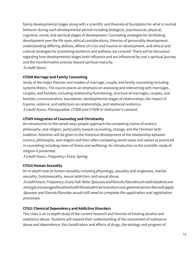family developmental stages along with a scientific and theoretical foundation for what is normal behavior during each developmental period including biological, psychosocial, physical, cognitive, moral, and spiritual stages of development. Counseling strategies for facilitating development over the life span, ethical considerations, theories of personality development, understanding differing abilities, effects of crisis and trauma on development, and ethical and cultural strategies for promoting resilience and wellness are covered. There will be discussion regarding how developmental stages both influence and are influenced by one's spiritual journey and the transformative process toward spiritual maturity. 3 credit hours.

### **CF508 Marriage and Family Counseling**

Study of the major theories and models of marriage, couple, and family counseling including systems theory. The course places an emphasis on assessing and intervening with marriages, couples, and families; including relationship functioning, structure of marriages, couples, and families, communication, boundaries, developmental stages of relationships, the impact of trauma, violence, and addictions on relationships, and relational resilience. 3 credit hours. Prerequisites: CF500 and CF509 or instructor's consent.

# **CF509 Integration of Counseling and Christianity**

An introduction to the varied ways people approach the competing claims of science, philosophy, and religion, particularly toward counseling, change, and the Christian faith tradition. Attention will be given to the historical development of the relationship between science, philosophy, and religion and their often competing world views and values as practiced in counseling including views of illness and wellbeing. An introduction to the scientific study of religion is presented.

3 credit hours. Frequency: Every Spring.

# **CF510 Human Sexuality**

An in-depth look at human sexuality including physiology, sexuality and singleness, marital sexuality, homosexuality, sexual addiction, and sexual abuse.

3credithours.Frequency:EveryFall.Note:Spousesandfiancés/fiancéesofcreditstudentsare stronglyencouragedtoattendwiththestudentatnotuitioncost,generalservicefeeswillapply. Spouses and fiancés/fiancées would still need to complete the application and registration processes.

### **CF511 Chemical Dependency and Addictive Disorders**

This class is an in-depth study of the current research and theories of treating alcohol and substance abuse. Students will expand their understanding of the assessment of substance abuse and dependence, the classification and effects of drugs, the etiology and progress of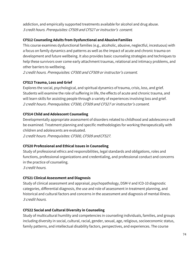addiction, and empirically supported treatments available for alcohol and drug abuse. 3 credit hours. Prerequisites: CF509 and CF527 or instructor's consent.

### **CF512 Counseling Adults from Dysfunctional and Abusive Families**

This course examines dysfunctional families (e.g., alcoholic, abusive, neglectful, incestuous) with a focus on family dynamics and patterns as well as the impact of acute and chronic trauma on development and future wellbeing. It also provides basic counseling strategies and techniques to help these survivors over come early attachment traumas, relational and intimacy problems, and other barriers to wellbeing.

2 credit hours. Prerequisites: CF500 and CF509 or instructor's consent.

# **CF513 Trauma, Loss and Grief**

Explores the social, psychological, and spiritual dynamics of trauma, crisis, loss, and grief. Students will examine the role of suffering in life, the effects of acute and chronic trauma, and will learn skills for assisting people through a variety of experiences involving loss and grief. 2 credit hours. Prerequisites: CF500, CF509 and CF527 or instructor's consent.

# **CF514 Child and Adolescent Counseling**

Developmentally appropriate assessment of disorders related to childhood and adolescence will be examined. Treatment planning and specific methodologies for working therapeutically with children and adolescents are evaluated.

2 credit hours. Prerequisites: CF500, CF509 andCF527.

### **CF520 Professional and Ethical Issues in Counseling**

Study of professional ethics and responsibilities, legal standards and obligations, roles and functions, professional organizations and credentialing, and professional conduct and concerns in the practice of counseling.

3 credit hours.

### **CF521 Clinical Assessment and Diagnosis**

Study of clinical assessment and appraisal, psychopathology, DSM-V and ICD-10 diagnostic categories, differential diagnosis, the use and role of assessment in treatment planning, and historical and cultural factors and concerns in the assessment and diagnosis of mental illness. 3 credit hours.

### **CF522 Social and Cultural Diversity in Counseling**

Study of multicultural humility and competencies in counseling individuals, families, and groups including diversity in social, cultural, racial, gender, sexual, age, religious, socioeconomic status, family patterns, and intellectual disability factors, perspectives, and experiences. The course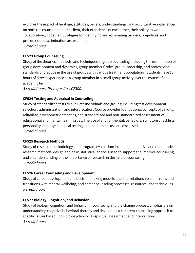explores the impact of heritage, attitudes, beliefs, understandings, and acculturative experiences on both the counselor and the client, their experience of each other, their ability to work collaboratively together. Strategies for identifying and eliminating barriers, prejudices, and processes of discrimination are examined. 3 credit hours.

### **CF523 Group Counseling**

Study of the theories, methods, and techniques of group counseling including the examination of group development and dynamics, group members' roles, group leadership, and professional standards of practice in the use of groups with various treatment populations. Students have 10 hours of direct experience as a group member in a small group activity over the course of one academic term.

3 credit hours. Prerequisites: CF500.

# **CF524 Testing and Appraisal in Counseling**

Study of standardized tests to evaluate individuals and groups; including test development, selection, administration, and interpretation. Course provides foundational concepts of validity, reliability, psychometric statistics, and standardized and non-standardized assessment of educational and mental health issues. The use of environmental, behaviors, symptom checklists, personality, and psychological testing and their ethical use are discussed. 3 credit hours.

### **CF525 Research Methods**

Study of research methodology, and program evaluation; including qualitative and quantitative research methods, design and basic statistical analysis used to support and improve counseling; and an understanding of the importance of research in the field of counseling. 3 credit hours.

### **CF526 Career Counseling and Development**

Study of career development and decision making models, the interrelationship of life roles and transitions with mental wellbeing, and career counseling processes, resources, and techniques. 3 credit hours.

### **CF527 Biology, Cognition, and Behavior**

Study of biology, cognition, and behavior in counseling and the change process. Emphasis is on understanding cognitive behavioral therapy and developing a coherent counseling approach to specific issues based upon bio-psycho-social-spiritual assessment and intervention. 3 credit hours.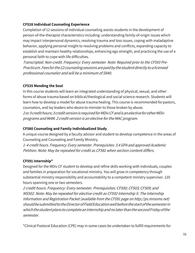### **CF528 Individual Counseling Experience**

Completion of 12 sessions of individual counseling assists students in the development of person-of-the-therapist characteristics including: understanding family-of-origin issues which may impact interpersonal dynamics, resolving trauma and loss issues, coping with maladaptive behavior, applying personal insight to resolving problems and conflicts, expanding capacity to establish and maintain healthy relationships, enhancing ego strength, and practicing the use of a personal faith to cope with life difficulties.

Transcripted. Non-credit. Frequency: Every semester. Note: Required prior to the CF593 Pre-Practicum.Fees forthe12counselingsessionsarepaidby thestudentdirectly toalicensed professional counselor and will be <sup>a</sup> minimum of \$840.

### **CF535 Mending the Soul**

In this course students will learn an integrated understanding of physical, sexual, and other forms of abuse trauma based on biblical/theological and social science research. Students will learn how to develop a model for abuse trauma healing. This course is recommended forpastors, counselors, and lay leaders who desire to minister to those broken by abuse. 2or3credithours;3creditversionis requiredforMDivCFandisanelectiveforotherMDiv

programs and MAM. <sup>2</sup> credit version is an elective for the MAC program.

### **CF580 Counseling and Family Individualized Study**

A unique course designed by a faculty advisor and student to develop competence in the areas of Counseling and Counseling and Family Ministry.

<sup>1</sup>–4 credit hours. Frequency: Every semester. Prerequisites: 3.4 GPA and approved Academic Petition. Note: May be repeated for credit as CF581 when section content differs.

### **CF591 Internship\***

Designed for the MDiv CF student to develop and refine skills working with individuals, couples and families in preparation for vocational ministry. You will grow in competency through substantial ministry responsibility and accountability to a competent ministry supervisor. 120 hours spanning one or two semesters.

2 credit hours. Frequency: Every semester. Prerequisites: CF500; CF503; CF509; and MS502. Note: May be repeated for elective credit as CF592 Internship II. The Internship Information and Registration Packet (available from the CF591 page on http://ps.mrooms.net) shouldbesubmittedtotheDirectorofFieldEducationwellbeforethestartofthesemesterin which the student plans to complete an Internship and no later than the second Friday of the semester.

\*Clinical Pastoral Education (CPE) may in some cases be undertaken to fulfill requirements for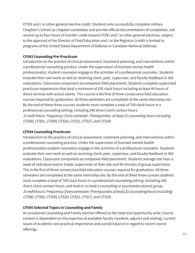CF591 and / or other general elective credit. Students who successfully complete military Chaplain's School as chaplain candidates and provide official documentation of completion, will receive up to four hours of transfer credit toward CF591 and / or other general electives, subject to the approval of the Director of Field Education and / or the Registrar (credit is limited to programs of the United States Department of Defense or Canadian National Defense).

### **CF593 Counseling Pre-Practicum**

Introduction to the practice of clinical assessment, treatment planning, and interventions within a professional counseling practice. Under the supervision of licensed mental health professional(s), student-counselor engage in the activities of a professional counselor. Students evaluate their own work as well as receiving client, peer, supervisor, and faculty feedback in 360 evaluations. Classroom component accompanies field placement. Students complete supervised practicum experiences that total a minimum of 100 clock hours including at least 40 hours of direct services with actual clients. This course is the first of three consecutive field education courses required for graduation. All three semesters are completed at the same internship site. By the end of these three courses students must complete a total of 700 clock hours in a professional counseling setting; including 240 direct client contact hours. 3 credit hours. Frequency: Every semester. Prerequisites: at least 21 counseling hours including CF500, CF501, CF509, CF520, CF521, CF527, and CF528.

### **CF594 Counseling Practicum**

Introduction to the practice of clinical assessment, treatment planning, and interventions within a professional counseling practice. Under the supervision of licensed mental health professional(s) student-counselors engage in the activities of a professional counselor. Students evaluate their own work as well as receiving client, peer, supervisor, and faculty feedback in 360 evaluations. Classroom component accompanies field placement. Students average one hour a week of individual and/or triadic supervision at their site and 90 minutes of group supervision. This is the first of three consecutive field education courses required for graduation. All three semesters are completed at the same internship site. By the end of these three courses students must complete a total of 700 clock hours in a professional counseling setting: including 240 direct client contact hours, and lead or co-lead a counseling or psychoeducational group. 3credithours.Frequency:Everysemester.Prerequisites:atleast21counselinghoursincluding CF500, CF501, CF509, CF520, CF521, CF527, and CF528.

### **CF595 Selected Topics in Counseling and Family**

An occasional Counseling and Family elective offered as the need and opportunity arise. Course content is dependent on the expertise of available faculty (resident, adjunct and visiting), current issues of academic and practical importance and overall balance in regard to recent course offerings.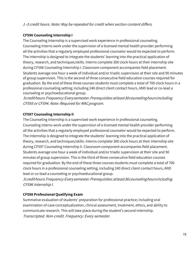### <sup>1</sup>–3 credit hours. Note: May be repeated for credit when section content differs.

### **CF596 Counseling Internship I**

The Counseling Internship is a supervised work experience in professional counseling. Counseling interns work under the supervision of a licensed mental health provider performing all the activities that a regularly employed professional counselor would be expected to perform. The internship is designed to integrate the students' learning into the practical application of theory, research, and techniques/skills. Interns complete 300 clock hours at their internship site during CF596 Counseling Internship I. Classroom component accompanies field placement. Students average one hour a week of individual and/or triadic supervision at their site and 90 minutes of group supervision. This is the second of three consecutive field education courses required for graduation. By the end of these three courses students must complete a total of 700 clock hours in a professional counseling setting; including 240 direct client contact hours, AND lead or co-lead a counseling or psychoeducational group.

3credithours.Frequency:Everysemester.Prerequisites:atleast30counselinghoursincluding CF593 or CF594. Note: Required for MACprogram.

### **CF597 Counseling Internship II**

The Counseling Internship is a supervised work experience in professional counseling. Counseling interns work under the supervision of a licensed mental health provider performing all the activities that a regularly employed professional counselor would be expected to perform. The internship is designed to integrate the students' learning into the practical application of theory, research, and techniques/skills. Interns complete 300 clock hours at their internship site during CF597 Counseling Internship II. Classroom component accompanies field placement. Students average one hour a week of individual and/or triadic supervision at their site and 90 minutes of group supervision. This is the third of three consecutive field education courses required for graduation. By the end of these three courses students must complete a total of 700 clock hours in a professional counseling setting; including 240 direct client contact hours, AND lead or co-lead a counseling or psychoeducational group.

3credithours.Frequency:Everysemester.Prerequisites:atleast36counselinghoursincluding CF596 Internship I.

### **CF598 Professional Qualifying Exam**

Summative evaluation of students' preparation for professional practice; including oral examination of case conceptualization, clinical assessment, treatment, ethics, and ability to communicate research. This will take place during the student's second internship. Transcripted. Non-credit. Frequency: Every semester.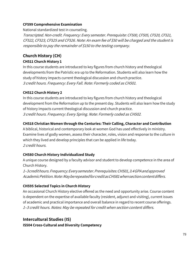### **CF599 Comprehensive Examination**

National standardized test in counseling.

Transcripted. Non-credit. Frequency: Every semester. Prerequisite: CF500, CF505, CF520, CF521, CF522, CF523, CF525 and CF526. Note: An exam fee of \$50 will be charged and the student is responsible to pay the remainder of \$150 to the testing company.

# **Church History (CH)**

# **CH511 Church History 1**

In this course students are introduced to key figures from church history and theological developments from the Patristic era up to the Reformation. Students will also learn how the study of history impacts current theological discussion and church practice. 3 credit hours. Frequency: Every Fall. Note: Formerly coded as CH501.

# **CH512 Church History 2**

In this course students are introduced to key figures from church history and theological development from the Reformation up to the present day. Students will also learn how the study of history impacts current theological discussion and church practice. 3 credit hours. Frequency: Every Spring. Note: Formerly coded as CH502.

# **CH518 Christian Women through the Centuries: Their Calling, Character and Contribution**

A biblical, historical and contemporary look at women God has used effectively in ministry. Examine lives of godly women, assess their character, roles, vision and response to the culture in which they lived and develop principles that can be applied in life today. 2 credit hours.

# **CH580 Church History Individualized Study**

A unique course designed by a faculty advisor and student to develop competence in the area of Church History.

<sup>1</sup>–3credithours.Frequency:Everysemester.Prerequisites:CH501,3.4GPAandapproved AcademicPetition.Note:MayberepeatedforcreditasCH581whensectioncontentdiffers.

# **CH595 Selected Topics in Church History**

An occasional Church History elective offered as the need and opportunity arise. Course content is dependent on the expertise of available faculty (resident, adjunct and visiting), current issues of academic and practical importance and overall balance in regard to recent course offerings. <sup>1</sup>–3 credit hours. Notes: May be repeated for credit when section content differs.

# **Intercultural Studies (IS)**

**IS504 Cross-Cultural and Diversity Competency**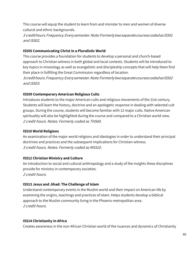This course will equip the student to learn from and minister to men and women of diverse cultural and ethnic backgrounds.

3 credithours.Frequency:Everysemester.Note:FormerlytwoseparatecoursescodedasIS501 and IS502.

### **IS505 Communicating Christ in a Pluralistic World**

This course provides a foundation for students to develop a personal and church-based approach to Christian witness in both global and local contexts. Students will be introduced to key topics in missiology as well as evangelistic and discipleship concepts that will help them find their place in fulfilling the Great Commission regardless of location.

3credithours.Frequency:Everysemester.Note:FormerlytwoseparatecoursescodedasIS502 and IS503.

### **IS509 Contemporary American Religious Cults**

Introduces students to the major American cults and religious movements of the 21st century. Students will learn the history, doctrine and an apologetic response in dealing with selected cult groups. During the course, students will become familiar with 12 major cults. Native American spirituality will also be highlighted during the course and compared to a Christian world view. 2 credit hours. Notes: Formerly coded as TH560.

### **IS510 World Religions**

An examination of the major world religions and ideologies in order to understand their principal doctrines and practices and the subsequent implications for Christian witness. 3 credit hours. Notes: Formerly coded as MS510.

### **IS512 Christian Ministry and Culture**

An introduction to social and cultural anthropology and a study of the insights these disciplines provide for ministry in contemporary societies. 2 credit hours.

### **IS513 Jesus and Jihad: The Challenge of Islam**

Understand contemporary events in the Muslim world and their impact on American life by examining the origins, teachings and practices of Islam. Helps students develop a biblical approach to the Muslim community living in the Phoenix metropolitan area. 2 credit hours.

### **IS514 Christianity in Africa**

Creates awareness in the non-African Christian world of the nuances and dynamics of Christianity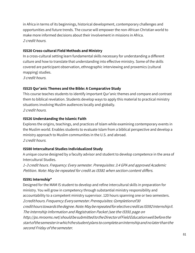in Africa in terms of its beginnings, historical development, contemporary challenges and opportunities and future trends. The course will empower the non-African Christian world to make more informed decisions about their involvement in missions in Africa. 2 credit hours.

### **IS520 Cross-cultural Field Methods and Ministry**

In a cross-cultural setting learn fundamental skills necessary for understanding a different culture and how to translate that understanding into effective ministry. Some of the skills covered are participant observation, ethnographic interviewing and proxemics (cultural mapping) studies.

3 credit hours.

### **IS525 Qur'anic Themes and the Bible: A Comparative Study**

This course teaches students to identify important Qur'anic themes and compare and contrast them to biblical revelation. Students develop ways to apply this material to practical ministry situations involving Muslim audiences locally and globally. 2 credit hours.

### **IS526 Understanding the Islamic Faith**

Explores the origins, teachings, and practices of Islam while examining contemporary events in the Muslim world. Enables students to evaluate Islam from a biblical perspective and develop a ministry approach to Muslim communities in the U.S. and abroad. 2 credit hours.

### **IS580 Intercultural Studies Individualized Study**

A unique course designed by a faculty advisor and student to develop competence in the area of Intercultural Studies.

<sup>1</sup>–3 credit hours. Frequency: Every semester. Prerequisites: 3.4 GPA and approved Academic Petition. Note: May be repeated for credit as IS581 when section content differs.

### **IS591 Internship\***

Designed for the MAM IS student to develop and refine intercultural skills in preparation for ministry. You will grow in competency through substantial ministry responsibility and accountability to a competent ministry supervisor. 120 hours spanning one or two semesters. 2credithours.Frequency:Everysemester.Prerequisites: Completionof30 credithourstowardsthedegree.Note:MayberepeatedforelectivecreditasIS592InternshipII. The Internship Information and Registration Packet (see the IS591 page on http://ps.mrooms.net) should be submitted to the Director of Field Education well before the startofthesemesterinwhichthestudentplans tocompleteanInternshipandnolaterthanthe second Friday of the semester.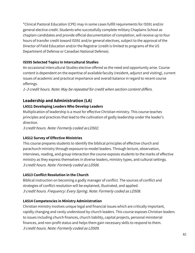\*Clinical Pastoral Education (CPE) may in some cases fulfill requirements for IS591 and/or general elective credit. Students who successfully complete military Chaplains School as chaplain candidates and provide official documentation of completion, will receive up to four hours of transfer credit toward IS591 and/or general electives, subject to the approval of the Director of Field Education and/or the Registrar (credit is limited to programs of the US Department of Defense or Canadian National Defense).

# **IS595 Selected Topics in Intercultural Studies**

An occasional Intercultural Studies elective offered as the need and opportunity arise. Course content is dependent on the expertise of available faculty (resident, adjunct and visiting), current issues of academic and practical importance and overall balance in regard to recent course offerings.

<sup>1</sup>–3 credit hours. Note: May be repeated for credit when section content differs.

# **Leadership and Administration (LA)**

# **LA511 Developing Leaders Who Develop Leaders**

Multiplication of leadership is a must for effective Christian ministry. This course teaches principles and practices that lead to the cultivation of godly leadership under the leader's direction.

3 credit hours. Note: Formerly coded asLD502.

# **LA512 Survey of Effective Ministries**

This course prepares students to identify the biblical principles of effective church and parachurch ministry through exposure to model leaders. Through lecture, observation, interviews, reading, and group interaction the course exposes students to the marks of effective ministry as they express themselves in diverse leaders, ministry types, and cultural settings. 3 credit hours. Note: Formerly coded as LD506.

# **LA513 Conflict Resolution in the Church**

Biblical instruction on becoming a godly manager of conflict. The sources of conflict and strategies of conflict resolution will be explained, illustrated, and applied. 3 credit hours. Frequency: Every Spring. Note: Formerly coded as LD508.

### **LA514 Competencies in Ministry Administration**

Christian ministry involves unique legal and financial issues which are critically important, rapidly changing and rarely understood by church leaders. This course exposes Christian leaders to issues including church finances, church liability, capital projects, personal ministerial finances, and non-profit status and helps them gain necessary skills to respond to them. 3 credit hours. Note: Formerly coded as LD509.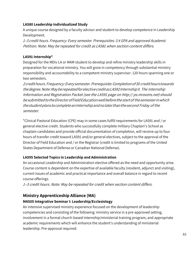### **LA580 Leadership Individualized Study**

A unique course designed by a faculty advisor and student to develop competence in Leadership Development.

<sup>1</sup>–3 credit hours. Frequency: Every semester. Prerequisites: 3.4 GPA and approved Academic Petition. Note: May be repeated for credit as LA581 when section content differs.

### **LA591 Internship\***

Designed for the MDiv LA or MAM student to develop and refine ministry leadership skills in preparation for vocational ministry. You will grow in competency through substantial ministry responsibility and accountability to a competent ministry supervisor. 120 hours spanning one or two semesters.

2credithours.Frequency:Everysemester.Prerequisite:Completionof30 credithourstowards thedegree.Note:MayberepeatedforelectivecreditasLA592InternshipII. The Internship Information and Registration Packet (see the LA591 page on http:// ps.mrooms.net) should be submitted to the Director of Field Education well before the start of the semester in which thestudentplanstocompleteanInternshipandnolaterthanthesecond Friday of the semester.

\*Clinical Pastoral Education (CPE) may in some cases fulfill requirements for LA591 and / or general elective credit. Students who successfully complete military Chaplain's School as chaplain candidates and provide official documentation of completion, will receive up to four hours of transfer credit toward LA591 and/or general electives, subject to the approval of the Director of Field Education and / or the Registrar (credit is limited to programs of the United States Department of Defense or Canadian National Defense).

### **LA595 Selected Topics in Leadership and Administration**

An occasional Leadership and Administration elective offered as the need and opportunity arise. Course content is dependent on the expertise of available faculty (resident, adjunct and visiting), current issues of academic and practical importance and overall balance in regard to recent course offerings.

<sup>1</sup>–3 credit hours. Note: May be repeated for credit when section content differs.

# **Ministry Apprenticeship Alliance (MA) MA505 Integrative Seminar I: Leadership/Ecclesiology**

An intensive supervised ministry experience focused on the development of leadership competencies and consisting of the following: ministry service in a pre-approved setting, involvement in a formal church-based internship/ministerial training program, and appropriate academic requirements which will enhance the student's understanding of ministerial leadership. Pre-approval required.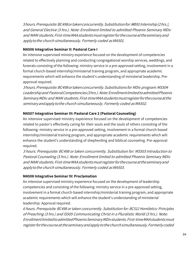5hours.Prerequisite:BC498ortakenconcurrently.Substitutionfor:##591Internship(2hrs.), and General Elective (3 hrs.). Note: Enrollment limited to admitted Phoenix Seminary MDiv and MAM students.First-timeMAAstudentsmustregisterforthecourseattheseminaryand apply to the church simultaneously. Formerly coded as MA501.

### **MA506 Integrative Seminar II: Pastoral Care I**

An intensive supervised ministry experience focused on the development of competencies related to effectively planning and conducting congregational worship services, weddings, and funerals consisting of the following: ministry service in a pre-approved setting, involvement in a formal church-based internship/ministerial training program, and appropriate academic requirements which will enhance the student's understanding of ministerial leadership. Preapproval required.

3hours.Prerequisite:BC498ortakenconcurrently.Substitutions for MDiv program:MS504 Leadership and Pastoral Competencies (3 hrs.). Note: Enrollment limited to admitted Phoenix SeminaryMDiv and MAM students.First-timeMAAstudentsmustregisterforthecourseatthe seminary and apply to the church simultaneously. Formerly coded as MA502.

### **MA507 Integrative Seminar III: Pastoral Care 2 (Pastoral Counseling)**

An intensive supervised ministry experience focused on the development of competencies related to pastor's effectively caring for their souls and the souls of others consisting of the following: ministry service in a pre-approved setting, involvement in a formal church-based internship/ministerial training program, and appropriate academic requirements which will enhance the student's understanding of shepherding and biblical counseling. Pre-approval required.

3 hours. Prerequisite: BC498 or taken concurrently. Substitution for: MS503 Introduction to Pastoral Counseling (3 hrs.). Note: Enrollment limited to admitted Phoenix Seminary MDiv and MAM students.First-timeMAAstudentsmustregisterforthecourseattheseminaryand apply to the church simultaneously. Formerly coded as MA503.

### **MA508 Integrative Seminar IV: Proclamation**

An intensive supervised ministry experience focused on the development of leadership competencies and consisting of the following: ministry service in a pre-approved setting, involvement in a formal church-based internship/ministerial training program, and appropriate academic requirements which will enhance the student's understanding of ministerial leadership. Approval required.

6 hours. Prerequisite: BC498 or taken concurrently. Substitution for: BC512 Homiletics: Principles of Preaching (3 hrs.) and IS505 Communicating Christ in a Pluralistic World (3 hrs.). Note: EnrollmentlimitedtoadmittedPhoenixSeminaryMDivstudents.First-timeMAAstudentsmust registerforthecourseattheseminaryandapplytothechurchsimultaneously.Formerlycoded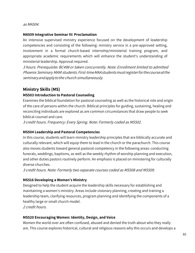as MA504.

### **MA509 Integrative Seminar IV: Proclamation**

An intensive supervised ministry experience focused on the development of leadership competencies and consisting of the following: ministry service in a pre-approved setting, involvement in a formal church-based internship/ministerial training program, and appropriate academic requirements which will enhance the student's understanding of ministerial leadership. Approval required.

3 hours. Prerequisite: BC498 or taken concurrently. Note: Enrollment limited to admitted Phoenix Seminary MAM students.First-timeMAAstudentsmustregisterforthecourseatthe seminaryandapplytothe church simultaneously.

# **Ministry Skills (MS)**

### **MS503 Introduction to Pastoral Counseling**

Examines the biblical foundation for pastoral counseling as well as the historical role and origin of the care of persons within the church. Biblical principles for guiding, sustaining, healing and reconciling individuals are explored as are common circumstances that draw people to seek biblical counsel and care.

3 credit hours. Frequency: Every Spring. Note: Formerly coded as MS502.

### **MS504 Leadership and Pastoral Competencies**

In this course, students will learn ministry leadership principles that are biblically accurate and culturally relevant, which will equip them to lead in the church or the parachurch. This course also moves students toward general pastoral competency in the following areas: conducting funerals, weddings, baptisms, as well as the weekly rhythm of worship planning and execution, and other duties pastors routinely perform. An emphasis is placed on ministering for culturally diverse churches.

3 credit hours. Note: Formerly two separate courses coded as MS508 and MS509.

### **MS516 Developing a Women's Ministry**

Designed to help the student acquire the leadership skills necessary for establishing and maintaining a women's ministry. Areas include visionary planning, creating and training a leadership team, clarifying resources, program planning and identifying the components of a healthy large or small church model.

2 credit hours.

### **MS520 Encouraging Women: Identity, Design, and Voice**

Women the world over are often confused, abused and denied the truth about who they really are. This course explores historical, cultural and religious reasons why this occurs and develops a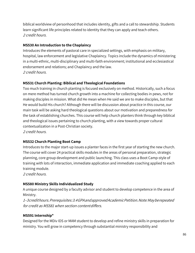biblical worldview of personhood that includes identity, gifts and a call to stewardship. Students learn significant life principles related to identity that they can apply and teach others. 2 credit hours.

### **MS530 An Introduction to the Chaplaincy**

Introduces the elements of pastoral care in specialized settings, with emphasis on military, hospital, law enforcement and legislative Chaplaincy. Topics include the dynamics of ministering in a multi-ethnic, multi-disciplinary and multi-faith environment; institutional and ecclesiastical endorsement and relations; and Chaplaincy and the law. 2 credit hours.

### **MS531 Church Planting: Biblical and Theological Foundations**

Too much training in church planting is focused exclusively on method. Historically, such a focus on mere method has turned church growth into a machine for collecting bodies in pews, not for making disciples in mission. What did He mean when He said we are to make disciples, but that He would build His church? Although there will be discussion about practice in this course, our main task will be asking hard theological questions about our motivation and preparedness for the task of establishing churches. This course will help church planters think through key biblical and theological issues pertaining to church planting, with a view towards proper cultural contextualization in a Post-Christian society. 2 credit hours.

### **MS532 Church Planting Boot Camp**

Introduces to the major start-up issues a planter faces in the first year of starting the new church. The course will cover 24 practical skills modules in the areas of personal preparation, strategic planning, core group development and public launching. This class uses a Boot Camp-style of training with lots of interaction, immediate application and immediate coaching applied to each training module.

2 credit hours.

### **MS580 Ministry Skills Individualized Study**

A unique course designed by a faculty advisor and student to develop competence in the area of Ministry.

<sup>1</sup>–3credithours.Prerequisites:3.4GPAandapprovedAcademicPetition.Note:Mayberepeated for credit as MS581 when section contentdiffers.

### **MS591 Internship\***

Designed for the MDiv IDS or MAM student to develop and refine ministry skills in preparation for ministry. You will grow in competency through substantial ministry responsibility and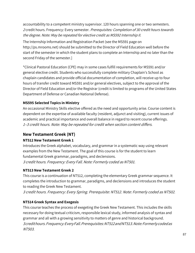accountability to a competent ministry supervisor. 120 hours spanning one or two semesters. 2 credit hours. Frequency: Every semester. Prerequisites: Completion of 30 credit hours towards the degree. Note: May be repeated for elective credit as MS592 Internship II.

The Internship Information and Registration Packet (see the MS591 page on http://ps.mrooms.net) should be submitted to the Director of Field Education well before the start of the semester in which the student plans to complete an Internship and no later than the second Friday of the semester.]

\*Clinical Pastoral Education (CPE) may in some cases fulfill requirements for MS591 and/or general elective credit. Students who successfully complete military Chaplain's School as chaplain candidates and provide official documentation of completion, will receive up to four hours of transfer credit toward MS591 and/or general electives, subject to the approval of the Director of Field Education and/or the Registrar (credit is limited to programs of the United States Department of Defense or Canadian National Defense).

### **MS595 Selected Topics in Ministry**

An occasional Ministry Skills elective offered as the need and opportunity arise. Course content is dependent on the expertise of available faculty (resident, adjunct and visiting), current issues of academic and practical importance and overall balance in regard to recent course offerings. <sup>1</sup>–3 credit hours. Note: May be repeated for credit when section content differs.

### **New Testament Greek (NT)**

### **NT512 New Testament Greek 1**

Introduces the Greek alphabet, vocabulary, and grammar in a systematic way using relevant examples from the New Testament. The goal of this course is for the student to learn fundamental Greek grammar, paradigms, and declensions.

3 credit hours. Frequency: Every Fall. Note: Formerly coded as NT501.

### **NT513 New Testament Greek 2**

This course is a continuation of NT512, completing the elementary Greek grammar sequence. It completes the introduction to grammar, paradigms, and declensions and introduces the student to reading the Greek New Testament.

3 credit hours. Frequency: Every Spring. Prerequisite: NT512. Note: Formerly coded as NT502.

### **NT514 Greek Syntax and Exegesis**

This course teaches the process of exegeting the Greek New Testament. This includes the skills necessary for doing textual criticism, responsible lexical study, informed analysis of syntax and grammar and all with a growing sensitivity to matters of genre and historical background. 3credithours.Frequency:EveryFall.Prerequisites:NT512andNT513.Note:Formerlycodedas NT503.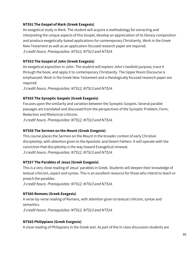### **NT551 The Gospel of Mark (Greek Exegesis)**

An exegetical study in Mark. The student will acquire a methodology for extracting and interpreting the unique aspects of this Gospel, develop an appreciation of its literary composition and produce exegetically-based applications for contemporary Christianity. Work in the Greek New Testament as well as an application-focused research paper are required. 3 credit hours. Prerequisites: NT512, NT513 and NT514.

### **NT553 The Gospel of John (Greek Exegesis)**

An exegetical exposition in John. The student will explore John's twofold purpose, trace it through the book, and apply it to contemporary Christianity. The Upper Room Discourse is emphasized. Work in the Greek New Testament and a theologically focused research paper are required.

3 credit hours. Prerequisites: NT512, NT513 and NT514.

### **NT555 The Synoptic Gospels (Greek Exegesis)**

Focuses upon the similarity and variation between the Synoptic Gospels. Several parallel passages are translated and discussed from the perspectives of the Synoptic Problem, Form, Redaction and Rhetorical criticism.

3 credit hours. Prerequisites: NT512, NT513 and NT514.

### **NT556 The Sermon on the Mount (Greek Exegesis)**

This course places the Sermon on the Mount in the broader context of early Christian discipleship, with attention given to the Apostolic and Desert Fathers. It will operate with the conviction that discipleship is the way toward Evangelical renewal. 3 credit hours. Prerequisites: NT512, NT513 and NT514.

### **NT557 The Parables of Jesus (Greek Exegesis)**

This is a very close reading of Jesus' parables in Greek. Students will deepen their knowledge of textual criticism, aspect and syntax. This is an excellent resource for those who intend to teach or preach the parables.

3 credit hours. Prerequisites: NT512, NT513 and NT514.

### **NT560 Romans (Greek Exegesis)**

A verse-by-verse reading of Romans, with attention given to textual criticism, syntax and semantics. 3 credit hours. Prerequisites: NT512, NT513 and NT514.

### **NT565 Philippians (Greek Exegesis)**

A close reading of Philippians in the Greek text. As part of the in-class discussion students are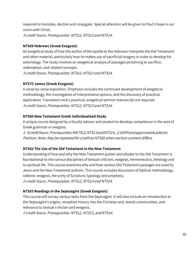required to translate, decline and conjugate. Special attention will be given to Paul's hope in our union with Christ. 3 credit hours. Prerequisites: NT512, NT513 and NT514.

### **NT569 Hebrews (Greek Exegesis)**

An exegetical study of how the author of the epistle to the Hebrews interprets the Old Testament and other material, particularly how he makes use of sacrificial imagery in order to develop his soteriology. The study involves an exegetical analysis of passages pertaining to sacrifice, redemption, and related concepts. 3 credit hours. Prerequisites: NT512, NT513 and NT514.

### **NT570 James (Greek Exegesis)**

A verse-by-verse exposition. Emphasis includes the continued development of exegetical methodology, the investigation of interpretative options, and the discovery of practical application. Translation and a practical, exegetical sermon manuscript are required. 3 credit hours. Prerequisites: NT512, NT513 and NT514.

### **NT580 New Testament Greek Individualized Study**

A unique course designed by a faculty advisor and student to develop competence in the area of Greek grammar or exegesis.

<sup>1</sup>–3credithours.Prerequisites:NNT512,NT513andNT514.,3.4GPAandapprovedAcademic Petition. Note: May be repeated for credit as NT581 when section content differs.

### **NT582 The Use of the Old Testament in the New Testament**

Understanding of how and why the New Testament quotes and alludes to the Old Testament is foundational to the various disciplines of textual criticism, exegesis, hermeneutics, theology and to spiritual life. This course examines why and how various Old Testament passages are used by Jesus and the New Testament authors. This course includes discussion of biblical methodology, rabbinic exegesis, the unity of Scripture, typology and prophecy. 2 credit hours. Prerequisites: NT512, NT513 and NT514.

### **NT583 Readings in the Septuagint (Greek Exegesis)**

This course will survey various texts from the Septuagint. It will also include an introduction to the Septuagint's origins, reception history into the Christian and Jewish communities, and relevance to textual criticism and exegesis.

2 credit hours. Prerequisites: NT512, NT513, andNT514.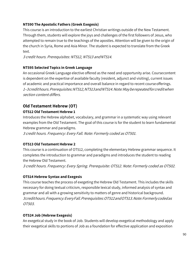# **NT590 The Apostolic Fathers (Greek Exegesis)**

This course is an introduction to the earliest Christian writings outside of the New Testament. Through them, students will explore the joys and challenges of the first followers of Jesus, who attempted to remain true to the teachings of the apostles. Attention will be given to the origin of the church in Syria, Rome and Asia Minor. The student is expected to translate from the Greek text.

3 credit hours. Prerequisites: NT512, NT513 andNT514.

### **NT595 Selected Topics in Greek Language**

An occasional Greek Language elective offered as the need and opportunity arise. Coursecontent is dependent on the expertise of available faculty (resident, adjunct and visiting), current issues of academic and practical importance and overall balance in regard to recent courseofferings. <sup>1</sup>–3credithours.Prerequisites:NT512,NT513andNT514.Note:Mayberepeatedforcreditwhen section content differs.

# **Old Testament Hebrew (OT)**

### **OT512 Old Testament Hebrew 1**

Introduces the Hebrew alphabet, vocabulary, and grammar in a systematic way using relevant examples from the Old Testament. The goal of this course is for the student to learn fundamental Hebrew grammar and paradigms.

3 credit hours. Frequency: Every Fall. Note: Formerly coded as OT501.

### **OT513 Old Testament Hebrew 2**

This course is a continuation of OT512, completing the elementary Hebrew grammar sequence. It completes the introduction to grammar and paradigms and introduces the student to reading the Hebrew Old Testament.

3 credit hours. Frequency: Every Spring. Prerequisite: OT512. Note: Formerly coded as OT502.

### **OT514 Hebrew Syntax and Exegesis**

This course teaches the process of exegeting the Hebrew Old Testament. This includes the skills necessary for doing textual criticism, responsible lexical study, informed analysis of syntax and grammar and all with a growing sensitivity to matters of genre and historical background. 3credithours.Frequency:EveryFall.Prerequisites:OT512andOT513.Note:Formerlycodedas OT503.

### **OT524 Job (Hebrew Exegesis)**

An exegetical study in the book of Job. Students will develop exegetical methodology and apply their exegetical skills to portions of Job as a foundation for effective application and exposition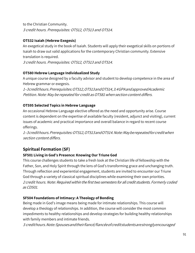to the Christian Community. 3 credit hours. Prerequisites: OT512, OT513 and OT514.

### **OT532 Isaiah (Hebrew Exegesis)**

An exegetical study in the book of Isaiah. Students will apply their exegetical skills on portions of Isaiah to draw out valid applications for the contemporary Christian community. Extensive translation is required.

3 credit hours. Prerequisites: OT512, OT513 and OT514.

### **OT580 Hebrew Language Individualized Study**

A unique course designed by a faculty advisor and student to develop competence in the area of Hebrew grammar or exegesis.

<sup>1</sup>–3credithours.Prerequisites:OT512,OT513andOT514,3.4GPAandapprovedAcademic Petition. Note: May be repeated for credit as OT581 when section content differs.

# **OT595 Selected Topics in Hebrew Language**

An occasional Hebrew Language elective offered as the need and opportunity arise. Course content is dependent on the expertise of available faculty (resident, adjunct and visiting), current issues of academic and practical importance and overall balance in regard to recent course offerings.

<sup>1</sup>–3credithours.Prerequisites:OT512,OT513andOT514.Note:Mayberepeatedforcreditwhen section content differs.

# **Spiritual Formation (SF)**

### **SF501 Living in God's Presence: Knowing Our Triune God**

This course challenges students to take a fresh look at the Christian life of fellowship with the Father, Son, and Holy Spirit through the lens of God's transforming grace and unchanging truth. Through reflection and experiential engagement, students are invited to encounter our Triune God through a variety of classical spiritual disciplines while examining their own priorities. <sup>2</sup> credit hours. Note: Required within the first two semesters for all credit students. Formerly coded as CD501.

### **SF504 Foundations of Intimacy: A Theology of Bonding**

Being made in God's image means being made for intimate relationships. This course will develop a theology of relationships. In addition, the course will consider the most common impediments to healthy relationships and develop strategies for building healthy relationships with family members and intimate friends.

<sup>3</sup> credithours.Note:Spousesandtheirfiancé/fiancéeofcreditstudentsarestronglyencouraged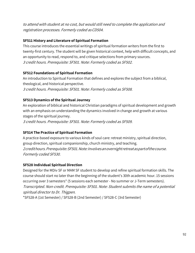to attend with student at no cost, but would still need to complete the application and registration processes. Formerly coded asCD504.

### **SF511 History and Literature of Spiritual Formation**

This course introduces the essential writings of spiritual formation writers from the first to twenty-first century. The student will be given historical context, help with difficult concepts, and an opportunity to read, respond to, and critique selections from primary sources. 3 credit hours. Prerequisite: SF501. Note: Formerly coded as SF502.

### **SF512 Foundations of Spiritual Formation**

An introduction to Spiritual Formation that defines and explores the subject from a biblical, theological, and historical perspective. 3 credit hours. Prerequisite: SF501. Note: Formerly coded as SF508.

### **SF513 Dynamics of the Spiritual Journey**

An exploration of biblical and historical Christian paradigms of spiritual development and growth with an emphasis on understanding the dynamics involved in change and growth at various stages of the spiritual journey.

3 credit hours. Prerequisite: SF501. Note: Formerly coded as SF509.

### **SF514 The Practice of Spiritual Formation**

A practice-based exposure to various kinds of soul care: retreat ministry, spiritual direction, group direction, spiritual companionship, church ministry, and teaching. 2credithours.Prerequisite:SF501.Note:Involvesanovernightretreataspartofthecourse. Formerly coded SF530.

### **SF528 Individual Spiritual Direction**

Designed for the MDiv SF or MAM SF student to develop and refine spiritual formation skills. The course should start no later than the beginning of the student's 30th academic hour. 15 sessions occurring over 3 semesters\* (5 sessions each semester - No summer or J-Term semesters). Transcripted. Non-credit. Prerequisite: SF501. Note: Student submits the name of a potential spiritual director to Dr. Thigpen.

\*SF528-A (1st Semester) / SF528-B (2nd Semester) / SF528-C (3rd Semester)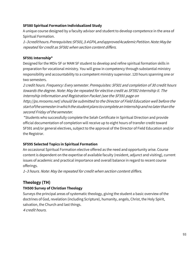### **SF580 Spiritual Formation Individualized Study**

A unique course designed by a faculty advisor and student to develop competence in the area of Spiritual Formation.

<sup>1</sup>–3credithours.Prerequisites:SF501,3.4GPA,andapprovedAcademicPetition.Note:Maybe repeated for credit as SF581 when section content differs.

### **SF591 Internship\***

Designed for the MDiv SF or MAM SF student to develop and refine spiritual formation skills in preparation for vocational ministry. You will grow in competency through substantial ministry responsibility and accountability to a competent ministry supervisor. 120 hours spanning one or two semesters.

2 credit hours. Frequency: Every semester. Prerequisites: SF501 and completion of 30 credit hours towards the degree. Note: May be repeated for elective credit as SF592 Internship II. The Internship Information and Registration Packet (see the SF591 page on http://ps.mrooms.net) should be submitted to the Director of Field Education well before the start of the semester in which the student plans to complete an Internship and no later than the second Friday of the semester.

\*Students who successfully complete the Selah Certificate in Spiritual Direction and provide official documentation of completion will receive up to eight hours of transfer credit toward SF591 and/or general electives, subject to the approval of the Director of Field Education and/or the Registrar.

# **SF595 Selected Topics in Spiritual Formation**

An occasional Spiritual Formation elective offered as the need and opportunity arise. Course content is dependent on the expertise of available faculty (resident, adjunct and visiting), current issues of academic and practical importance and overall balance in regard to recent course offerings.

<sup>1</sup>–3 hours. Note: May be repeated for credit when section content differs.

# **Theology (TH)**

# **TH500 Survey of Christian Theology**

Surveys the principal areas of systematic theology, giving the student a basic overview of the doctrines of God, revelation (including Scripture), humanity, angels, Christ, the Holy Spirit, salvation, the Church and last things.

4 credit hours.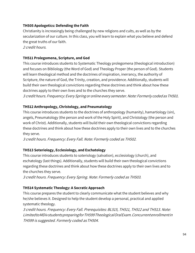### **TH505 Apologetics: Defending the Faith**

Christianity is increasingly being challenged by new religions and cults, as well as by the secularization of our culture. In this class, you will learn to explain what you believe and defend the great truths of our faith.

2 credit hours.

### **TH511 Prolegomena, Scripture, and God**

This course introduces students to Systematic Theology prolegomena (theological introduction) and focuses on Bibliology (the Word of God) and Theology Proper (the person of God). Students will learn theological method and the doctrines of inspiration, inerrancy, the authority of Scripture, the nature of God, the Trinity, creation, and providence. Additionally, students will build their own theological convictions regarding these doctrines and think about how these doctrines apply to their own lives and to the churches they serve.

3 credithours. Frequency:EverySpringoronline every semester.Note: Formerly codedas TH501.

### **TH512 Anthropology, Christology, and Pneumatology**

This course introduces students to the doctrines of anthropology (humanity), hamartiology (sin), angels, Pneumatology (the person and work of the Holy Spirit), and Christology (the person and work of Christ). Additionally, students will build their own theological convictions regarding these doctrines and think about how these doctrines apply to their own lives and to the churches they serve.

3 credit hours. Frequency: Every Fall. Note: Formerly coded as TH502.

### **TH513 Soteriology, Ecclesiology, and Eschatology**

This course introduces students to soteriology (salvation), ecclesiology (church), and eschatology (last things). Additionally, students will build their own theological convictions regarding these doctrines and think about how these doctrines apply to their own lives and to the churches they serve.

3 credit hours. Frequency: Every Spring. Note: Formerly coded as TH503.

### **TH514 Systematic Theology: A Socratic Approach**

This course prepares the student to clearly communicate what the student believes and why he/she believes it. Designed to help the student develop a personal, practical and applied systematic theology.

3 credit hours. Frequency: Every Fall. Prerequisites: BL515, TH511, TH512 and TH513. Note: LimitedtoMDivstudentspreparingforTH599TheologicalOralExam.Concurrentenrollmentin TH599 is suggested. Formerly coded as TH504.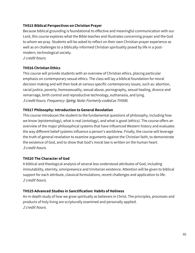### **TH515 Biblical Perspectives on Christian Prayer**

Because biblical grounding is foundational to effective and meaningful communication with our Lord, this course explores what the Bible teaches and illustrates concerning prayer and the God to whom we pray. Students will be asked to reflect on their own Christian prayer experience as well as on challenges to a biblically-informed Christian spirituality posed by life in a postmodern, technological society.

2 credit hours.

### **TH516 Christian Ethics**

This course will provide students with an overview of Christian ethics, placing particular emphasis on contemporary sexual ethics. The class will lay a biblical foundation for moral decision making and will then look at various specific contemporary issues, such as: abortion, racial justice, poverty, homosexuality, sexual abuse, pornography, sexual healing, divorce and remarriage, birth control and reproductive technology, euthanasia, and lying. 3 credit hours. Frequency: Spring. Note: Formerly coded as TH506.

### **TH517 Philosophy: Introduction to General Revelation**

This course introduces the student to the fundamental questions of philosophy, including how we know (epistemology), what is real (ontology), and what is good (ethics). The course offers an overview of the major philosophical systems that have influenced Western history and evaluates the way different belief systems influence a person's worldview. Finally, the course will leverage the truth of general revelation to examine arguments against the Christian faith, to demonstrate the existence of God, and to show that God's moral law is written on the human heart. 3 credit hours.

### **TH520 The Character of God**

A biblical and theological analysis of several less understood attributes of God, including immutability, eternity, omnipresence and trinitarian existence. Attention will be given to biblical support for each attribute, classical formulations, recent challenges and application to life. 2 credit hours.

### **TH525 Advanced Studies in Sanctification: Habits of Holiness**

An in-depth study of how we grow spiritually as believers in Christ. The principles, processes and products of holy living are scripturally examined and personally applied. 2 credit hours.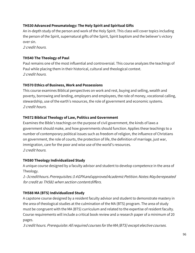# **TH530 Advanced Pneumatology: The Holy Spirit and Spiritual Gifts**

An in-depth study of the person and work of the Holy Spirit. This class will cover topics including the person of the Spirit, supernatural gifts of the Spirit, Spirit baptism and the believer's victory over sin.

2 credit hours.

### **TH540 The Theology of Paul**

Paul remains one of the most influential and controversial. This course analyzes the teachings of Paul while placing them in their historical, cultural and theological context. 2 credit hours.

### **TH570 Ethics of Business, Work and Possessions**

This course examines Biblical perspectives on work and rest, buying and selling, wealth and poverty, borrowing and lending, employers and employees, the role of money, vocational calling, stewardship, use of the earth's resources, the role of government and economic systems. 2 credit hours.

### **TH572 Biblical Theology of Law, Politics and Government**

Examines the Bible's teachings on the purpose of civil government, the kinds of laws a government should make, and how governments should function. Applies these teachings to a number of contemporary political issues such as freedom of religion, the influence of Christians on government, the role of courts, the protection of life, the definition of marriage, just war, immigration, care for the poor and wise use of the world's resources. 2 credit hours.

### **TH580 Theology Individualized Study**

A unique course designed by a faculty advisor and student to develop competence in the area of Theology.

<sup>1</sup>–3credithours.Prerequisites:3.4GPAandapprovedAcademicPetition.Notes:Mayberepeated for credit as TH581 when section contentdiffers.

# **TH588 MA (BTS) Individualized Study**

A capstone course designed by a resident faculty advisor and student to demonstrate mastery in the area of theological studies at the culmination of the MA (BTS) program. The area of study must be congruent with the MA (BTS) curriculum and related to the expertise of resident faculty. Course requirements will include a critical book review and a research paper of a minimum of 20 pages.

3 credit hours. Prerequisite: All required courses for the MA (BTS) except elective courses.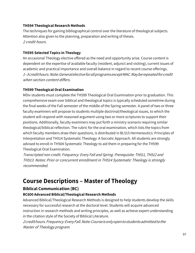### **TH594 Theological Research Methods**

The techniques for gaining bibliographical control over the literature of theological subjects. Attention also given to the planning, preparation and writing of theses. 2 credit hours.

### **TH595 Selected Topics in Theology**

An occasional Theology elective offered as the need and opportunity arise. Course content is dependent on the expertise of available faculty (resident, adjunct and visiting), current issues of academic and practical importance and overall balance in regard to recent course offerings. <sup>1</sup>–3credithours.Note:GeneralelectiveforallprogramsexceptMAC.Mayberepeatedforcredit when section content differs.

# **TH599 Theological Oral Examination**

MDiv students must complete the TH599 Theological Oral Examination prior to graduation. This comprehensive exam over biblical and theological topics is typically scheduled sometime during the final weeks of the Fall semester of the middle of the Spring semester. A panel of two or three faculty examiners will propose to students multiple doctrinal/theological issues, to which the student will respond with reasoned argument using two or more scriptures to support their positions. Additionally, faculty examiners may put forth a ministry scenario requiring similar theological/biblical reflection. The rubric for the oral examination, which lists the topics from which faculty members draw their questions, is distributed in BL515 Hermeneutics: Principles of Interpretation and TH514 Systematic Theology: A Socratic Approach. All students are strongly advised to enroll in TH504 Systematic Theology to aid them in preparing for the TH599 Theological Oral Examination.

Transcripted non-credit. Frequency: Every Fall and Spring. Prerequisite: TH511, TH512 and TH513. Notes: Prior or concurrent enrollment in TH514 Systematic Theology is strongly recommended.

# **Course Descriptions – Master of Theology**

# **Biblical Communication (BC)**

# **BC600 Advanced Biblical/Theological Research Methods**

Advanced Biblical/Theological Research Methods is designed to help students develop the skills necessary for successful research at the doctoral level. Students will acquire advanced instruction in research methods and writing principles, as well as achieve expert understanding in the citation style of the Society of Biblical Literature.

2credithours.Frequency:EveryFall.Note:Courseisonlyopentostudentsadmittedtothe Master of Theology program.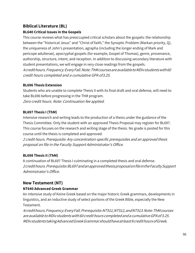# **Biblical Literature (BL)**

# **BL640 Critical Issues in the Gospels**

This course reviews what has preoccupied critical scholars about the gospels: the relationship between the "historical Jesus" and "Christ of faith," the Synoptic Problem (Markan priority, Q), the uniqueness of John's presentation, agrapha (including the longer ending of Mark and pericope adulterae), apocryphal gospels (for example, Gospel of Thomas), genre, provenance, authorship, structure, intent, and reception. In addition to discussing secondary literature with student presentations, we will engage in very close readings from the gospels. 4credithours.Frequency:EveryFall.Note:ThMcoursesareavailabletoMDivstudentswith60 credit hours completed and a cumulative GPA of3.25.

# **BL696 Thesis Extension**

Students who are unable to complete Thesis II with its final draft and oral defense, will need to take BL696 before progressing in the ThM program. Zero credit hours. Note: Continuation fee applied.

# **BL697 Thesis I (ThM)**

Intensive research and writing leads to the production of a thesis under the guidance of the Thesis Committee. Only the student with an approved Thesis Proposal may register for BL697. This course focuses on the research and writing stage of the thesis. No grade is posted for this course until the thesis is completed and approved.

2 credit hours. Prerequisite: Any concentration-specific prerequisites and an approved thesis proposal on file in the Faculty Support Administrator's Office.

# **BL698 Thesis II (ThM)**

A continuation of BL697 Thesis I culminating in a completed thesis and oral defense. 2credithours.Prerequisite:BL697andanapprovedthesisproposalonfileintheFacultySupport Administrator's Office.

# **New Testament (NT)**

# **NT640 Advanced Greek Grammar**

An intensive study of Koine Greek based on the major historic Greek grammars, developments in linguistics, and an inductive study of select portions of the Greek Bible, especially the New Testament.

4credithours.Frequency:EveryFall.Prerequisite:NT511,NT512,andNT513.Note:ThMcourses are available to MDiv students with 60 credit hours completed and a cumulative GPA of 3.25. MDivstudentstakingAdvancedGreekGrammarshouldhaveatleast9credithoursofGreek.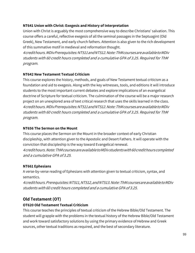### **NT641 Union with Christ: Exegesis and History of Interpretation**

Union with Christ is arguably the most comprehensive way to describe Christians' salvation. This course offers a careful, reflective exegesis of all the seminal passages in the Septuagint (Old Greek), New Testament, and early church fathers. Attention is also given to the rich development of this summative motif in medieval and reformation thought.

4credithours.MDivPrerequisites:NT511andNT512.Note:ThMcoursesareavailabletoMDiv students with 60 credit hours completed and a cumulative GPA of 3.25. Required for ThM program.

### **NT642 New Testament Textual Criticism**

This course explores the history, methods, and goals of New Testament textual criticism as a foundation and aid to exegesis. Along with the key witnesses, tools, and editions it will introduce students to the most important current debates and explore implications of an evangelical doctrine of Scripture for textual criticism. The culmination of the course will be a major research project on an unexplored area of text critical research that uses the skills learned in the class. 4credithours.MDivPrerequisites:NT511andNT512.Note:ThMcoursesareavailabletoMDiv students with 60 credit hours completed and a cumulative GPA of 3.25. Required for ThM program.

### **NT656 The Sermon on the Mount**

This course places the Sermon on the Mount in the broader context of early Christian discipleship, with attention given to the Apostolic and Desert Fathers. It will operate with the conviction that discipleship is the way toward Evangelical renewal.

4credithours.Note:ThMcoursesareavailabletoMDivstudentswith60credithourscompleted and a cumulative GPA of 3.25.

### **NT661 Ephesians**

A verse-by-verse reading of Ephesians with attention given to textual criticism, syntax, and semantics.

4credithours.Prerequisites:NT511,NT512,andNT513.Note:ThMcoursesareavailabletoMDiv students with 60 credit hours completed and <sup>a</sup> cumulative GPA of 3.25.

# **Old Testament (OT)**

### **OT620 Old Testament Textual Criticism**

This course teaches the principles of textual criticism of the Hebrew Bible/Old Testament. The student will grapple with the problems in the textual history of the Hebrew Bible/Old Testament and work toward satisfactory solutions by using the primary evidence of Hebrew and Greek sources, other textual traditions as required, and the best of secondary literature.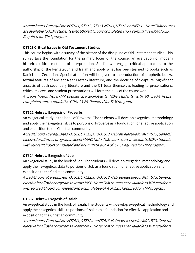4credithours.Prerequisites:OT511,OT512,OT513,NT511,NT512,andNT513.Note:ThMcourses are available to MDiv students with 60 credit hours completed and a cumulative GPA of 3.25. Required for ThM program.

### **OT621 Critical Issues in Old Testament Studies**

This course begins with a survey of the history of the discipline of Old Testament studies. This survey lays the foundation for the primary focus of the course, an evaluation of modern historical-critical methods of interpretation. Studies will engage critical approaches to the authorship of the Pentateuch and Isaiah and apply what has been learned to books such as Daniel and Zechariah. Special attention will be given to theproduction of prophetic books, textual features of ancient Near Eastern literature, and the doctrine of Scripture. Significant analysis of both secondary literature and the OT texts themselves leading to presentations, critical reviews, and student presentations will form the bulk of the coursework.

4 credit hours. Note:ThM courses are available to MDiv students with 60 credit hours completed and a cumulative GPA of 3.25. Required for ThM program.

### **OT622 Hebrew Exegesis of Proverbs**

An exegetical study in the book of Proverbs. The students will develop exegetical methodology and apply their exegetical skills to portions of Proverbs as a foundation for effective application and exposition to the Christian community.

4credithours.Prerequisites:OT511,OT512,andOT513.HebrewelectiveforMDivBTS;General electiveforallotherprogramsexceptMAPC.Note:ThMcoursesareavailabletoMDivstudents with 60 credit hours completed and a cumulative GPA of 3.25. Required for ThM program.

### **OT624 Hebrew Exegesis of Job**

An exegetical study in the book of Job. The students will develop exegetical methodology and apply their exegetical skills to portions of Job as a foundation for effective application and exposition to the Christian community.

4credithours.Prerequisites:OT511,OT512,andOT513.HebrewelectiveforMDivBTS;General electiveforallotherprogramsexceptMAPC.Note:ThMcoursesareavailabletoMDivstudents with 60 credit hours completed and a cumulative GPA of 3.25. Required for ThM program.

### **OT632 Hebrew Exegesis of Isaiah**

An exegetical study in the book of Isaiah. The students will develop exegetical methodology and apply their exegetical skills to portions of Isaiah as a foundation for effective application and exposition to the Christian community.

4credithours.Prerequisites:OT511,OT512,andOT513.HebrewelectiveforMDivBTS;General electiveforallotherprogramsexceptMAPC.Note:ThMcoursesareavailabletoMDivstudents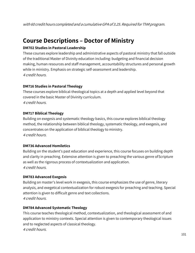with 60 credit hours completed and a cumulative GPA of 3.25. Required for ThM program.

# **Course Descriptions – Doctor of Ministry**

### **DM702 Studies in Pastoral Leadership**

These courses explore leadership and administrative aspects of pastoral ministry that fall outside of the traditional Master of Divinity education including: budgeting and financial decision making, human resources and staff management, accountability structures and personal growth while in ministry. Emphasis on strategic self-assessment and leadership. 4 credit hours.

### **DM716 Studies in Pastoral Theology**

These courses explore biblical-theological topics at a depth and applied level beyond that covered in the basic Master of Divinity curriculum. 4 credit hours.

### **DM717 Biblical Theology**

Building on exegesis and systematic theology basics, this course explores biblical theology method, the relationship between biblical theology, systematic theology, and exegesis, and concentrates on the application of biblical theology to ministry. 4 credit hours.

### **DM736 Advanced Homiletics**

Building on the student's past education and experience, this course focuses on building depth and clarity in preaching. Extensive attention is given to preaching the various genre ofScripture as well as the rigorous process of contextualization and application. 4 credit hours.

### **DM783 Advanced Exegesis**

Building on master's level work in exegesis, this course emphasizes the use of genre, literary analysis, and exegetical contextualization for robust exegesis for preaching and teaching. Special attention is given to difficult genre and text collections. 4 credit hours.

### **DM784 Advanced Systematic Theology**

This course teaches theological method, contextualization, and theological assessment of and application to ministry contexts. Special attention is given to contemporary theological issues and to neglected aspects of classical theology.

4 credit hours.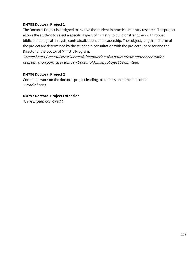### **DM795 Doctoral Project 1**

The Doctoral Project is designed to involve the student in practical ministry research. The project allows the student to select a specific aspect of ministry to build or strengthen with robust biblical theological analysis, contextualization, and leadership. The subject, length and form of the project are determined by the student in consultation with the project supervisor and the Director of the Doctor of Ministry Program.

3credithours.Prerequisites:Successfulcompletionof24hoursofcoreandconcentration courses, and approval oftopic by Doctor of Ministry Project Committee.

### **DM796 Doctoral Project 2**

Continued work on the doctoral project leading to submission of the final draft. 3 credit hours.

### **DM797 Doctoral Project Extension**

Transcripted non-Credit.